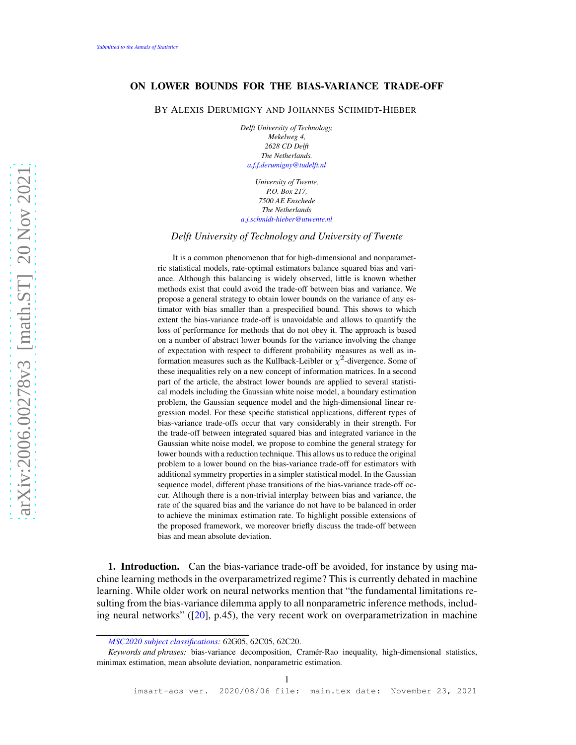## ON LOWER BOUNDS FOR THE BIAS-VARIANCE TRADE-OFF

BY ALEXIS DERUMIGNY AND JOHANNES SCHMIDT-HIEBER

*Delft University of Technology, Mekelweg 4, 2628 CD Delft The Netherlands. [a.f.f.derumigny@tudelft.nl](mailto:a.f.f.derumigny@tudelft.nl)*

*University of Twente, P.O. Box 217, 7500 AE Enschede The Netherlands [a.j.schmidt-hieber@utwente.nl](mailto:a.j.schmidt-hieber@utwente.nl)*

*Delft University of Technology and University of Twente*

It is a common phenomenon that for high-dimensional and nonparametric statistical models, rate-optimal estimators balance squared bias and variance. Although this balancing is widely observed, little is known whether methods exist that could avoid the trade-off between bias and variance. We propose a general strategy to obtain lower bounds on the variance of any estimator with bias smaller than a prespecified bound. This shows to which extent the bias-variance trade-off is unavoidable and allows to quantify the loss of performance for methods that do not obey it. The approach is based on a number of abstract lower bounds for the variance involving the change of expectation with respect to different probability measures as well as information measures such as the Kullback-Leibler or  $\chi^2$ -divergence. Some of these inequalities rely on a new concept of information matrices. In a second part of the article, the abstract lower bounds are applied to several statistical models including the Gaussian white noise model, a boundary estimation problem, the Gaussian sequence model and the high-dimensional linear regression model. For these specific statistical applications, different types of bias-variance trade-offs occur that vary considerably in their strength. For the trade-off between integrated squared bias and integrated variance in the Gaussian white noise model, we propose to combine the general strategy for lower bounds with a reduction technique. This allows us to reduce the original problem to a lower bound on the bias-variance trade-off for estimators with additional symmetry properties in a simpler statistical model. In the Gaussian sequence model, different phase transitions of the bias-variance trade-off occur. Although there is a non-trivial interplay between bias and variance, the rate of the squared bias and the variance do not have to be balanced in order to achieve the minimax estimation rate. To highlight possible extensions of the proposed framework, we moreover briefly discuss the trade-off between bias and mean absolute deviation.

1. Introduction. Can the bias-variance trade-off be avoided, for instance by using machine learning methods in the overparametrized regime? This is currently debated in machine learning. While older work on neural networks mention that "the fundamental limitations resulting from the bias-variance dilemma apply to all nonparametric inference methods, including neural networks" ([\[20\]](#page-27-0), p.45), the very recent work on overparametrization in machine

*[MSC2020 subject classifications:](https://mathscinet.ams.org/mathscinet/msc/msc2020.html)* 62G05, 62C05, 62C20.

*Keywords and phrases:* bias-variance decomposition, Cramér-Rao inequality, high-dimensional statistics, minimax estimation, mean absolute deviation, nonparametric estimation.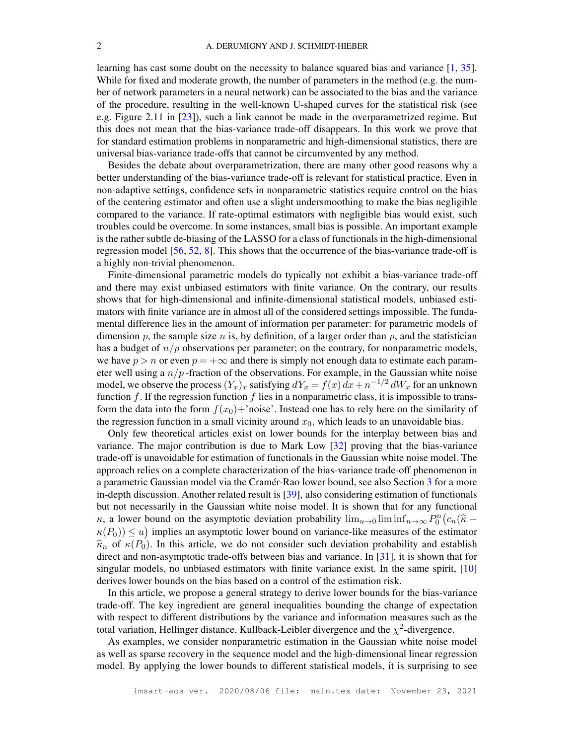learning has cast some doubt on the necessity to balance squared bias and variance [\[1,](#page-26-0) [35\]](#page-27-1). While for fixed and moderate growth, the number of parameters in the method (e.g. the number of network parameters in a neural network) can be associated to the bias and the variance of the procedure, resulting in the well-known U-shaped curves for the statistical risk (see e.g. Figure 2.11 in [\[23\]](#page-27-2)), such a link cannot be made in the overparametrized regime. But this does not mean that the bias-variance trade-off disappears. In this work we prove that for standard estimation problems in nonparametric and high-dimensional statistics, there are universal bias-variance trade-offs that cannot be circumvented by any method.

Besides the debate about overparametrization, there are many other good reasons why a better understanding of the bias-variance trade-off is relevant for statistical practice. Even in non-adaptive settings, confidence sets in nonparametric statistics require control on the bias of the centering estimator and often use a slight undersmoothing to make the bias negligible compared to the variance. If rate-optimal estimators with negligible bias would exist, such troubles could be overcome. In some instances, small bias is possible. An important example is the rather subtle de-biasing of the LASSO for a class of functionals in the high-dimensional regression model [\[56,](#page-28-0) [52,](#page-28-1) [8\]](#page-26-1). This shows that the occurrence of the bias-variance trade-off is a highly non-trivial phenomenon.

Finite-dimensional parametric models do typically not exhibit a bias-variance trade-off and there may exist unbiased estimators with finite variance. On the contrary, our results shows that for high-dimensional and infinite-dimensional statistical models, unbiased estimators with finite variance are in almost all of the considered settings impossible. The fundamental difference lies in the amount of information per parameter: for parametric models of dimension p, the sample size n is, by definition, of a larger order than p, and the statistician has a budget of  $n/p$  observations per parameter; on the contrary, for nonparametric models, we have  $p > n$  or even  $p = +\infty$  and there is simply not enough data to estimate each parameter well using a  $n/p$ -fraction of the observations. For example, in the Gaussian white noise model, we observe the process  $(Y_x)_x$  satisfying  $dY_x = f(x) dx + n^{-1/2} dW_x$  for an unknown function f. If the regression function f lies in a nonparametric class, it is impossible to transform the data into the form  $f(x_0) +$ 'noise'. Instead one has to rely here on the similarity of the regression function in a small vicinity around  $x_0$ , which leads to an unavoidable bias.

Only few theoretical articles exist on lower bounds for the interplay between bias and variance. The major contribution is due to Mark Low [\[32\]](#page-27-3) proving that the bias-variance trade-off is unavoidable for estimation of functionals in the Gaussian white noise model. The approach relies on a complete characterization of the bias-variance trade-off phenomenon in a parametric Gaussian model via the Cramér-Rao lower bound, see also Section [3](#page-9-0) for a more in-depth discussion. Another related result is [\[39\]](#page-27-4), also considering estimation of functionals but not necessarily in the Gaussian white noise model. It is shown that for any functional  $\kappa$ , a lower bound on the asymptotic deviation probability  $\lim_{u\to 0} \liminf_{n\to\infty} P_0^n(c_n(\hat{\kappa}-\hat{\kappa}))$  $\kappa(P_0) \leq u$ ) implies an asymptotic lower bound on variance-like measures of the estimator  $\widehat{\kappa}_n$  of  $\kappa(P_0)$ . In this article, we do not consider such deviation probability and establish direct and non-asymptotic trade-offs between bias and variance. In [\[31\]](#page-27-5), it is shown that for singular models, no unbiased estimators with finite variance exist. In the same spirit, [\[10\]](#page-26-2) derives lower bounds on the bias based on a control of the estimation risk.

In this article, we propose a general strategy to derive lower bounds for the bias-variance trade-off. The key ingredient are general inequalities bounding the change of expectation with respect to different distributions by the variance and information measures such as the total variation, Hellinger distance, Kullback-Leibler divergence and the  $\chi^2$ -divergence.

As examples, we consider nonparametric estimation in the Gaussian white noise model as well as sparse recovery in the sequence model and the high-dimensional linear regression model. By applying the lower bounds to different statistical models, it is surprising to see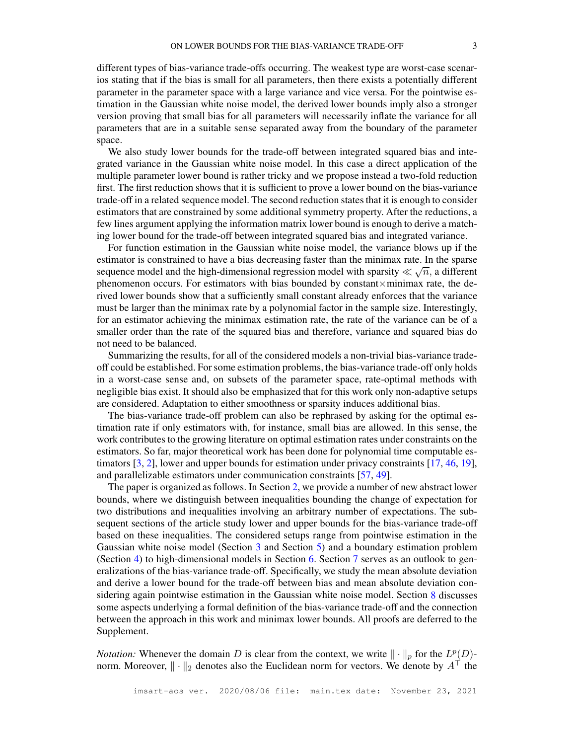different types of bias-variance trade-offs occurring. The weakest type are worst-case scenarios stating that if the bias is small for all parameters, then there exists a potentially different parameter in the parameter space with a large variance and vice versa. For the pointwise estimation in the Gaussian white noise model, the derived lower bounds imply also a stronger version proving that small bias for all parameters will necessarily inflate the variance for all parameters that are in a suitable sense separated away from the boundary of the parameter space.

We also study lower bounds for the trade-off between integrated squared bias and integrated variance in the Gaussian white noise model. In this case a direct application of the multiple parameter lower bound is rather tricky and we propose instead a two-fold reduction first. The first reduction shows that it is sufficient to prove a lower bound on the bias-variance trade-off in a related sequence model. The second reduction states that it is enough to consider estimators that are constrained by some additional symmetry property. After the reductions, a few lines argument applying the information matrix lower bound is enough to derive a matching lower bound for the trade-off between integrated squared bias and integrated variance.

For function estimation in the Gaussian white noise model, the variance blows up if the estimator is constrained to have a bias decreasing faster than the minimax rate. In the sparse sequence model and the high-dimensional regression model with sparsity  $\ll \sqrt{n}$ , a different phenomenon occurs. For estimators with bias bounded by constant×minimax rate, the derived lower bounds show that a sufficiently small constant already enforces that the variance must be larger than the minimax rate by a polynomial factor in the sample size. Interestingly, for an estimator achieving the minimax estimation rate, the rate of the variance can be of a smaller order than the rate of the squared bias and therefore, variance and squared bias do not need to be balanced.

Summarizing the results, for all of the considered models a non-trivial bias-variance tradeoff could be established. For some estimation problems, the bias-variance trade-off only holds in a worst-case sense and, on subsets of the parameter space, rate-optimal methods with negligible bias exist. It should also be emphasized that for this work only non-adaptive setups are considered. Adaptation to either smoothness or sparsity induces additional bias.

The bias-variance trade-off problem can also be rephrased by asking for the optimal estimation rate if only estimators with, for instance, small bias are allowed. In this sense, the work contributes to the growing literature on optimal estimation rates under constraints on the estimators. So far, major theoretical work has been done for polynomial time computable estimators [\[3,](#page-26-3) [2\]](#page-26-4), lower and upper bounds for estimation under privacy constraints [\[17,](#page-27-6) [46,](#page-28-2) [19\]](#page-27-7), and parallelizable estimators under communication constraints [\[57,](#page-28-3) [49\]](#page-28-4).

The paper is organized as follows. In Section [2,](#page-3-0) we provide a number of new abstract lower bounds, where we distinguish between inequalities bounding the change of expectation for two distributions and inequalities involving an arbitrary number of expectations. The subsequent sections of the article study lower and upper bounds for the bias-variance trade-off based on these inequalities. The considered setups range from pointwise estimation in the Gaussian white noise model (Section [3](#page-9-0) and Section [5\)](#page-14-0) and a boundary estimation problem (Section [4\)](#page-12-0) to high-dimensional models in Section [6.](#page-17-0) Section [7](#page-22-0) serves as an outlook to generalizations of the bias-variance trade-off. Specifically, we study the mean absolute deviation and derive a lower bound for the trade-off between bias and mean absolute deviation considering again pointwise estimation in the Gaussian white noise model. Section [8](#page-24-0) discusses some aspects underlying a formal definition of the bias-variance trade-off and the connection between the approach in this work and minimax lower bounds. All proofs are deferred to the Supplement.

*Notation:* Whenever the domain D is clear from the context, we write  $\|\cdot\|_p$  for the  $L^p(D)$ norm. Moreover,  $\|\cdot\|_2$  denotes also the Euclidean norm for vectors. We denote by  $A^{\dagger}$  the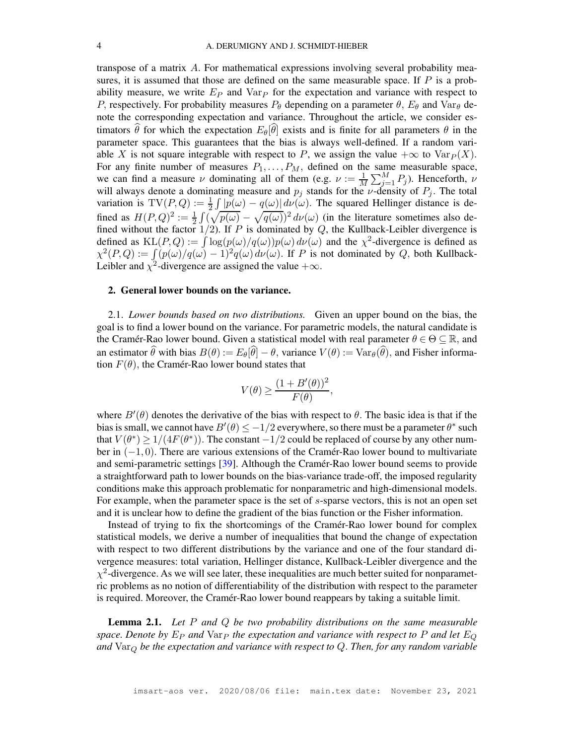transpose of a matrix A. For mathematical expressions involving several probability measures, it is assumed that those are defined on the same measurable space. If  $P$  is a probability measure, we write  $E_P$  and  $Var_P$  for the expectation and variance with respect to P, respectively. For probability measures  $P_{\theta}$  depending on a parameter  $\theta$ ,  $E_{\theta}$  and  $Var_{\theta}$  denote the corresponding expectation and variance. Throughout the article, we consider estimators  $\hat{\theta}$  for which the expectation  $E_{\theta}[\hat{\theta}]$  exists and is finite for all parameters  $\theta$  in the parameter space. This guarantees that the bias is always well-defined. If a random variable X is not square integrable with respect to P, we assign the value  $+\infty$  to  $\text{Var}_P(X)$ . For any finite number of measures  $P_1, \ldots, P_M$ , defined on the same measurable space, we can find a measure  $\nu$  dominating all of them (e.g.  $\nu := \frac{1}{M} \sum_{j=1}^{M} P_j$ ). Henceforth,  $\nu$ will always denote a dominating measure and  $p_i$  stands for the *ν*-density of  $P_i$ . The total variation is  $TV(P,Q) := \frac{1}{2} \int |p(\omega) - q(\omega)| d\nu(\omega)$ . The squared Hellinger distance is defined as  $H(P,Q)^2 := \frac{1}{2} \int (\sqrt{p(\omega)} - \sqrt{q(\omega)})^2 d\nu(\omega)$  (in the literature sometimes also defined without the factor  $1/2$ ). If P is dominated by Q, the Kullback-Leibler divergence is defined as  $KL(P,Q) := \int \log(p(\omega)/q(\omega))p(\omega) d\nu(\omega)$  and the  $\chi^2$ -divergence is defined as  $\chi^2(P,Q) := \int (p(\omega)/q(\omega) - 1)^2 q(\omega) d\nu(\omega)$ . If P is not dominated by Q, both Kullback-Leibler and  $\chi^2$ -divergence are assigned the value  $+\infty$ .

## <span id="page-3-0"></span>2. General lower bounds on the variance.

2.1. *Lower bounds based on two distributions.* Given an upper bound on the bias, the goal is to find a lower bound on the variance. For parametric models, the natural candidate is the Cramér-Rao lower bound. Given a statistical model with real parameter  $\theta \in \Theta \subseteq \mathbb{R}$ , and an estimator  $\hat{\theta}$  with bias  $B(\theta) := E_{\theta}[\hat{\theta}] - \theta$ , variance  $V(\theta) := Var_{\theta}(\hat{\theta})$ , and Fisher information  $F(\theta)$ , the Cramér-Rao lower bound states that

$$
V(\theta) \ge \frac{(1 + B'(\theta))^2}{F(\theta)},
$$

where  $B'(\theta)$  denotes the derivative of the bias with respect to  $\theta$ . The basic idea is that if the bias is small, we cannot have  $B'(\theta) \le -1/2$  everywhere, so there must be a parameter  $\theta^*$  such that  $V(\theta^*) \ge 1/(4F(\theta^*))$ . The constant  $-1/2$  could be replaced of course by any other number in (−1, 0). There are various extensions of the Cramér-Rao lower bound to multivariate and semi-parametric settings [\[39\]](#page-27-4). Although the Cramér-Rao lower bound seems to provide a straightforward path to lower bounds on the bias-variance trade-off, the imposed regularity conditions make this approach problematic for nonparametric and high-dimensional models. For example, when the parameter space is the set of s-sparse vectors, this is not an open set and it is unclear how to define the gradient of the bias function or the Fisher information.

Instead of trying to fix the shortcomings of the Cramér-Rao lower bound for complex statistical models, we derive a number of inequalities that bound the change of expectation with respect to two different distributions by the variance and one of the four standard divergence measures: total variation, Hellinger distance, Kullback-Leibler divergence and the  $\chi^2$ -divergence. As we will see later, these inequalities are much better suited for nonparametric problems as no notion of differentiability of the distribution with respect to the parameter is required. Moreover, the Cramér-Rao lower bound reappears by taking a suitable limit.

<span id="page-3-1"></span>Lemma 2.1. *Let* P *and* Q *be two probability distributions on the same measurable space. Denote by*  $E_P$  *and*  $Var_P$  *the expectation and variance with respect to* P *and let*  $E_Q$ *and* Var<sup>Q</sup> *be the expectation and variance with respect to* Q. *Then, for any random variable*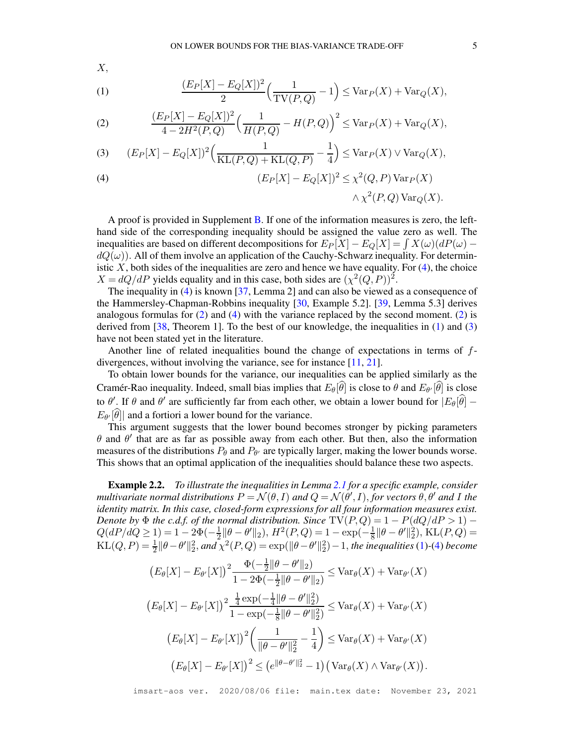$X$ ,

<span id="page-4-2"></span>(1) 
$$
\frac{(E_P[X] - E_Q[X])^2}{2} \left( \frac{1}{\text{TV}(P,Q)} - 1 \right) \leq \text{Var}_P(X) + \text{Var}_Q(X),
$$

<span id="page-4-1"></span>(2) 
$$
\frac{(E_P[X] - E_Q[X])^2}{4 - 2H^2(P, Q)} \left( \frac{1}{H(P, Q)} - H(P, Q) \right)^2 \leq \text{Var}_P(X) + \text{Var}_Q(X),
$$

<span id="page-4-3"></span>(3) 
$$
(E_P[X] - E_Q[X])^2 \left( \frac{1}{KL(P,Q) + KL(Q,P)} - \frac{1}{4} \right) \le Var_P(X) \vee Var_Q(X),
$$

<span id="page-4-0"></span>(4) 
$$
(E_P[X] - E_Q[X])^2 \leq \chi^2(Q, P) \operatorname{Var}_P(X)
$$

$$
\wedge \chi^2(P, Q) \operatorname{Var}_Q(X).
$$

A proof is provided in Supplement B. If one of the information measures is zero, the left-  
hand side of the corresponding inequality should be assigned the value zero as well. The  
inequalities are based on different decompositions for 
$$
E_P[X] - E_Q[X] = \int X(\omega)(dP(\omega) -
$$
  
 $dQ(\omega)$ ). All of them involve an application of the Cauchy-Schwarz inequality. For determin-  
istic X, both sides of the inequalities are zero and hence we have equality. For (4), the choice  
 $X = dQ/dP$  yields equality and in this case, both sides are  $(\chi^2(Q, P))^2$ .

The inequality in [\(4\)](#page-4-0) is known [\[37,](#page-27-8) Lemma 2] and can also be viewed as a consequence of the Hammersley-Chapman-Robbins inequality [\[30,](#page-27-9) Example 5.2]. [\[39,](#page-27-4) Lemma 5.3] derives analogous formulas for  $(2)$  and  $(4)$  with the variance replaced by the second moment.  $(2)$  is derived from  $[38,$  Theorem 1]. To the best of our knowledge, the inequalities in [\(1\)](#page-4-2) and [\(3\)](#page-4-3) have not been stated yet in the literature.

Another line of related inequalities bound the change of expectations in terms of  $f$ divergences, without involving the variance, see for instance [\[11,](#page-26-5) [21\]](#page-27-11).

To obtain lower bounds for the variance, our inequalities can be applied similarly as the Cramér-Rao inequality. Indeed, small bias implies that  $E_{\theta}[\theta]$  is close to  $\theta$  and  $E_{\theta'}[\theta]$  is close to  $\theta'$ . If  $\theta$  and  $\theta'$  are sufficiently far from each other, we obtain a lower bound for  $|E_{\theta}[\theta]$  –  $E_{\theta}[\theta]$  and a fortiori a lower bound for the variance.

This argument suggests that the lower bound becomes stronger by picking parameters  $\theta$  and  $\theta'$  that are as far as possible away from each other. But then, also the information measures of the distributions  $P_{\theta}$  and  $P_{\theta'}$  are typically larger, making the lower bounds worse. This shows that an optimal application of the inequalities should balance these two aspects.

<span id="page-4-4"></span>Example 2.2. *To illustrate the inequalities in Lemma [2.1](#page-3-1) for a specific example, consider multivariate normal distributions*  $P = \mathcal{N}(\theta, I)$  *and*  $Q = \mathcal{N}(\theta', I)$ , *for vectors*  $\theta, \theta'$  *and* I *the identity matrix. In this case, closed-form expressions for all four information measures exist. Denote by*  $\Phi$  *the c.d.f. of the normal distribution. Since*  $TV(P,Q) = 1 - P(dQ/dP > 1)$  –  $Q(dP/dQ \ge 1) = 1 - 2\Phi(-\frac{1}{2} ||\theta - \theta'||_2), H^2(P,Q) = 1 - \exp(-\frac{1}{8} ||\theta - \theta'||_2^2), \text{KL}(P,Q) =$  $KL(Q, P) = \frac{1}{2} ||\theta - \theta' ||_2^2$ , and  $\chi^2(P, Q) = \exp(||\theta - \theta' ||_2^2) - 1$ , the inequalities [\(1\)](#page-4-2)-[\(4\)](#page-4-0) become

$$
(E_{\theta}[X] - E_{\theta'}[X])^{2} \frac{\Phi(-\frac{1}{2}||\theta - \theta'||_{2})}{1 - 2\Phi(-\frac{1}{2}||\theta - \theta'||_{2})} \leq \text{Var}_{\theta}(X) + \text{Var}_{\theta'}(X)
$$

$$
(E_{\theta}[X] - E_{\theta'}[X])^{2} \frac{\frac{1}{4} \exp(-\frac{1}{4}||\theta - \theta'||_{2}^{2})}{1 - \exp(-\frac{1}{8}||\theta - \theta'||_{2}^{2})} \leq \text{Var}_{\theta}(X) + \text{Var}_{\theta'}(X)
$$

$$
(E_{\theta}[X] - E_{\theta'}[X])^{2} \left(\frac{1}{||\theta - \theta'||_{2}^{2}} - \frac{1}{4}\right) \leq \text{Var}_{\theta}(X) + \text{Var}_{\theta'}(X)
$$

$$
(E_{\theta}[X] - E_{\theta'}[X])^{2} \leq (e^{||\theta - \theta'||_{2}^{2}} - 1) (\text{Var}_{\theta}(X) \wedge \text{Var}_{\theta'}(X)).
$$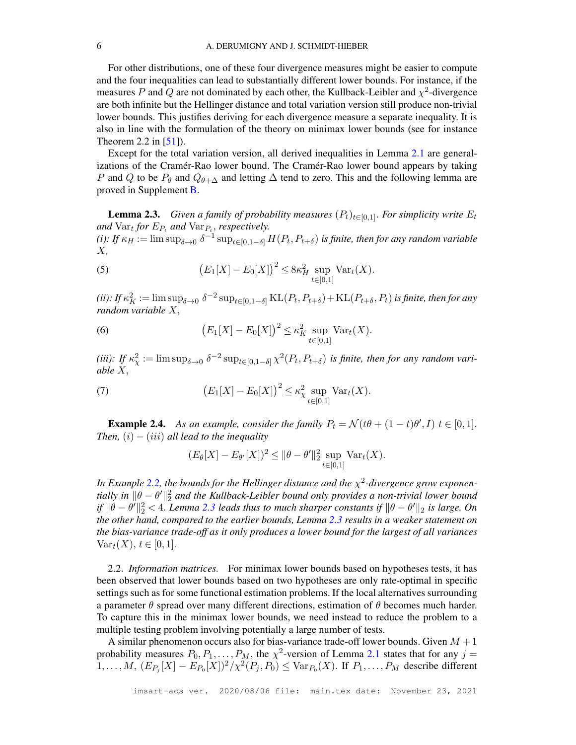For other distributions, one of these four divergence measures might be easier to compute and the four inequalities can lead to substantially different lower bounds. For instance, if the measures P and Q are not dominated by each other, the Kullback-Leibler and  $\chi^2$ -divergence are both infinite but the Hellinger distance and total variation version still produce non-trivial lower bounds. This justifies deriving for each divergence measure a separate inequality. It is also in line with the formulation of the theory on minimax lower bounds (see for instance Theorem 2.2 in  $[51]$ ).

Except for the total variation version, all derived inequalities in Lemma [2.1](#page-3-1) are generalizations of the Cramér-Rao lower bound. The Cramér-Rao lower bound appears by taking P and Q to be  $P_{\theta}$  and  $Q_{\theta+\Delta}$  and letting  $\Delta$  tend to zero. This and the following lemma are proved in Supplement [B.](#page-33-0)

<span id="page-5-0"></span>**Lemma 2.3.** *Given a family of probability measures*  $(P_t)_{t\in[0,1]}$ . *For simplicity write*  $E_t$ and  $\text{Var}_t$  for  $E_{P_t}$  and  $\text{Var}_{P_t}$ , respectively. (*i*): If  $\kappa_H := \limsup_{\delta \to 0} \delta^{-1} \sup_{t \in [0,1-\delta]} H(P_t,P_{t+\delta})$  *is finite, then for any random variable* X*,*

(5) 
$$
(E_1[X] - E_0[X])^2 \leq 8\kappa_H^2 \sup_{t \in [0,1]} \text{Var}_t(X).
$$

(*ii*): If  $\kappa_K^2 := \limsup_{\delta \to 0} \delta^{-2} \sup_{t \in [0,1-\delta]} \text{KL}(P_t, P_{t+\delta}) + \text{KL}(P_{t+\delta}, P_t)$  *is finite, then for any random variable* X,

<span id="page-5-1"></span>(6) 
$$
(E_1[X] - E_0[X])^2 \leq \kappa_K^2 \sup_{t \in [0,1]} \text{Var}_t(X).
$$

(*iii*): If  $\kappa_\chi^2 := \limsup_{\delta \to 0} \delta^{-2} \sup_{t \in [0,1-\delta]} \chi^2(P_t, P_{t+\delta})$  *is finite, then for any random variable* X,

(7) 
$$
(E_1[X] - E_0[X])^2 \le \kappa_{\chi}^2 \sup_{t \in [0,1]} \text{Var}_t(X).
$$

<span id="page-5-2"></span>**Example 2.4.** As an example, consider the family  $P_t = \mathcal{N}(t\theta + (1-t)\theta', I)$   $t \in [0,1]$ . *Then,*  $(i) - (iii)$  *all lead to the inequality* 

$$
(E_{\theta}[X] - E_{\theta'}[X])^{2} \le ||\theta - \theta'||_{2}^{2} \sup_{t \in [0,1]} \text{Var}_{t}(X).
$$

In Example [2.2,](#page-4-4) the bounds for the Hellinger distance and the  $\chi^2$ -divergence grow exponen*tially in*  $\|\theta - \theta'\|_2^2$  and the Kullback-Leibler bound only provides a non-trivial lower bound  $f\|\theta-\theta'\|_2^2 < 4$ . *Lemma* [2.3](#page-5-0) *leads thus to much sharper constants if*  $\|\theta-\theta'\|_2$  *is large. On the other hand, compared to the earlier bounds, Lemma [2.3](#page-5-0) results in a weaker statement on the bias-variance trade-off as it only produces a lower bound for the largest of all variances*  $Var_t(X), t \in [0,1].$ 

2.2. *Information matrices.* For minimax lower bounds based on hypotheses tests, it has been observed that lower bounds based on two hypotheses are only rate-optimal in specific settings such as for some functional estimation problems. If the local alternatives surrounding a parameter  $\theta$  spread over many different directions, estimation of  $\theta$  becomes much harder. To capture this in the minimax lower bounds, we need instead to reduce the problem to a multiple testing problem involving potentially a large number of tests.

A similar phenomenon occurs also for bias-variance trade-off lower bounds. Given  $M + 1$ probability measures  $P_0, P_1, \ldots, P_M$ , the  $\chi^2$ -version of Lemma [2.1](#page-3-1) states that for any  $j =$  $1, \ldots, M$ ,  $(E_{P_j}[X] - E_{P_0}[X])^2 / \chi^2(P_j, P_0) \leq \text{Var}_{P_0}(X)$ . If  $P_1, \ldots, P_M$  describe different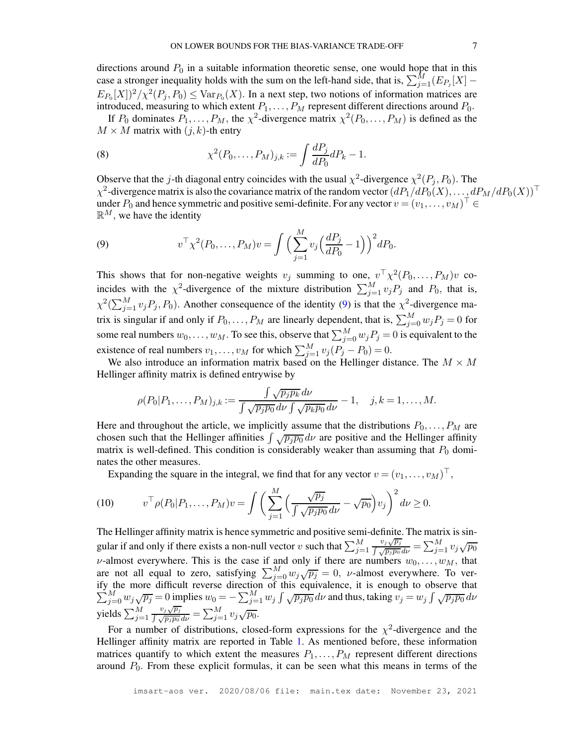directions around  $P_0$  in a suitable information theoretic sense, one would hope that in this case a stronger inequality holds with the sum on the left-hand side, that is,  $\sum_{j=1}^{M} (E_{P_j}[X])$  $E_{P_0}[X]$ <sup>2</sup>/ $\chi^2(P_j, P_0) \leq \text{Var}_{P_0}(X)$ . In a next step, two notions of information matrices are introduced, measuring to which extent  $P_1, \ldots, P_M$  represent different directions around  $P_0$ .

If  $P_0$  dominates  $P_1, \ldots, P_M$ , the  $\chi^2$ -divergence matrix  $\chi^2(P_0, \ldots, P_M)$  is defined as the  $M \times M$  matrix with  $(j, k)$ -th entry

(8) 
$$
\chi^2(P_0,\ldots,P_M)_{j,k} := \int \frac{dP_j}{dP_0} dP_k - 1.
$$

Observe that the j-th diagonal entry coincides with the usual  $\chi^2$ -divergence  $\chi^2(P_j, P_0)$ . The  $\chi^2$ -divergence matrix is also the covariance matrix of the random vector  $(dP_1/dP_0(X), \ldots, dP_M/dP_0(X))^{\top}$ under  $P_0$  and hence symmetric and positive semi-definite. For any vector  $v = (v_1, \dots, v_M)^\top \in$  $\mathbb{R}^M$ , we have the identity

<span id="page-6-0"></span>(9) 
$$
v^{\top} \chi^2(P_0, \dots, P_M)v = \int \Big( \sum_{j=1}^M v_j \Big( \frac{dP_j}{dP_0} - 1 \Big) \Big)^2 dP_0.
$$

This shows that for non-negative weights  $v_j$  summing to one,  $v^{\top} \chi^2(P_0, \ldots, P_M)v$  coincides with the  $\chi^2$ -divergence of the mixture distribution  $\sum_{j=1}^{M} v_j P_j$  and  $P_0$ , that is,  $\chi^2(\sum_{j=1}^M v_j P_j, P_0)$ . Another consequence of the identity [\(9\)](#page-6-0) is that the  $\chi^2$ -divergence matrix is singular if and only if  $P_0, \ldots, P_M$  are linearly dependent, that is,  $\sum_{j=0}^{M} w_j P_j = 0$  for some real numbers  $w_0, \dots, w_M$ . To see this, observe that  $\sum_{j=0}^M w_j P_j = 0$  is equivalent to the existence of real numbers  $v_1, \ldots, v_M$  for which  $\sum_{j=1}^M v_j (P_j - P_0) = 0$ .

We also introduce an information matrix based on the Hellinger distance. The  $M \times M$ Hellinger affinity matrix is defined entrywise by

$$
\rho(P_0|P_1,\ldots,P_M)_{j,k} := \frac{\int \sqrt{p_j p_k} \, d\nu}{\int \sqrt{p_j p_0} \, d\nu \int \sqrt{p_k p_0} \, d\nu} - 1, \quad j,k = 1,\ldots,M.
$$

Here and throughout the article, we implicitly assume that the distributions  $P_0, \ldots, P_M$  are chosen such that the Hellinger affinities  $\int \sqrt{p_j p_0} \, d\nu$  are positive and the Hellinger affinity matrix is well-defined. This condition is considerably weaker than assuming that  $P_0$  dominates the other measures.

Expanding the square in the integral, we find that for any vector  $v = (v_1, \dots, v_M)^\top$ ,

<span id="page-6-1"></span>(10) 
$$
v^\top \rho(P_0|P_1,\ldots,P_M)v = \int \left(\sum_{j=1}^M \Big(\frac{\sqrt{p_j}}{\int \sqrt{p_j p_0} d\nu} - \sqrt{p_0}\Big)v_j\right)^2 d\nu \ge 0.
$$

The Hellinger affinity matrix is hence symmetric and positive semi-definite. The matrix is singular if and only if there exists a non-null vector  $v$  such that  $\sum_{j=1}^{M}$  $\frac{v_j\sqrt{p_j}}{\int \sqrt{p_jp_0}\,d\nu} = \sum_{j=1}^M v_j\sqrt{p_0}$ v-almost everywhere. This is the case if and only if there are numbers  $w_0, \ldots, w_M$ , that are not all equal to zero, satisfying  $\sum_{j=0}^{M} w_j \sqrt{p_j} = 0$ , v-almost everywhere. To verify the more difficult reverse direction of this equivalence  $\sum$ the more difficult reverse direction of this equivalence, it is enough to observe that  $\sum_{j=0}^{M} w_j \sqrt{p_j} = 0$  implies  $w_0 = -\sum_{j=1}^{M} w_j \int \sqrt{p_j p_0} d\nu$  and thus, taking  $v_j = w_j \int \sqrt{p_j p_0} d\nu$ yields  $\sum_{j=1}^{M}$  $\frac{v_j\sqrt{p_j}}{\int \sqrt{p_jp_0}\,d\nu}=\sum_{j=1}^M v_j\sqrt{p_0}.$ 

For a number of distributions, closed-form expressions for the  $\chi^2$ -divergence and the Hellinger affinity matrix are reported in Table [1.](#page-7-0) As mentioned before, these information matrices quantify to which extent the measures  $P_1, \ldots, P_M$  represent different directions around  $P_0$ . From these explicit formulas, it can be seen what this means in terms of the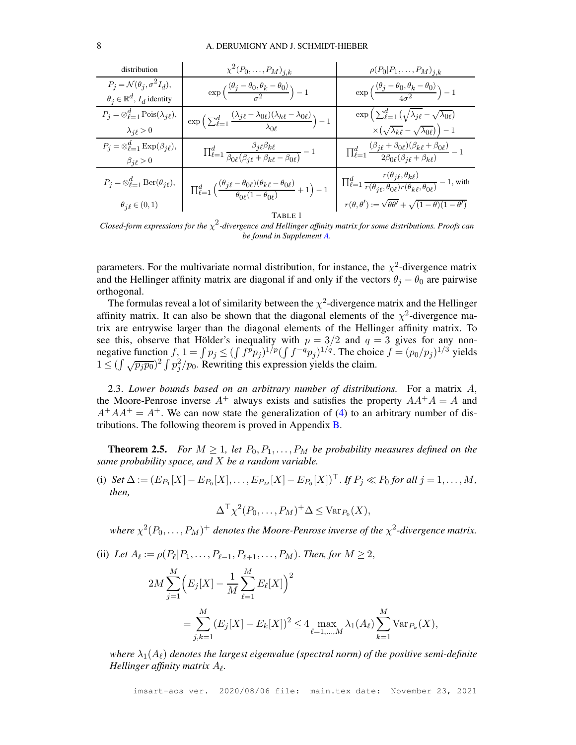| distribution                                                   | $\chi^2(P_0,\ldots,P_M)_{j,k}$                                                                                                          | $\rho(P_0 P_1,\ldots,P_M)_{j,k}$                                                                                                                                                                                                                      |  |
|----------------------------------------------------------------|-----------------------------------------------------------------------------------------------------------------------------------------|-------------------------------------------------------------------------------------------------------------------------------------------------------------------------------------------------------------------------------------------------------|--|
| $P_i = \mathcal{N}(\theta_i, \sigma^2 I_d),$                   | $\exp\left(\frac{\langle\theta_j-\theta_0,\theta_k-\theta_0\rangle}{2}\right)-1$                                                        | $\exp\left(\frac{\langle \theta_j - \theta_0, \theta_k - \theta_0 \rangle}{4\sigma^2}\right) - 1$                                                                                                                                                     |  |
| $\theta_j \in \mathbb{R}^d$ , $I_d$ identity                   |                                                                                                                                         |                                                                                                                                                                                                                                                       |  |
| $P_i = \otimes_{\ell=1}^d \text{Pois}(\lambda_{i\ell}),$       | $\exp\Big(\sum_{\ell=1}^d\frac{(\lambda_{j\ell}-\lambda_{0\ell})(\lambda_{k\ell}-\lambda_{0\ell})}{\lambda_{0\ell}}\Big)-1$             | $\exp\left(\sum_{\ell=1}^d\left(\sqrt{\lambda_j} \ell - \sqrt{\lambda_{0\ell}}\right)\right)$                                                                                                                                                         |  |
| $\lambda_{i\ell} > 0$                                          |                                                                                                                                         | $\times (\sqrt{\lambda_{k\ell}} - \sqrt{\lambda_{0\ell}}) - 1$                                                                                                                                                                                        |  |
| $P_j = \otimes_{\ell=1}^d \operatorname{Exp}(\beta_{j\ell}),$  | $\prod_{\ell=1}^d \frac{\beta_j \ell \beta_k \ell}{\beta_{0\ell} (\beta_j \ell + \beta_k \ell - \beta_{0\ell})} - 1$                    | $\prod_{\ell=1}^d \frac{(\beta_{j\ell} + \beta_{0\ell})(\beta_{k\ell} + \beta_{0\ell})}{2\beta_{0\ell}(\beta_{j\ell} + \beta_{k\ell})} - 1$                                                                                                           |  |
| $\beta_{i\ell} > 0$                                            |                                                                                                                                         |                                                                                                                                                                                                                                                       |  |
| $P_j = \otimes_{\ell=1}^d \operatorname{Ber}(\theta_{j\ell}),$ | $\prod_{\ell=1}^d\Big(\frac{(\theta_{j\ell}-\theta_{0\ell})(\theta_{k\ell}-\theta_{0\ell})}{\theta_{0\ell}(1-\theta_{0\ell})}+1\Big)-1$ | $\begin{split} \prod_{\ell=1}^d \frac{r(\theta_{j\ell},\theta_{k\ell})}{r(\theta_{j\ell},\theta_{0\ell})r(\theta_{k\ell},\theta_{0\ell})} - 1 \text{, with} \\ r(\theta,\theta') := \sqrt{\theta \theta'} + \sqrt{(1-\theta)(1-\theta')} \end{split}$ |  |
|                                                                |                                                                                                                                         |                                                                                                                                                                                                                                                       |  |
| $\theta_{j\ell}\in(0,1)$                                       |                                                                                                                                         |                                                                                                                                                                                                                                                       |  |
| TABLE 1                                                        |                                                                                                                                         |                                                                                                                                                                                                                                                       |  |

<span id="page-7-0"></span>*Closed-form expressions for the* χ 2 *-divergence and Hellinger affinity matrix for some distributions. Proofs can be found in Supplement [A.](#page-29-0)*

parameters. For the multivariate normal distribution, for instance, the  $\chi^2$ -divergence matrix and the Hellinger affinity matrix are diagonal if and only if the vectors  $\theta_i - \theta_0$  are pairwise orthogonal.

The formulas reveal a lot of similarity between the  $\chi^2$ -divergence matrix and the Hellinger affinity matrix. It can also be shown that the diagonal elements of the  $\chi^2$ -divergence matrix are entrywise larger than the diagonal elements of the Hellinger affinity matrix. To see this, observe that Hölder's inequality with  $p = 3/2$  and  $q = 3$  gives for any nonnegative function  $f, 1 = \int p_j \leq (\int f^p p_j)^{1/p} (\int f^{-q} p_j)^{1/q}$ . The choice  $f = (p_0/p_j)^{1/3}$  yields  $1 \leq (\int \sqrt{p_j p_0})^2 \int p_j^2 / p_0$ . Rewriting this expression yields the claim.

2.3. *Lower bounds based on an arbitrary number of distributions.* For a matrix A, the Moore-Penrose inverse  $A^+$  always exists and satisfies the property  $AA^+A = A$  and  $A+A^+A A^+=A^+$ . We can now state the generalization of [\(4\)](#page-4-0) to an arbitrary number of distributions. The following theorem is proved in Appendix [B.](#page-33-0)

<span id="page-7-1"></span>**Theorem 2.5.** *For*  $M \geq 1$ , let  $P_0, P_1, \ldots, P_M$  be probability measures defined on the *same probability space, and* X *be a random variable.*

(i)  $Set \Delta := (E_{P_1}[X] - E_{P_0}[X], \ldots, E_{P_M}[X] - E_{P_0}[X])^{\top}$ . *If*  $P_j \ll P_0$  *for all*  $j = 1, \ldots, M$ , *then,*

$$
\Delta^{\top} \chi^2(P_0, \ldots, P_M)^+ \Delta \leq \text{Var}_{P_0}(X),
$$

where  $\chi^2(P_0,\ldots,P_M)^+$  denotes the Moore-Penrose inverse of the  $\chi^2$ -divergence matrix.

(ii) Let  $A_{\ell} := \rho(P_{\ell}|P_1,\ldots,P_{\ell-1},P_{\ell+1},\ldots,P_M)$ . *Then, for*  $M \geq 2$ ,  $2M\sum_{i=1}^{M}$  $j=1$  $\left(E_j[X]-\frac{1}{M}\right)$ M  $\stackrel{M}{\blacklozenge}$  $_{\ell=1}$  $E_{\ell}[X]\Big)^2$  $=\sum_{i=1}^{M}$  $_{j,k=1}$  $(E_j[X] - E_k[X])^2 \leq 4 \max_{\ell=1,...,M} \lambda_1(A_\ell) \sum_{k=1}^M$  $k=1$  $Var_{P_k}(X)$ ,

*where*  $\lambda_1(A_\ell)$  *denotes the largest eigenvalue (spectral norm) of the positive semi-definite Hellinger affinity matrix* A<sup>ℓ</sup> *.*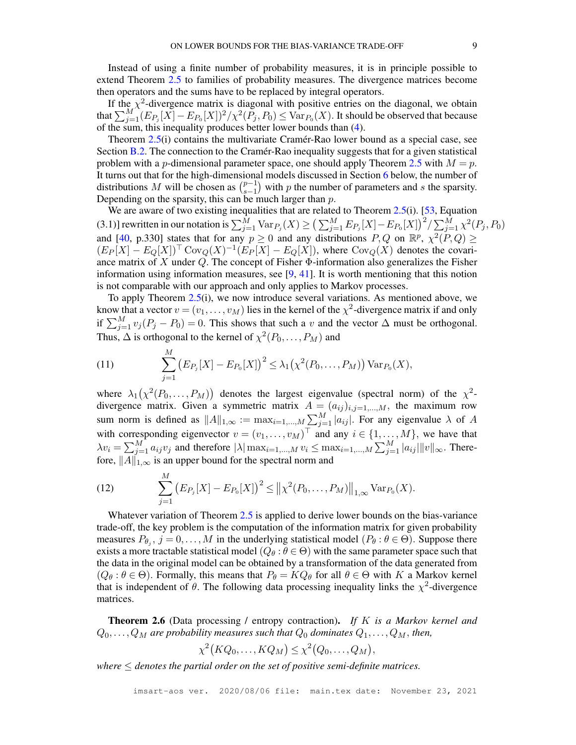Instead of using a finite number of probability measures, it is in principle possible to extend Theorem [2.5](#page-7-1) to families of probability measures. The divergence matrices become then operators and the sums have to be replaced by integral operators.

If the  $\chi^2$ -divergence matrix is diagonal with positive entries on the diagonal, we obtain that  $\sum_{j=1}^{M'} (E_{P_j}[X] - E_{P_0}[X])^2 / \chi^2(\overline{P_j}, P_0) \leq \text{Var}_{P_0}(X)$ . It should be observed that because of the sum, this inequality produces better lower bounds than [\(4\)](#page-4-0).

Theorem [2.5\(](#page-7-1)i) contains the multivariate Cramér-Rao lower bound as a special case, see Section [B.2.](#page-41-0) The connection to the Cramér-Rao inequality suggests that for a given statistical problem with a *p*-dimensional parameter space, one should apply Theorem [2.5](#page-7-1) with  $M = p$ . It turns out that for the high-dimensional models discussed in Section [6](#page-17-0) below, the number of distributions M will be chosen as  $\binom{p-1}{s-1}$  $\frac{s-1}{1}$ ) with  $p$  the number of parameters and  $s$  the sparsity. Depending on the sparsity, this can be much larger than  $p$ .

We are aware of two existing inequalities that are related to Theorem [2.5\(](#page-7-1)i). [\[53,](#page-28-6) Equation (3.1)] rewritten in our notation is  $\sum_{j=1}^{\bar{M}} \text{Var}_{P_j}(X) \geq \left(\sum_{j=1}^M E_{P_j}[X] - E_{P_0}[X]\right)^2 / \sum_{j=1}^{\bar{M}} \chi^2(P_j, P_0)$ and [\[40,](#page-27-12) p.330] states that for any  $p \ge 0$  and any distributions  $P, Q$  on  $\mathbb{R}^p$ ,  $\chi^2(P, Q) \ge$  $(E_P[X] - E_Q[X])^{\top}$  Cov $Q(X)^{-1}(E_P[X] - E_Q[X])$ , where Cov $Q(X)$  denotes the covariance matrix of X under  $Q$ . The concept of Fisher  $\Phi$ -information also generalizes the Fisher information using information measures, see  $[9, 41]$  $[9, 41]$ . It is worth mentioning that this notion is not comparable with our approach and only applies to Markov processes.

To apply Theorem [2.5\(](#page-7-1)i), we now introduce several variations. As mentioned above, we know that a vector  $v = (v_1, \dots, v_M)$  lies in the kernel of the  $\chi^2$ -divergence matrix if and only if  $\sum_{j=1}^{M} v_j (P_j - P_0) = 0$ . This shows that such a v and the vector  $\Delta$  must be orthogonal. Thus,  $\Delta$  is orthogonal to the kernel of  $\chi^2(P_0, \ldots, P_M)$  and

<span id="page-8-1"></span>(11) 
$$
\sum_{j=1}^{M} (E_{P_j}[X] - E_{P_0}[X])^2 \leq \lambda_1(\chi^2(P_0, ..., P_M)) \operatorname{Var}_{P_0}(X),
$$

where  $\lambda_1(\chi^2(P_0,\ldots,P_M))$  denotes the largest eigenvalue (spectral norm) of the  $\chi^2$ divergence matrix. Given a symmetric matrix  $A = (a_{ij})_{i,j=1,\dots,M}$ , the maximum row sum norm is defined as  $||A||_{1,\infty} := \max_{i=1,\dots,M} \sum_{j=1}^{M} |a_{ij}|$ . For any eigenvalue  $\lambda$  of A with corresponding eigenvector  $v = (v_1, \dots, v_M)^\top$  and any  $i \in \{1, \dots, M\}$ , we have that  $\lambda v_i = \sum_{j=1}^{M} a_{ij} v_j$  and therefore  $|\lambda| \max_{i=1,\dots,M} v_i \leq \max_{i=1,\dots,M} \sum_{j=1}^{M} |a_{ij}| ||v||_{\infty}$ . Therefore,  $||A||_{1,\infty}$  is an upper bound for the spectral norm and

<span id="page-8-2"></span>(12) 
$$
\sum_{j=1}^{M} (E_{P_j}[X] - E_{P_0}[X])^2 \le ||\chi^2(P_0, \ldots, P_M)||_{1,\infty} \operatorname{Var}_{P_0}(X).
$$

Whatever variation of Theorem [2.5](#page-7-1) is applied to derive lower bounds on the bias-variance trade-off, the key problem is the computation of the information matrix for given probability measures  $P_{\theta_j}$ ,  $j = 0, ..., M$  in the underlying statistical model  $(P_{\theta} : \theta \in \Theta)$ . Suppose there exists a more tractable statistical model  $(Q_\theta : \theta \in \Theta)$  with the same parameter space such that the data in the original model can be obtained by a transformation of the data generated from  $(Q_\theta : \theta \in \Theta)$ . Formally, this means that  $P_\theta = KQ_\theta$  for all  $\theta \in \Theta$  with K a Markov kernel that is independent of  $\theta$ . The following data processing inequality links the  $\chi^2$ -divergence matrices.

<span id="page-8-0"></span>Theorem 2.6 (Data processing / entropy contraction). *If* K *is a Markov kernel and*  $Q_0, \ldots, Q_M$  are probability measures such that  $Q_0$  dominates  $Q_1, \ldots, Q_M$ , then,

$$
\chi^2(KQ_0,\ldots,KQ_M)\leq \chi^2(Q_0,\ldots,Q_M),
$$

*where*  $\leq$  *denotes the partial order on the set of positive semi-definite matrices.*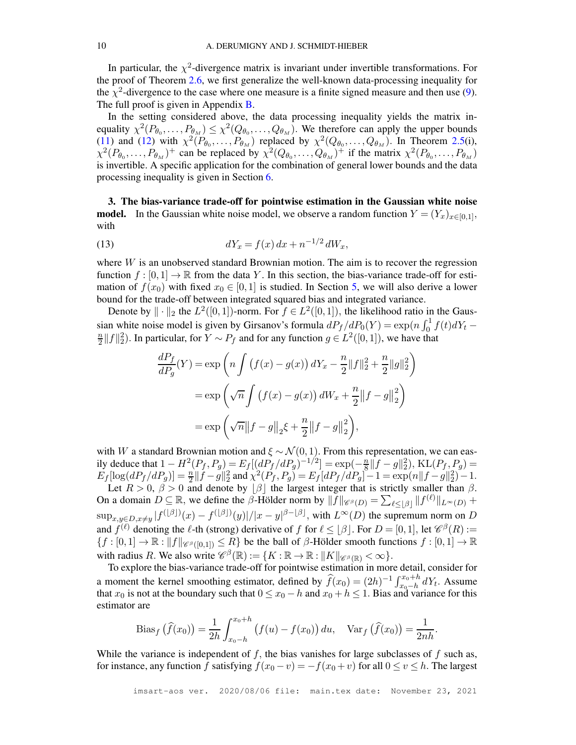In particular, the  $\chi^2$ -divergence matrix is invariant under invertible transformations. For the proof of Theorem [2.6,](#page-8-0) we first generalize the well-known data-processing inequality for the  $\chi^2$ -divergence to the case where one measure is a finite signed measure and then use [\(9\)](#page-6-0). The full proof is given in Appendix [B.](#page-33-0)

In the setting considered above, the data processing inequality yields the matrix inequality  $\chi^2(P_{\theta_0},...,P_{\theta_M}) \leq \chi^2(Q_{\theta_0},...,Q_{\theta_M})$ . We therefore can apply the upper bounds [\(11\)](#page-8-1) and [\(12\)](#page-8-2) with  $\chi^2(P_{\theta_0},...,P_{\theta_M})$  replaced by  $\chi^2(Q_{\theta_0},...,Q_{\theta_M})$ . In Theorem [2.5\(](#page-7-1)i),  $\chi^2(P_{\theta_0},\ldots,P_{\theta_M})^+$  can be replaced by  $\chi^2(Q_{\theta_0},\ldots,Q_{\theta_M})^+$  if the matrix  $\chi^2(P_{\theta_0},\ldots,P_{\theta_M})$ is invertible. A specific application for the combination of general lower bounds and the data processing inequality is given in Section [6.](#page-17-0)

<span id="page-9-0"></span>3. The bias-variance trade-off for pointwise estimation in the Gaussian white noise **model.** In the Gaussian white noise model, we observe a random function  $Y = (Y_x)_{x \in [0,1]},$ with

<span id="page-9-1"></span>(13) 
$$
dY_x = f(x) dx + n^{-1/2} dW_x,
$$

where  $W$  is an unobserved standard Brownian motion. The aim is to recover the regression function  $f : [0, 1] \to \mathbb{R}$  from the data Y. In this section, the bias-variance trade-off for estimation of  $f(x_0)$  with fixed  $x_0 \in [0, 1]$  is studied. In Section [5,](#page-14-0) we will also derive a lower bound for the trade-off between integrated squared bias and integrated variance.

Denote by  $\|\cdot\|_2$  the  $L^2([0,1])$ -norm. For  $f \in L^2([0,1])$ , the likelihood ratio in the Gaussian white noise model is given by Girsanov's formula  $dP_f/dP_0(Y) = \exp\left(n \int_0^1 f(t) dY_t \overline{n}$  $\frac{n}{2}||f||_2^2$ ). In particular, for  $Y \sim P_f$  and for any function  $g \in L^2([0,1])$ , we have that

$$
\frac{dP_f}{dP_g}(Y) = \exp\left(n \int \left(f(x) - g(x)\right) dY_x - \frac{n}{2} ||f||_2^2 + \frac{n}{2} ||g||_2^2\right)
$$
  
=  $\exp\left(\sqrt{n} \int \left(f(x) - g(x)\right) dW_x + \frac{n}{2} ||f - g||_2^2\right)$   
=  $\exp\left(\sqrt{n} ||f - g||_2 \xi + \frac{n}{2} ||f - g||_2^2\right),$ 

with W a standard Brownian motion and  $\xi \sim \mathcal{N}(0, 1)$ . From this representation, we can easily deduce that  $1 - H^2(P_f, P_g) = E_f [(dP_f/dP_g)^{-1/2}] = \exp(-\frac{n}{8})$  $\frac{n}{8}||f-g||_2^2$ , KL $(P_f, P_g)$  =  $E_f[\log(dP_f/dP_g)] = \frac{n}{2} ||\dot{f} - g||_2^2$  and  $\chi^2(\dot{P_f}, P_g) = E_f[dP_f/dP_g] - 1 = \exp(n||f - g||_2^2) - 1$ .

Let  $R > 0$ ,  $\beta > 0$  and denote by  $\lfloor \beta \rfloor$  the largest integer that is strictly smaller than  $\beta$ . On a domain  $D \subseteq \mathbb{R}$ , we define the  $\beta$ -Hölder norm by  $\|\tilde{f}\|_{\mathscr{C}^{\beta}(D)} = \sum_{\ell \leq \lfloor \beta \rfloor} \|f^{(\ell)}\|_{L^{\infty}(D)} +$  $\sup_{x,y\in D, x\neq y}|f^{(\lfloor \beta \rfloor)}(x)-f^{(\lfloor \beta \rfloor)}(y)|/|x-y|^{\beta-\lfloor \beta \rfloor}$ , with  $L^{\infty}(D)$  the supremum norm on D and  $f^{(\ell)}$  denoting the  $\ell$ -th (strong) derivative of f for  $\ell \leq \lfloor \beta \rfloor$ . For  $D = [0, 1]$ , let  $\mathcal{C}^{\beta}(R) :=$  ${f : [0,1] \to \mathbb{R} : ||f||_{\mathscr{C}^{\beta}([0,1])} \leq R}$  be the ball of  $\beta$ -Hölder smooth functions  $f : [0,1] \to \mathbb{R}$ with radius R. We also write  $\mathscr{C}^{\beta}(\mathbb{R}) := \{ K : \mathbb{R} \to \mathbb{R} : ||K||_{\mathscr{C}^{\beta}(\mathbb{R})} < \infty \}.$ 

To explore the bias-variance trade-off for pointwise estimation in more detail, consider for a moment the kernel smoothing estimator, defined by  $\widehat{f}(x_0) = (2h)^{-1} \int_{x_0-h}^{x_0+h}$  $x_0-h$  dY<sub>t</sub>. Assume that  $x_0$  is not at the boundary such that  $0 \le x_0 - h$  and  $x_0 + h \le 1$ . Bias and variance for this estimator are

Bias<sub>f</sub> 
$$
(\hat{f}(x_0)) = \frac{1}{2h} \int_{x_0 - h}^{x_0 + h} (f(u) - f(x_0)) du
$$
, Var<sub>f</sub>  $(\hat{f}(x_0)) = \frac{1}{2nh}$ .

While the variance is independent of  $f$ , the bias vanishes for large subclasses of  $f$  such as, for instance, any function f satisfying  $f(x_0 - v) = -f(x_0 + v)$  for all  $0 \le v \le h$ . The largest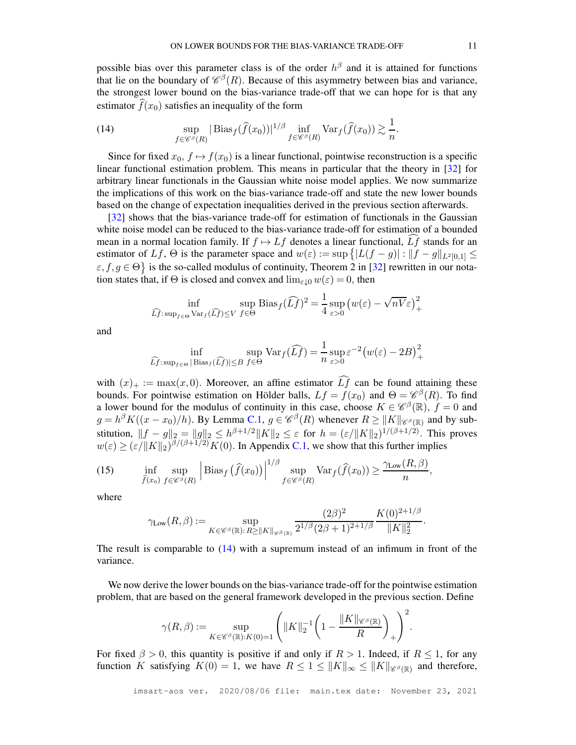possible bias over this parameter class is of the order  $h^{\beta}$  and it is attained for functions that lie on the boundary of  $\mathcal{C}^{\beta}(R)$ . Because of this asymmetry between bias and variance, the strongest lower bound on the bias-variance trade-off that we can hope for is that any estimator  $\widehat{f}(x_0)$  satisfies an inequality of the form

<span id="page-10-0"></span>(14) 
$$
\sup_{f \in \mathscr{C}^{\beta}(R)} |\text{Bias}_f(\widehat{f}(x_0))|^{1/\beta} \inf_{f \in \mathscr{C}^{\beta}(R)} \text{Var}_f(\widehat{f}(x_0)) \gtrsim \frac{1}{n}.
$$

Since for fixed  $x_0, f \mapsto f(x_0)$  is a linear functional, pointwise reconstruction is a specific linear functional estimation problem. This means in particular that the theory in [\[32\]](#page-27-3) for arbitrary linear functionals in the Gaussian white noise model applies. We now summarize the implications of this work on the bias-variance trade-off and state the new lower bounds based on the change of expectation inequalities derived in the previous section afterwards.

[\[32\]](#page-27-3) shows that the bias-variance trade-off for estimation of functionals in the Gaussian white noise model can be reduced to the bias-variance trade-off for estimation of a bounded mean in a normal location family. If  $f \mapsto Lf$  denotes a linear functional,  $Lf$  stands for an estimator of Lf,  $\Theta$  is the parameter space and  $w(\varepsilon) := \sup \{|L(f - g)| : ||f - g||_{L^2[0,1]} \leq$  $\{\epsilon, f, g \in \Theta\}$  is the so-called modulus of continuity, Theorem 2 in [\[32\]](#page-27-3) rewritten in our notation states that, if  $\Theta$  is closed and convex and  $\lim_{\varepsilon \downarrow 0} w(\varepsilon) = 0$ , then

$$
\inf_{\widehat{Lf}: \sup_{f \in \Theta} \text{Var}_f(\widehat{Lf}) \le V} \sup_{f \in \Theta} \text{Bias}_f(\widehat{Lf})^2 = \frac{1}{4} \sup_{\varepsilon > 0} \left( w(\varepsilon) - \sqrt{nV} \varepsilon \right)_+^2
$$

and

$$
\inf_{\widehat{Lf}: \sup_{f \in \Theta} |\operatorname{Bias}_f(\widehat{Lf})| \le B} \operatorname{Sup} \operatorname{Var}_f(\widehat{Lf}) = \frac{1}{n} \sup_{\varepsilon > 0} \varepsilon^{-2} \big( w(\varepsilon) - 2B \big)^2_+
$$

with  $(x)_+ := \max(x, 0)$ . Moreover, an affine estimator  $\widehat{Lf}$  can be found attaining these bounds. For pointwise estimation on Hölder balls,  $Lf = f(x_0)$  and  $\Theta = \mathcal{C}^{\beta}(R)$ . To find a lower bound for the modulus of continuity in this case, choose  $K \in \mathscr{C}^{\beta}(\mathbb{R})$ ,  $f = 0$  and  $g = h^{\beta} K((x - x_0)/h)$ . By Lemma [C.1,](#page-43-0)  $g \in \mathscr{C}^{\beta}(R)$  whenever  $R \ge ||K||_{\mathscr{C}^{\beta}(\mathbb{R})}$  and by substitution,  $||f - g||_2 = ||g||_2 \leq h^{\beta+1/2} ||K||_2 \leq \varepsilon$  for  $h = (\varepsilon/||K||_2)^{1/(\beta+1/2)}$ . This proves  $w(\varepsilon) \geq (\varepsilon / \|K\|_2)^{\beta/(\beta + 1/2)} K(0)$ . In Appendix [C.1,](#page-43-1) we show that this further implies

<span id="page-10-1"></span>(15) 
$$
\inf_{\widehat{f}(x_0)} \sup_{f \in \mathscr{C}^\beta(R)} \left| \text{Bias}_f \left( \widehat{f}(x_0) \right) \right|^{1/\beta} \sup_{f \in \mathscr{C}^\beta(R)} \text{Var}_f(\widehat{f}(x_0)) \ge \frac{\gamma_{\text{Low}}(R,\beta)}{n},
$$

where

$$
\gamma_{\text{Low}}(R,\beta) := \sup_{K \in \mathscr{C}^{\beta}(\mathbb{R}): R \ge ||K||_{\mathscr{C}^{\beta}(\mathbb{R})}} \frac{(2\beta)^2}{2^{1/\beta} (2\beta + 1)^{2+1/\beta}} \frac{K(0)^{2+1/\beta}}{||K||_2^2}
$$

.

The result is comparable to  $(14)$  with a supremum instead of an infimum in front of the variance.

We now derive the lower bounds on the bias-variance trade-off for the pointwise estimation problem, that are based on the general framework developed in the previous section. Define

$$
\gamma(R,\beta):=\sup_{K\in\mathscr{C}^{\beta}(\mathbb{R}):K(0)=1}\Bigg(\|K\|_2^{-1}\bigg(1-\frac{\|K\|_{\mathscr{C}^{\beta}(\mathbb{R})}}{R}\bigg)_+\Bigg)^2.
$$

For fixed  $\beta > 0$ , this quantity is positive if and only if  $R > 1$ . Indeed, if  $R \le 1$ , for any function K satisfying  $K(0) = 1$ , we have  $R \le 1 \le ||K||_{\infty} \le ||K||_{\mathscr{C}^{\beta}(\mathbb{R})}$  and therefore,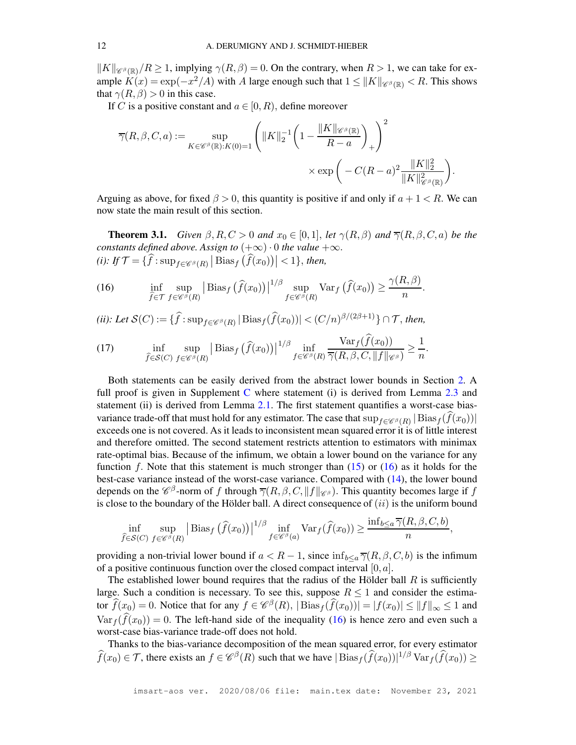$||K||_{\mathscr{C}^{\beta}(\mathbb{R})}/R \ge 1$ , implying  $\gamma(R,\beta) = 0$ . On the contrary, when  $R > 1$ , we can take for example  $K(x) = \exp(-x^2/A)$  with A large enough such that  $1 \le ||K||_{\mathscr{C}^{\beta}(\mathbb{R})} < R$ . This shows that  $\gamma(R, \beta) > 0$  in this case.

If C is a positive constant and  $a \in [0, R)$ , define moreover

$$
\overline{\gamma}(R,\beta,C,a) := \sup_{K \in \mathscr{C}^{\beta}(\mathbb{R}):K(0)=1} \left( \|K\|_{2}^{-1} \left(1 - \frac{\|K\|_{\mathscr{C}^{\beta}(\mathbb{R})}}{R-a}\right)_{+}\right)^{2} \times \exp\left(-C(R-a)^{2} \frac{\|K\|_{2}^{2}}{\|K\|_{\mathscr{C}^{\beta}(\mathbb{R})}^{2}}\right).
$$

Arguing as above, for fixed  $\beta > 0$ , this quantity is positive if and only if  $a + 1 < R$ . We can now state the main result of this section.

<span id="page-11-1"></span>**Theorem 3.1.** *Given*  $\beta$ ,  $R$ ,  $C > 0$  *and*  $x_0 \in [0,1]$ , *let*  $\gamma(R,\beta)$  *and*  $\overline{\gamma}(R,\beta,C,a)$  *be the constants defined above. Assign to*  $(+\infty) \cdot 0$  *the value*  $+\infty$ *.* (*i*): If  $\mathcal{T} = \{\widehat{f}: \sup_{f \in \mathscr{C}^{\beta}(R)} \big|\operatorname{Bias}_{f}(\widehat{f}(x_0))\big| < 1\}$ , then,

<span id="page-11-0"></span>(16) 
$$
\inf_{\widehat{f}\in\mathcal{T}}\sup_{f\in\mathscr{C}^{\beta}(R)}\left|\operatorname{Bias}_{f}\left(\widehat{f}(x_{0})\right)\right|^{1/\beta}\sup_{f\in\mathscr{C}^{\beta}(R)}\operatorname{Var}_{f}\left(\widehat{f}(x_{0})\right)\geq\frac{\gamma(R,\beta)}{n}.
$$

(*ii*): Let 
$$
S(C) := \{\hat{f} : \sup_{f \in \mathcal{C}^\beta(R)} |\operatorname{Bias}_f(\hat{f}(x_0))| < (C/n)^{\beta/(2\beta+1)}\} \cap \mathcal{T}
$$
, then,

(17) 
$$
\inf_{\widehat{f}\in\mathcal{S}(C)}\sup_{f\in\mathscr{C}^{\beta}(R)}\left|\operatorname{Bias}_{f}\left(\widehat{f}(x_{0})\right)\right|^{1/\beta}\inf_{f\in\mathscr{C}^{\beta}(R)}\frac{\operatorname{Var}_{f}(f(x_{0}))}{\overline{\gamma}(R,\beta,C,\|f\|_{\mathscr{C}^{\beta}})}\geq\frac{1}{n}.
$$

Both statements can be easily derived from the abstract lower bounds in Section [2.](#page-3-0) A full proof is given in Supplement [C](#page-43-2) where statement (i) is derived from Lemma [2.3](#page-5-0) and statement (ii) is derived from Lemma [2.1.](#page-3-1) The first statement quantifies a worst-case biasvariance trade-off that must hold for any estimator. The case that  $\sup_{f \in \mathscr{C}^\beta(R)} |\text{Bias}_f(f(x_0))|$ exceeds one is not covered. As it leads to inconsistent mean squared error it is of little interest and therefore omitted. The second statement restricts attention to estimators with minimax rate-optimal bias. Because of the infimum, we obtain a lower bound on the variance for any function f. Note that this statement is much stronger than  $(15)$  or  $(16)$  as it holds for the best-case variance instead of the worst-case variance. Compared with [\(14\)](#page-10-0), the lower bound depends on the  $\mathscr{C}^{\beta}$ -norm of f through  $\overline{\gamma}(R,\beta,C,\|f\|_{\mathscr{C}^{\beta}})$ . This quantity becomes large if f is close to the boundary of the Hölder ball. A direct consequence of  $(ii)$  is the uniform bound

$$
\inf_{\widehat{f}\in\mathcal{S}(C)}\sup_{f\in\mathscr{C}^{\beta}(R)}\left|\operatorname{Bias}_{f}\left(\widehat{f}(x_{0})\right)\right|^{1/\beta}\inf_{f\in\mathscr{C}^{\beta}(a)}\operatorname{Var}_{f}(\widehat{f}(x_{0}))\geq\frac{\inf_{b\leq a}\overline{\gamma}(R,\beta,C,b)}{n},
$$

providing a non-trivial lower bound if  $a < R - 1$ , since  $\inf_{b \le a} \overline{\gamma}(R, \beta, C, b)$  is the infimum of a positive continuous function over the closed compact interval  $[0, a]$ .

The established lower bound requires that the radius of the Hölder ball  $R$  is sufficiently large. Such a condition is necessary. To see this, suppose  $R \leq 1$  and consider the estimator  $\widehat{f}(x_0) = 0$ . Notice that for any  $f \in \mathscr{C}^{\beta}(R)$ ,  $|\text{Bias}_{f}(\widehat{f}(x_0))| = |f(x_0)| \le ||f||_{\infty} \le 1$  and  $Var_f(\hat{f}(x_0)) = 0$ . The left-hand side of the inequality [\(16\)](#page-11-0) is hence zero and even such a worst-case bias-variance trade-off does not hold.

Thanks to the bias-variance decomposition of the mean squared error, for every estimator  $\widehat{f}(x_0) \in \mathcal{T}$ , there exists an  $f \in \mathscr{C}^{\beta}(R)$  such that we have  $|\text{Bias}_f(\widehat{f}(x_0))|^{1/\beta} \text{Var}_f(\widehat{f}(x_0)) \ge$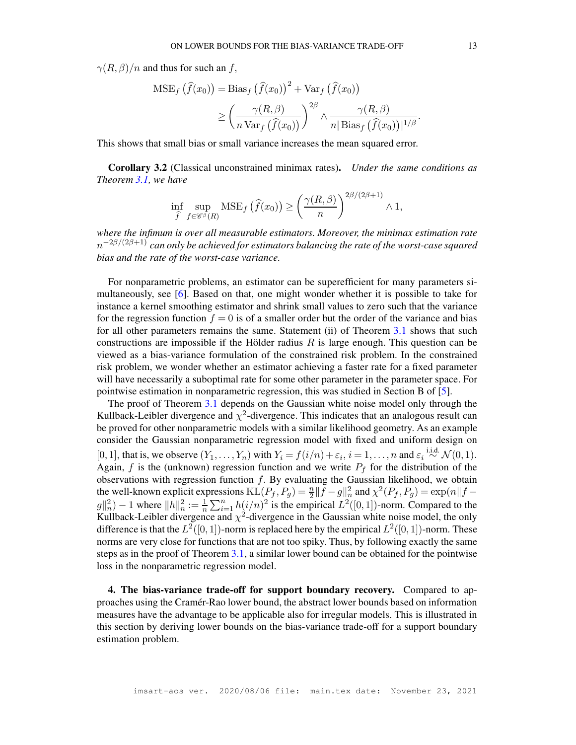$\gamma(R,\beta)/n$  and thus for such an f,

$$
MSE_f\left(\hat{f}(x_0)\right) = Bias_f\left(\hat{f}(x_0)\right)^2 + Var_f\left(\hat{f}(x_0)\right)
$$

$$
\geq \left(\frac{\gamma(R,\beta)}{n\operatorname{Var}_f\left(\hat{f}(x_0)\right)}\right)^{2\beta} \wedge \frac{\gamma(R,\beta)}{n|\operatorname{Bias}_f\left(\hat{f}(x_0)\right)|^{1/\beta}}.
$$

This shows that small bias or small variance increases the mean squared error.

Corollary 3.2 (Classical unconstrained minimax rates). *Under the same conditions as Theorem [3.1,](#page-11-1) we have*

$$
\inf_{\widehat{f}} \sup_{f \in \mathscr{C}^{\beta}(R)} \text{MSE}_{f}(\widehat{f}(x_0)) \ge \left(\frac{\gamma(R,\beta)}{n}\right)^{2\beta/(2\beta+1)} \wedge 1,
$$

*where the infimum is over all measurable estimators. Moreover, the minimax estimation rate* n <sup>−</sup>2β/(2β+1) *can only be achieved for estimators balancing the rate of the worst-case squared bias and the rate of the worst-case variance.*

For nonparametric problems, an estimator can be superefficient for many parameters simultaneously, see [\[6\]](#page-26-7). Based on that, one might wonder whether it is possible to take for instance a kernel smoothing estimator and shrink small values to zero such that the variance for the regression function  $f = 0$  is of a smaller order but the order of the variance and bias for all other parameters remains the same. Statement (ii) of Theorem [3.1](#page-11-1) shows that such constructions are impossible if the Hölder radius  $R$  is large enough. This question can be viewed as a bias-variance formulation of the constrained risk problem. In the constrained risk problem, we wonder whether an estimator achieving a faster rate for a fixed parameter will have necessarily a suboptimal rate for some other parameter in the parameter space. For pointwise estimation in nonparametric regression, this was studied in Section B of [\[5\]](#page-26-8).

The proof of Theorem [3.1](#page-11-1) depends on the Gaussian white noise model only through the Kullback-Leibler divergence and  $\chi^2$ -divergence. This indicates that an analogous result can be proved for other nonparametric models with a similar likelihood geometry. As an example consider the Gaussian nonparametric regression model with fixed and uniform design on [0, 1], that is, we observe  $(Y_1, \ldots, Y_n)$  with  $Y_i = f(i/n) + \varepsilon_i$ ,  $i = 1, \ldots, n$  and  $\varepsilon_i \stackrel{\text{i.i.d.}}{\sim} \mathcal{N}(0, 1)$ . Again, f is the (unknown) regression function and we write  $P_f$  for the distribution of the observations with regression function  $f$ . By evaluating the Gaussian likelihood, we obtain the well-known explicit expressions  $KL(P_f, P_g) = \frac{n}{2} ||f - g||_n^2$  and  $\chi^2(P_f, P_g) = \exp(n||f - g||_n^2)$  $||g||_n^2 = \frac{1}{n} \sum_{i=1}^n h(i/n)^2$  is the empirical  $L^2([0,1])$ -norm. Compared to the Kullback-Leibler divergence and  $\chi^2$ -divergence in the Gaussian white noise model, the only difference is that the  $L^2([0,1])$ -norm is replaced here by the empirical  $L^2([0,1])$ -norm. These norms are very close for functions that are not too spiky. Thus, by following exactly the same steps as in the proof of Theorem [3.1,](#page-11-1) a similar lower bound can be obtained for the pointwise loss in the nonparametric regression model.

<span id="page-12-0"></span>4. The bias-variance trade-off for support boundary recovery. Compared to approaches using the Cramér-Rao lower bound, the abstract lower bounds based on information measures have the advantage to be applicable also for irregular models. This is illustrated in this section by deriving lower bounds on the bias-variance trade-off for a support boundary estimation problem.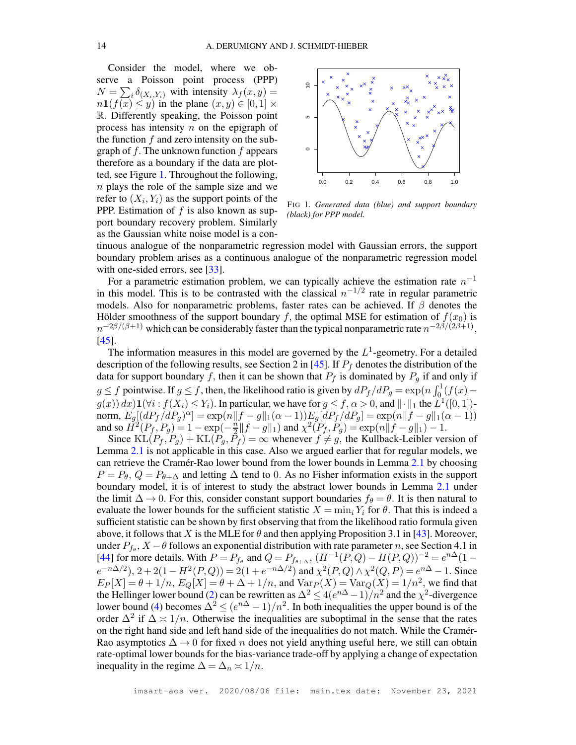Consider the model, where we observe a Poisson point process (PPP)  $N = \sum_i \delta_{(X_i, Y_i)}$  with intensity  $\lambda_f(x, y) =$  $n1(f(x) \leq y)$  in the plane  $(x, y) \in [0, 1] \times$ R. Differently speaking, the Poisson point process has intensity  $n$  on the epigraph of the function  $f$  and zero intensity on the subgraph of  $f$ . The unknown function  $f$  appears therefore as a boundary if the data are plotted, see Figure [1.](#page-13-0) Throughout the following, n plays the role of the sample size and we refer to  $(X_i, Y_i)$  as the support points of the PPP. Estimation of  $f$  is also known as support boundary recovery problem. Similarly as the Gaussian white noise model is a con-



<span id="page-13-0"></span>FIG 1*. Generated data (blue) and support boundary (black) for PPP model.*

tinuous analogue of the nonparametric regression model with Gaussian errors, the support boundary problem arises as a continuous analogue of the nonparametric regression model with one-sided errors, see [\[33\]](#page-27-13).

For a parametric estimation problem, we can typically achieve the estimation rate  $n^{-1}$ in this model. This is to be contrasted with the classical  $n^{-1/2}$  rate in regular parametric models. Also for nonparametric problems, faster rates can be achieved. If  $\beta$  denotes the Hölder smoothness of the support boundary f, the optimal MSE for estimation of  $f(x_0)$  is  $n^{-2\beta/(\beta+1)}$  which can be considerably faster than the typical nonparametric rate  $n^{-2\beta/(\beta+1)}$ , [\[45\]](#page-28-8).

The information measures in this model are governed by the  $L^1$ -geometry. For a detailed description of the following results, see Section 2 in [\[45\]](#page-28-8). If  $P_f$  denotes the distribution of the data for support boundary f, then it can be shown that  $P_f$  is dominated by  $P_g$  if and only if g  $\leq f$  pointwise. If  $g \leq f$ , then, the likelihood ratio is given by  $dP_f/dP_g = \exp\left(n \int_0^1 (f(x)$  $g(x)$   $dx$ )  $1(\forall i : f(X_i) \leq Y_i)$ . In particular, we have for  $g \leq f$ ,  $\alpha > 0$ , and  $|| \cdot ||_1$  the  $L^1([0, 1])$ . norm,  $E_g[(dP_f/dP_g)^{\alpha}] = \exp(n||f - g||_1(\alpha - 1))E_g[dP_f/dP_g] = \exp(n||f - g||_1(\alpha - 1))$ and so  $\check{H}^2(P_f, P_g) = 1 - \exp(-\frac{n}{2})$  $\frac{n}{2}||f-g||_1$  and  $\chi^2(P_f, P_g) = \exp(n||f-g||_1) - 1.$ 

Since  $KL(P_f, P_q) + KL(P_q, \bar{P}_f) = \infty$  whenever  $f \neq g$ , the Kullback-Leibler version of Lemma [2.1](#page-3-1) is not applicable in this case. Also we argued earlier that for regular models, we can retrieve the Cramér-Rao lower bound from the lower bounds in Lemma [2.1](#page-3-1) by choosing  $P = P_{\theta}$ ,  $Q = P_{\theta+\Delta}$  and letting  $\Delta$  tend to 0. As no Fisher information exists in the support boundary model, it is of interest to study the abstract lower bounds in Lemma [2.1](#page-3-1) under the limit  $\Delta \to 0$ . For this, consider constant support boundaries  $f_\theta = \theta$ . It is then natural to evaluate the lower bounds for the sufficient statistic  $X = \min_i Y_i$  for  $\theta$ . That this is indeed a sufficient statistic can be shown by first observing that from the likelihood ratio formula given above, it follows that X is the MLE for  $\theta$  and then applying Proposition 3.1 in [\[43\]](#page-28-9). Moreover, under  $P_{f_{\theta}}, X - \theta$  follows an exponential distribution with rate parameter n, see Section 4.1 in [\[44\]](#page-28-10) for more details. With  $P = P_{f_{\theta}}$  and  $Q = P_{f_{\theta+\Delta}}$ ,  $(H^{-1}(P,Q) - H(P,Q))^{-2} = e^{n\Delta}(1$  $e^{-n\Delta/2}$ ,  $2+2(1-H^2(P,Q)) = 2(1+e^{-n\Delta/2})$  and  $\chi^2(P,Q) \wedge \chi^2(Q,P) = e^{n\Delta}-1$ . Since  $E_P[X] = \theta + 1/n$ ,  $E_Q[X] = \theta + \Delta + 1/n$ , and  $Var_P(X) = Var_Q(X) = 1/n^2$ , we find that the Hellinger lower bound [\(2\)](#page-4-1) can be rewritten as  $\Delta^2 \leq 4(e^{n\Delta}-1)/n^2$  and the  $\chi^2$ -divergence lower bound [\(4\)](#page-4-0) becomes  $\Delta^2 \le (e^{n\Delta} - 1)/n^2$ . In both inequalities the upper bound is of the order  $\Delta^2$  if  $\Delta \approx 1/n$ . Otherwise the inequalities are suboptimal in the sense that the rates on the right hand side and left hand side of the inequalities do not match. While the Cramér-Rao asymptotics  $\Delta \rightarrow 0$  for fixed *n* does not yield anything useful here, we still can obtain rate-optimal lower bounds for the bias-variance trade-off by applying a change of expectation inequality in the regime  $\Delta = \Delta_n \approx 1/n$ .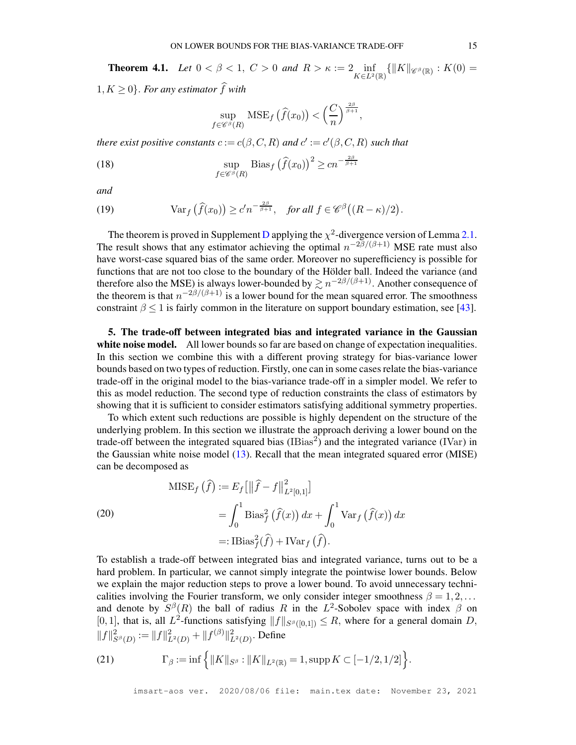<span id="page-14-3"></span>**Theorem 4.1.** *Let*  $0 < \beta < 1$ ,  $C > 0$  *and*  $R > \kappa := 2$  inf  $\inf_{K\in L^2(\mathbb{R})} \{ ||K||_{\mathscr{C}^{\beta}(\mathbb{R})} : K(0) =$  $1, K \geq 0$ . For any estimator  $\widehat{f}$  with

$$
\sup_{f \in \mathscr{C}^\beta(R)} \text{MSE}_f\left(\widehat{f}(x_0)\right) < \left(\frac{C}{n}\right)^{\frac{2\beta}{\beta+1}},
$$

*there exist positive constants*  $c := c(\beta, C, R)$  *and*  $c' := c'(\beta, C, R)$  *such that* 

<span id="page-14-4"></span>(18) 
$$
\sup_{f \in \mathscr{C}^{\beta}(R)} \text{Bias}_f \left( \widehat{f}(x_0) \right)^2 \ge c n^{-\frac{2\beta}{\beta+1}}
$$

*and*

<span id="page-14-5"></span>(19) 
$$
\text{Var}_f\left(\widehat{f}(x_0)\right) \ge c'n^{-\frac{2\beta}{\beta+1}}, \text{ for all } f \in \mathscr{C}^{\beta}\big((R-\kappa)/2\big).
$$

The theorem is proved in Supplement [D](#page-47-0) applying the  $\chi^2$ -divergence version of Lemma [2.1.](#page-3-1) The result shows that any estimator achieving the optimal  $n^{-2\beta/(\beta+1)}$  MSE rate must also have worst-case squared bias of the same order. Moreover no superefficiency is possible for functions that are not too close to the boundary of the Hölder ball. Indeed the variance (and therefore also the MSE) is always lower-bounded by  $\gtrsim n^{-2\beta/(\beta+1)}$ . Another consequence of the theorem is that  $n^{-2\beta/(\beta+1)}$  is a lower bound for the mean squared error. The smoothness constraint  $\beta \leq 1$  is fairly common in the literature on support boundary estimation, see [\[43\]](#page-28-9).

<span id="page-14-0"></span>5. The trade-off between integrated bias and integrated variance in the Gaussian white noise model. All lower bounds so far are based on change of expectation inequalities. In this section we combine this with a different proving strategy for bias-variance lower bounds based on two types of reduction. Firstly, one can in some cases relate the bias-variance trade-off in the original model to the bias-variance trade-off in a simpler model. We refer to this as model reduction. The second type of reduction constraints the class of estimators by showing that it is sufficient to consider estimators satisfying additional symmetry properties.

To which extent such reductions are possible is highly dependent on the structure of the underlying problem. In this section we illustrate the approach deriving a lower bound on the trade-off between the integrated squared bias  $\left(IBias^2\right)$  and the integrated variance  $\left(IVar\right)$  in the Gaussian white noise model [\(13\)](#page-9-1). Recall that the mean integrated squared error (MISE) can be decomposed as

<span id="page-14-1"></span>
$$
\begin{aligned} \text{MISE}_{f}(\hat{f}) &:= E_{f} \left[ \left\| \hat{f} - f \right\|_{L^{2}[0,1]}^{2} \right] \\ &= \int_{0}^{1} \text{Bias}_{f}^{2}(\hat{f}(x)) \, dx + \int_{0}^{1} \text{Var}_{f}(\hat{f}(x)) \, dx \\ &=: \text{IBias}_{f}^{2}(\hat{f}) + \text{IVar}_{f}(\hat{f}). \end{aligned}
$$

To establish a trade-off between integrated bias and integrated variance, turns out to be a hard problem. In particular, we cannot simply integrate the pointwise lower bounds. Below we explain the major reduction steps to prove a lower bound. To avoid unnecessary technicalities involving the Fourier transform, we only consider integer smoothness  $\beta = 1, 2, \ldots$ and denote by  $S^{\beta}(R)$  the ball of radius R in the  $L^2$ -Sobolev space with index  $\beta$  on [0, 1], that is, all  $L^2$ -functions satisfying  $||f||_{S^{\beta}([0,1])} \leq R$ , where for a general domain D,  $||f||_{S^{\beta}(D)}^2 := ||f||_{L^2(D)}^2 + ||f^{(\beta)}||_{L^2(D)}^2$ . Define

<span id="page-14-2"></span>(21) 
$$
\Gamma_{\beta} := \inf \left\{ \|K\|_{S^{\beta}} : \|K\|_{L^{2}(\mathbb{R})} = 1, \sup K \subset [-1/2, 1/2] \right\}.
$$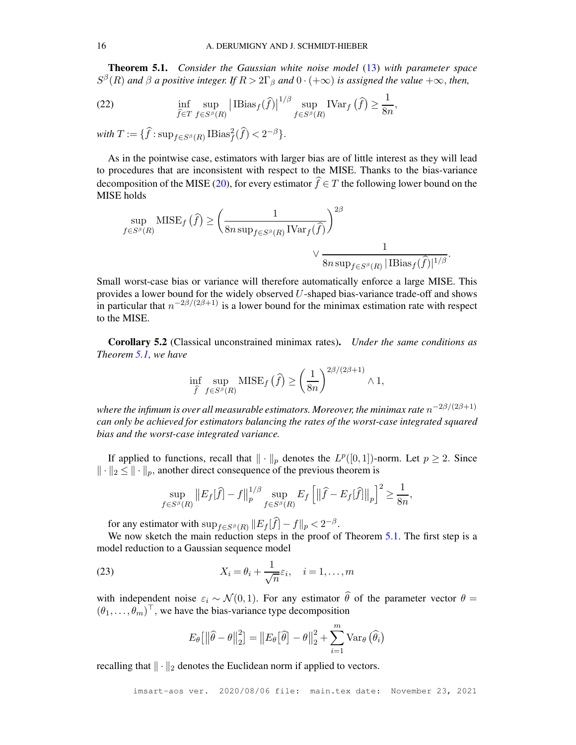<span id="page-15-1"></span>Theorem 5.1. *Consider the Gaussian white noise model* [\(13\)](#page-9-1) *with parameter space*  $S^{\beta}(R)$  and  $\beta$  a positive integer. If  $R > 2\Gamma_{\beta}$  and  $0 \cdot (+\infty)$  is assigned the value  $+\infty$ , then,

<span id="page-15-0"></span>(22) 
$$
\inf_{\widehat{f}\in T} \sup_{f\in S^{\beta}(R)} \left| \mathrm{IBias}_{f}(\widehat{f}) \right|^{1/\beta} \sup_{f\in S^{\beta}(R)} \mathrm{IVar}_{f}(\widehat{f}) \geq \frac{1}{8n},
$$

with  $T := \{ \widehat{f} : \sup_{f \in S^{\beta}(R)} \text{IBias}_{f}^{2}(\widehat{f}) < 2^{-\beta} \}.$ 

As in the pointwise case, estimators with larger bias are of little interest as they will lead to procedures that are inconsistent with respect to the MISE. Thanks to the bias-variance decomposition of the MISE [\(20\)](#page-14-1), for every estimator  $\hat{f} \in T$  the following lower bound on the MISE holds

$$
\sup_{f \in S^{\beta}(R)} \text{MISE}_{f}(\hat{f}) \ge \left(\frac{1}{8n \sup_{f \in S^{\beta}(R)} \text{IVar}_{f}(\hat{f})}\right)^{2\beta} \vee \frac{1}{8n \sup_{f \in S^{\beta}(R)} |\text{Bias}_{f}(\hat{f})|^{1/\beta}}
$$

.

Small worst-case bias or variance will therefore automatically enforce a large MISE. This provides a lower bound for the widely observed  $U$ -shaped bias-variance trade-off and shows in particular that  $n^{-2\beta/(2\beta+1)}$  is a lower bound for the minimax estimation rate with respect to the MISE.

Corollary 5.2 (Classical unconstrained minimax rates). *Under the same conditions as Theorem [5.1,](#page-15-0) we have*

$$
\inf_{\widehat{f}} \sup_{f \in S^{\beta}(R)} \text{MISE}_f(\widehat{f}) \ge \left(\frac{1}{8n}\right)^{2\beta/(2\beta+1)} \wedge 1,
$$

where the infimum is over all measurable estimators. Moreover, the minimax rate  $n^{-2\beta/(2\beta+1)}$ *can only be achieved for estimators balancing the rates of the worst-case integrated squared bias and the worst-case integrated variance.*

If applied to functions, recall that  $\|\cdot\|_p$  denotes the  $L^p([0,1])$ -norm. Let  $p \ge 2$ . Since  $\|\cdot\|_2 \leq \|\cdot\|_p$ , another direct consequence of the previous theorem is

$$
\sup_{f\in S^{\beta}(R)}\left\|E_{f}[\widehat{f}]-f\right\|_{p}^{1/\beta}\sup_{f\in S^{\beta}(R)}E_{f}\left[\left\|\widehat{f}-E_{f}[\widehat{f}]\right\|_{p}\right]^{2}\geq\frac{1}{8n},
$$

for any estimator with  $\sup_{f \in S^{\beta}(R)} ||E_f[f] - f||_p < 2^{-\beta}$ .

We now sketch the main reduction steps in the proof of Theorem [5.1.](#page-15-1) The first step is a model reduction to a Gaussian sequence model

<span id="page-15-2"></span>(23) 
$$
X_i = \theta_i + \frac{1}{\sqrt{n}} \varepsilon_i, \quad i = 1, \dots, m
$$

with independent noise  $\varepsilon_i \sim \mathcal{N}(0, 1)$ . For any estimator  $\hat{\theta}$  of the parameter vector  $\theta =$  $(\theta_1, \ldots, \theta_m)^\top$ , we have the bias-variance type decomposition

$$
E_{\theta}\left[\left\|\widehat{\theta}-\theta\right\|_{2}^{2}\right]=\left\|E_{\theta}\left[\widehat{\theta}\right]-\theta\right\|_{2}^{2}+\sum_{i=1}^{m} \text{Var}_{\theta}\left(\widehat{\theta}_{i}\right)
$$

recalling that  $\|\cdot\|_2$  denotes the Euclidean norm if applied to vectors.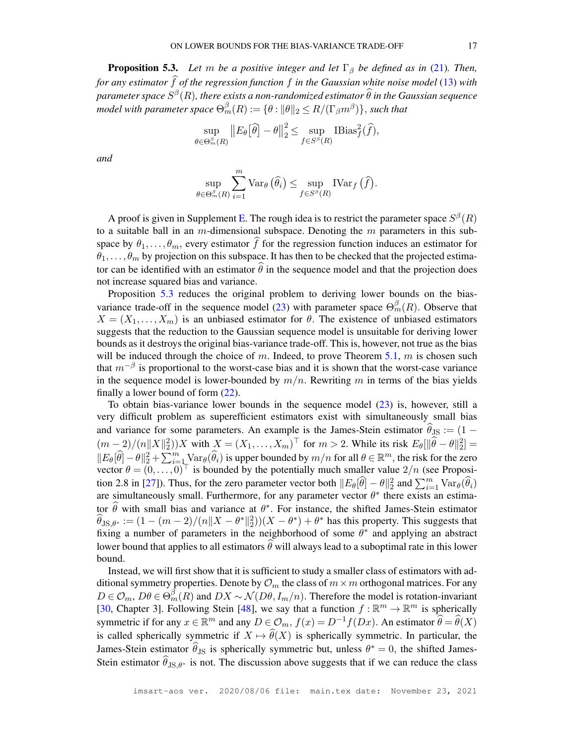<span id="page-16-0"></span>**Proposition 5.3.** *Let* m *be a positive integer and let*  $\Gamma_{\beta}$  *be defined as in* [\(21\)](#page-14-2)*. Then, for any estimator* f *of the regression function* f *in the Gaussian white noise model* [\(13\)](#page-9-1) *with*  $p$ arameter space  $S^\beta(R)$ , there exists a non-randomized estimator  $\widehat{\theta}$  in the Gaussian sequence model with parameter space  $\Theta_m^{\beta}(R) := \{\theta: \| \theta \|_2 \leq R/(\Gamma_{\beta} m^{\beta})\}$ , such that

$$
\sup_{\theta \in \Theta_m^{\beta}(R)} \|E_{\theta}[\widehat{\theta}] - \theta\|_2^2 \le \sup_{f \in S^{\beta}(R)} \text{IBias}_{f}^2(\widehat{f}),
$$

*and*

$$
\sup_{\theta \in \Theta_m^{\beta}(R)} \sum_{i=1}^m \text{Var}_{\theta}(\widehat{\theta}_i) \leq \sup_{f \in S^{\beta}(R)} \text{IVar}_f(\widehat{f}).
$$

A proof is given in Supplement [E.](#page-48-0) The rough idea is to restrict the parameter space  $S^{\beta}(R)$ to a suitable ball in an m-dimensional subspace. Denoting the  $m$  parameters in this subspace by  $\theta_1, \ldots, \theta_m$ , every estimator f for the regression function induces an estimator for  $\theta_1, \ldots, \theta_m$  by projection on this subspace. It has then to be checked that the projected estimator can be identified with an estimator  $\hat{\theta}$  in the sequence model and that the projection does not increase squared bias and variance.

Proposition [5.3](#page-16-0) reduces the original problem to deriving lower bounds on the bias-variance trade-off in the sequence model [\(23\)](#page-15-2) with parameter space  $\Theta_m^{\beta}(R)$ . Observe that  $X = (X_1, \ldots, X_m)$  is an unbiased estimator for  $\theta$ . The existence of unbiased estimators suggests that the reduction to the Gaussian sequence model is unsuitable for deriving lower bounds as it destroys the original bias-variance trade-off. This is, however, not true as the bias will be induced through the choice of m. Indeed, to prove Theorem [5.1,](#page-15-1) m is chosen such that  $m^{-\beta}$  is proportional to the worst-case bias and it is shown that the worst-case variance in the sequence model is lower-bounded by  $m/n$ . Rewriting m in terms of the bias yields finally a lower bound of form [\(22\)](#page-15-0).

To obtain bias-variance lower bounds in the sequence model [\(23\)](#page-15-2) is, however, still a very difficult problem as superefficient estimators exist with simultaneously small bias and variance for some parameters. An example is the James-Stein estimator  $\hat{\theta}_{\text{JS}} := (1 (m-2)/(n||X||_2^2)$  with  $X = (X_1, \ldots, X_m)^\top$  for  $m > 2$ . While its risk  $E_\theta[\|\hat{\theta} - \theta\|_2^2] =$  $||E_{\theta}[\widehat{\theta}] - \theta||_2^2 + \sum_{i=1}^m \text{Var}_{\theta}(\widehat{\theta}_i)$  is upper bounded by  $m/n$  for all  $\theta \in \mathbb{R}^m$ , the risk for the zero vector  $\theta = (0, \dots, 0)^\top$  is bounded by the potentially much smaller value  $2/n$  (see Proposi-tion 2.8 in [\[27\]](#page-27-14)). Thus, for the zero parameter vector both  $||E_{\theta}[\hat{\theta}] - \theta||_2^2$  and  $\sum_{i=1}^m \text{Var}_{\theta}(\hat{\theta}_i)$ are simultaneously small. Furthermore, for any parameter vector  $\theta^*$  there exists an estimator  $\theta$  with small bias and variance at  $\theta^*$ . For instance, the shifted James-Stein estimator  $\hat{\theta}_{\text{JS},\theta^*} := (1 - (m-2)/(n||X - \theta^*||_2^2))(X - \theta^*) + \theta^*$  has this property. This suggests that fixing a number of parameters in the neighborhood of some  $\theta^*$  and applying an abstract lower bound that applies to all estimators  $\theta$  will always lead to a suboptimal rate in this lower bound.

Instead, we will first show that it is sufficient to study a smaller class of estimators with additional symmetry properties. Denote by  $\mathcal{O}_m$  the class of  $m \times m$  orthogonal matrices. For any  $D \in \mathcal{O}_m$ ,  $D\theta \in \Theta_m^{\beta}(R)$  and  $DX \sim \mathcal{N}(D\theta, I_m/n)$ . Therefore the model is rotation-invariant [\[30,](#page-27-9) Chapter 3]. Following Stein [\[48\]](#page-28-11), we say that a function  $f : \mathbb{R}^m \to \mathbb{R}^m$  is spherically symmetric if for any  $x \in \mathbb{R}^m$  and any  $D \in \mathcal{O}_m$ ,  $f(x) = D^{-1}f(Dx)$ . An estimator  $\widehat{\theta} = \widehat{\theta}(X)$ is called spherically symmetric if  $X \mapsto \theta(X)$  is spherically symmetric. In particular, the James-Stein estimator  $\theta_{\text{JS}}$  is spherically symmetric but, unless  $\theta^* = 0$ , the shifted James-Stein estimator  $\theta_{\text{JS},\theta^*}$  is not. The discussion above suggests that if we can reduce the class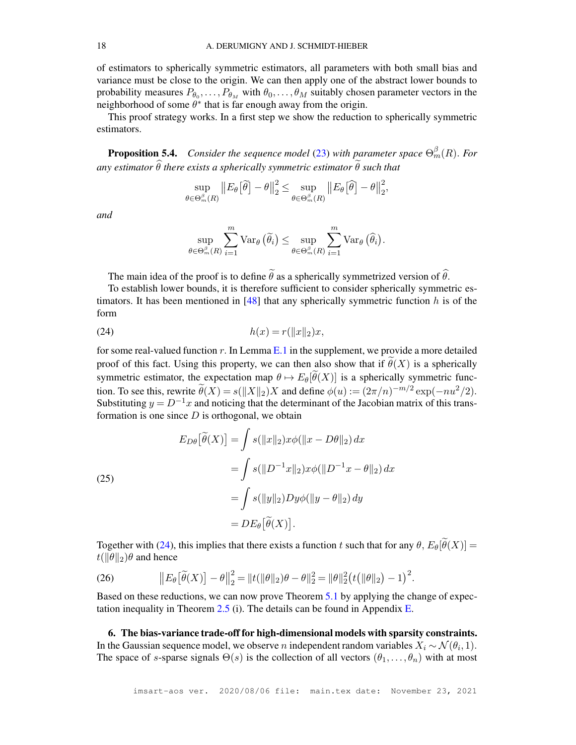of estimators to spherically symmetric estimators, all parameters with both small bias and variance must be close to the origin. We can then apply one of the abstract lower bounds to probability measures  $P_{\theta_0}, \ldots, P_{\theta_M}$  with  $\theta_0, \ldots, \theta_M$  suitably chosen parameter vectors in the neighborhood of some  $\theta^*$  that is far enough away from the origin.

This proof strategy works. In a first step we show the reduction to spherically symmetric estimators.

<span id="page-17-2"></span>**Proposition 5.4.** Consider the sequence model [\(23\)](#page-15-2) with parameter space  $\Theta_m^{\beta}(R)$ . For *any estimator*  $\widehat{\theta}$  *there exists a spherically symmetric estimator*  $\widetilde{\theta}$  *such that* 

$$
\sup_{\theta \in \Theta_m^{\beta}(R)} \left\| E_{\theta} \left[ \widetilde{\theta} \right] - \theta \right\|_2^2 \leq \sup_{\theta \in \Theta_m^{\beta}(R)} \left\| E_{\theta} \left[ \widehat{\theta} \right] - \theta \right\|_2^2,
$$

*and*

$$
\sup_{\theta \in \Theta_m^{\beta}(R)} \sum_{i=1}^m \text{Var}_{\theta}(\widetilde{\theta}_i) \leq \sup_{\theta \in \Theta_m^{\beta}(R)} \sum_{i=1}^m \text{Var}_{\theta}(\widehat{\theta}_i).
$$

The main idea of the proof is to define  $\tilde{\theta}$  as a spherically symmetrized version of  $\hat{\theta}$ .

To establish lower bounds, it is therefore sufficient to consider spherically symmetric estimators. It has been mentioned in  $[48]$  that any spherically symmetric function h is of the form

<span id="page-17-1"></span>(24) 
$$
h(x) = r(||x||_2)x,
$$

for some real-valued function  $r$ . In Lemma [E.1](#page-51-0) in the supplement, we provide a more detailed proof of this fact. Using this property, we can then also show that if  $\tilde{\theta}(X)$  is a spherically symmetric estimator, the expectation map  $\theta \mapsto E_{\theta}[\tilde{\theta}(X)]$  is a spherically symmetric function. To see this, rewrite  $\tilde{\theta}(X) = s(||X||_2)X$  and define  $\phi(u) := (2\pi/n)^{-m/2} \exp(-nu^2/2)$ . Substituting  $y = D^{-1}x$  and noticing that the determinant of the Jacobian matrix of this transformation is one since  $D$  is orthogonal, we obtain

(25)  
\n
$$
E_{D\theta}[\tilde{\theta}(X)] = \int s(\|x\|_2) x\phi(\|x - D\theta\|_2) dx
$$
\n
$$
= \int s(\|D^{-1}x\|_2) x\phi(\|D^{-1}x - \theta\|_2) dx
$$
\n
$$
= \int s(\|y\|_2) Dy\phi(\|y - \theta\|_2) dy
$$
\n
$$
= DE_{\theta}[\tilde{\theta}(X)].
$$

Together with [\(24\)](#page-17-1), this implies that there exists a function t such that for any  $\theta$ ,  $E_{\theta}[\tilde{\theta}(X)] =$  $t(||\theta||_2)\theta$  and hence

<span id="page-17-3"></span>(26) 
$$
\|E_{\theta}[\tilde{\theta}(X)] - \theta\|_2^2 = \|t(\|\theta\|_2)\theta - \theta\|_2^2 = \|\theta\|_2^2 \big(t(\|\theta\|_2) - 1\big)^2.
$$

Based on these reductions, we can now prove Theorem [5.1](#page-15-1) by applying the change of expectation inequality in Theorem  $2.5$  (i). The details can be found in Appendix [E.](#page-48-0)

<span id="page-17-0"></span>6. The bias-variance trade-off for high-dimensional models with sparsity constraints. In the Gaussian sequence model, we observe *n* independent random variables  $X_i \sim \mathcal{N}(\theta_i, 1)$ . The space of s-sparse signals  $\Theta(s)$  is the collection of all vectors  $(\theta_1, \dots, \theta_n)$  with at most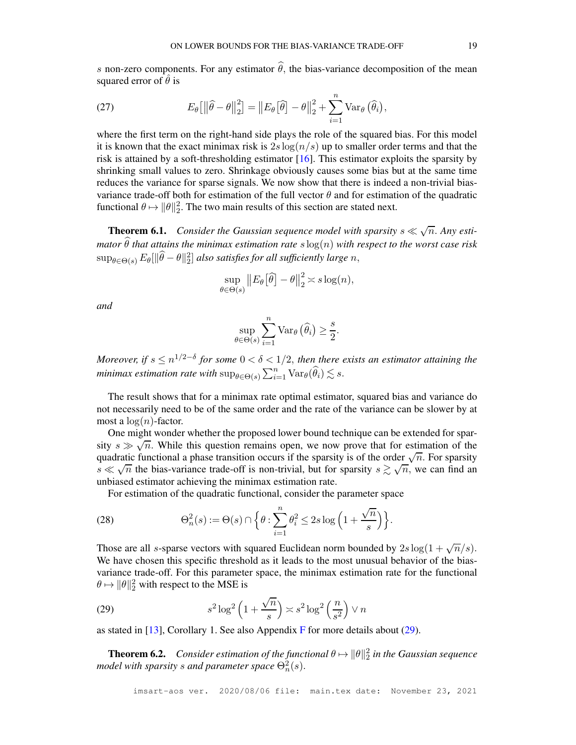s non-zero components. For any estimator  $\hat{\theta}$ , the bias-variance decomposition of the mean squared error of  $\hat{\theta}$  is

<span id="page-18-1"></span>(27) 
$$
E_{\theta}\left[\left\|\widehat{\theta}-\theta\right\|_{2}^{2}\right]=\left\|E_{\theta}\left[\widehat{\theta}\right]-\theta\right\|_{2}^{2}+\sum_{i=1}^{n}Var_{\theta}\left(\widehat{\theta}_{i}\right),
$$

where the first term on the right-hand side plays the role of the squared bias. For this model it is known that the exact minimax risk is  $2s \log(n/s)$  up to smaller order terms and that the risk is attained by a soft-thresholding estimator  $[16]$ . This estimator exploits the sparsity by shrinking small values to zero. Shrinkage obviously causes some bias but at the same time reduces the variance for sparse signals. We now show that there is indeed a non-trivial biasvariance trade-off both for estimation of the full vector  $\theta$  and for estimation of the quadratic functional  $\theta \mapsto ||\theta||_2^2$ . The two main results of this section are stated next.

<span id="page-18-3"></span>**Theorem 6.1.** Consider the Gaussian sequence model with sparsity  $s \ll \sqrt{n}$ . Any esti*mator*  $\widehat{\theta}$  *that attains the minimax estimation rate*  $s \log(n)$  *with respect to the worst case risk*  $\sup_{\theta \in \Theta(s)} E_\theta [\|\widehat\theta - \theta\|_2^2]$  also satisfies for all sufficiently large  $n,$ 

$$
\sup_{\theta \in \Theta(s)} \| E_{\theta} [\widehat{\theta}] - \theta \|_2^2 \asymp s \log(n),
$$

*and*

$$
\sup_{\theta \in \Theta(s)} \sum_{i=1}^{n} \text{Var}_{\theta}(\widehat{\theta}_{i}) \ge \frac{s}{2}.
$$

*Moreover, if*  $s \leq n^{1/2-\delta}$  for some  $0 < \delta < 1/2$ , then there exists an estimator attaining the *minimax estimation rate with*  $\sup_{\theta \in \Theta(s)} \sum_{i=1}^n \text{Var}_{\theta}(\widehat{\theta}_i) \lesssim s.$ 

The result shows that for a minimax rate optimal estimator, squared bias and variance do not necessarily need to be of the same order and the rate of the variance can be slower by at most a  $log(n)$ -factor.

One might wonder whether the proposed lower bound technique can be extended for sparsity  $s \gg \sqrt{n}$ . While this question remains open, we now prove that for estimation of the quadratic functional a phase transition occurs if the sparsity is of the order  $\sqrt{n}$ . For sparsity s «  $\sqrt{n}$  the bias-variance trade-off is non-trivial, but for sparsity  $s \gtrsim \sqrt{n}$ , we can find an unbiased estimator achieving the minimax estimation rate.

For estimation of the quadratic functional, consider the parameter space

<span id="page-18-2"></span>(28) 
$$
\Theta_n^2(s) := \Theta(s) \cap \left\{\theta : \sum_{i=1}^n \theta_i^2 \le 2s \log \left(1 + \frac{\sqrt{n}}{s}\right)\right\}.
$$

Those are all s-sparse vectors with squared Euclidean norm bounded by  $2s \log(1 + \sqrt{n/s})$ . We have chosen this specific threshold as it leads to the most unusual behavior of the biasvariance trade-off. For this parameter space, the minimax estimation rate for the functional  $\theta \mapsto ||\theta||_2^2$  with respect to the MSE is

<span id="page-18-0"></span>(29) 
$$
s^{2} \log^{2} \left(1 + \frac{\sqrt{n}}{s}\right) \asymp s^{2} \log^{2} \left(\frac{n}{s^{2}}\right) \vee n
$$

as stated in  $[13]$ , Corollary 1. See also Appendix [F](#page-53-0) for more details about [\(29\)](#page-18-0).

<span id="page-18-4"></span>**Theorem 6.2.** *Consider estimation of the functional*  $\theta \mapsto ||\theta||_2^2$  *in the Gaussian sequence* model with sparsity  $s$  and parameter space  $\Theta_n^2(s).$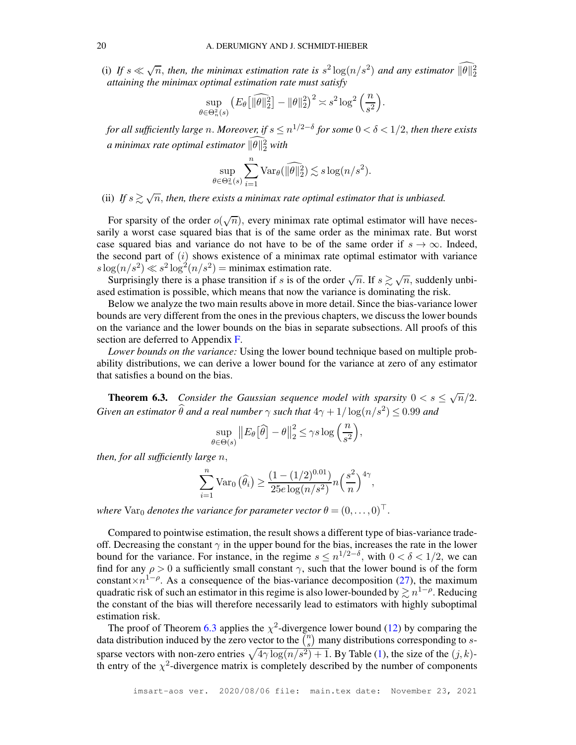(i) If  $s \ll \sqrt{n}$ , then, the minimax estimation rate is  $s^2 \log(n/s^2)$  and any estimator  $\widehat{\|\theta\|_2^2}$ *attaining the minimax optimal estimation rate must satisfy*

$$
\sup_{\theta \in \Theta_n^2(s)} \left( E_\theta \left[ \|\widehat{\theta}\|_2^2 \right] - \|\theta\|_2^2 \right)^2 \asymp s^2 \log^2 \left( \frac{n}{s^2} \right).
$$

for all sufficiently large n. Moreover, if  $s$   $\leq$   $n^{1/2-\delta}$  for some  $0 < \delta < 1/2,$  then there exists a minimax rate optimal estimator  $\|\theta\|_2^2$  with

$$
\sup_{\theta \in \Theta_n^2(s)} \sum_{i=1}^n \text{Var}_{\theta}(\widehat{\|\theta\|_2^2}) \lesssim s \log(n/s^2).
$$

(ii) If  $s \gtrsim \sqrt{n}$ , then, there exists a minimax rate optimal estimator that is unbiased.

For sparsity of the order  $o(\sqrt{n})$ , every minimax rate optimal estimator will have necessarily a worst case squared bias that is of the same order as the minimax rate. But worst case squared bias and variance do not have to be of the same order if  $s \to \infty$ . Indeed, the second part of  $(i)$  shows existence of a minimax rate optimal estimator with variance  $s \log(n/s^2) \ll s^2 \log^2(n/s^2) = \text{minimax estimation rate.}$ 

Surprisingly there is a phase transition if s is of the order  $\sqrt{n}$ . If  $s \gtrsim \sqrt{n}$ , suddenly unbiased estimation is possible, which means that now the variance is dominating the risk.

Below we analyze the two main results above in more detail. Since the bias-variance lower bounds are very different from the ones in the previous chapters, we discuss the lower bounds on the variance and the lower bounds on the bias in separate subsections. All proofs of this section are deferred to Appendix [F.](#page-53-0)

*Lower bounds on the variance:* Using the lower bound technique based on multiple probability distributions, we can derive a lower bound for the variance at zero of any estimator that satisfies a bound on the bias.

<span id="page-19-0"></span>**Theorem 6.3.** Consider the Gaussian sequence model with sparsity  $0 < s \leq \sqrt{n}/2$ . Given an estimator  $\widehat{\theta}$  and a real number  $\gamma$  such that  $4\gamma + 1/\log(n/s^2) \leq 0.99$  and

$$
\sup_{\theta \in \Theta(s)} \| E_{\theta} \left[ \widehat{\theta} \right] - \theta \Big\|_2^2 \le \gamma s \log \left( \frac{n}{s^2} \right),
$$

*then, for all sufficiently large* n,

$$
\sum_{i=1}^{n} \text{Var}_0(\widehat{\theta}_i) \ge \frac{(1 - (1/2)^{0.01})}{25e \log(n/s^2)} n \left(\frac{s^2}{n}\right)^{4\gamma},
$$

*where*  $\text{Var}_0$  *denotes the variance for parameter vector*  $\theta = (0, \ldots, 0)^\top$ .

Compared to pointwise estimation, the result shows a different type of bias-variance tradeoff. Decreasing the constant  $\gamma$  in the upper bound for the bias, increases the rate in the lower bound for the variance. For instance, in the regime  $s \leq n^{1/2-\delta}$ , with  $0 < \delta < 1/2$ , we can find for any  $\rho > 0$  a sufficiently small constant  $\gamma$ , such that the lower bound is of the form constant  $\times n^{1-\rho}$ . As a consequence of the bias-variance decomposition [\(27\)](#page-18-1), the maximum quadratic risk of such an estimator in this regime is also lower-bounded by  $\gtrsim n^{1-\rho}$ . Reducing the constant of the bias will therefore necessarily lead to estimators with highly suboptimal estimation risk.

The proof of Theorem [6.3](#page-19-0) applies the  $\chi^2$ -divergence lower bound [\(12\)](#page-8-2) by comparing the data distribution induced by the zero vector to the  $\binom{n}{s}$  $s(n_s)$  many distributions corresponding to ssparse vectors with non-zero entries  $\sqrt{4\gamma \log(n/s^2) + 1}$ . By Table [\(1\)](#page-7-0), the size of the  $(j, k)$ th entry of the  $\chi^2$ -divergence matrix is completely described by the number of components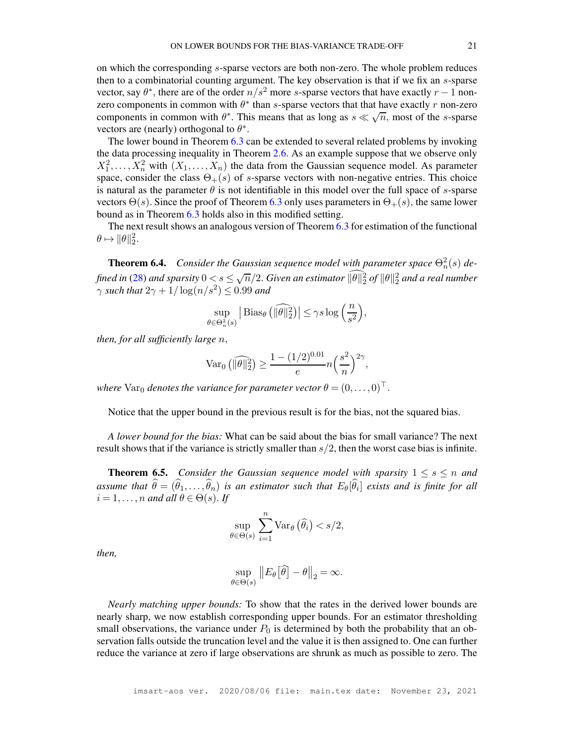on which the corresponding s-sparse vectors are both non-zero. The whole problem reduces then to a combinatorial counting argument. The key observation is that if we fix an s-sparse vector, say  $\theta^*$ , there are of the order  $n/s^2$  more s-sparse vectors that have exactly  $r-1$  nonzero components in common with  $\theta^*$  than *s*-sparse vectors that that have exactly r non-zero components in common with  $\theta^*$ . This means that as long as  $s \ll \sqrt{n}$ , most of the s-sparse vectors are (nearly) orthogonal to  $\theta^*$ .

The lower bound in Theorem [6.3](#page-19-0) can be extended to several related problems by invoking the data processing inequality in Theorem [2.6.](#page-8-0) As an example suppose that we observe only  $X_1^2, \ldots, X_n^2$  with  $(X_1, \ldots, X_n)$  the data from the Gaussian sequence model. As parameter space, consider the class  $\Theta_+(s)$  of s-sparse vectors with non-negative entries. This choice is natural as the parameter  $\theta$  is not identifiable in this model over the full space of s-sparse vectors  $\Theta(s)$ . Since the proof of Theorem [6.3](#page-19-0) only uses parameters in  $\Theta_{+}(s)$ , the same lower bound as in Theorem [6.3](#page-19-0) holds also in this modified setting.

The next result shows an analogous version of Theorem [6.3](#page-19-0) for estimation of the functional  $\theta \mapsto ||\theta||_2^2.$ 

<span id="page-20-0"></span>**Theorem 6.4.** Consider the Gaussian sequence model with parameter space  $\Theta_n^2(s)$  de-fined in [\(28\)](#page-18-2) and sparsity  $0 < s \le \sqrt{n}/2$ . Given an estimator  $\widehat{\|\theta\|_2^2}$  of  $\|\theta\|_2^2$  and a real number  $\gamma$  such that  $2\gamma + 1/\log(n/s^2) \le 0.99$  and

$$
\sup_{\theta \in \Theta_n^2(s)} \left| \text{Bias}_{\theta} \left( \widehat{\|\theta\|_2^2} \right) \right| \leq \gamma s \log \left( \frac{n}{s^2} \right),
$$

*then, for all sufficiently large* n,

$$
\text{Var}_0\left( \|\widehat{\theta}\|_2^2 \right) \ge \frac{1 - (1/2)^{0.01}}{e} n \left( \frac{s^2}{n} \right)^{2\gamma},
$$

*where*  $\text{Var}_0$  *denotes the variance for parameter vector*  $\theta = (0, \ldots, 0)^\top$ .

Notice that the upper bound in the previous result is for the bias, not the squared bias.

*A lower bound for the bias:* What can be said about the bias for small variance? The next result shows that if the variance is strictly smaller than  $s/2$ , then the worst case bias is infinite.

<span id="page-20-1"></span>**Theorem 6.5.** *Consider the Gaussian sequence model with sparsity*  $1 \leq s \leq n$  *and assume that*  $\theta = (\theta_1, \ldots, \theta_n)$  *is an estimator such that*  $E_{\theta}[\theta_i]$  *exists and is finite for all*  $i = 1, \ldots, n$  and all  $\theta \in \Theta(s)$ . If

$$
\sup_{\theta \in \Theta(s)} \sum_{i=1}^n \text{Var}_{\theta}(\widehat{\theta}_i) < s/2,
$$

*then,*

$$
\sup_{\theta \in \Theta(s)} \| E_{\theta} [\widehat{\theta}] - \theta \|_2 = \infty.
$$

*Nearly matching upper bounds:* To show that the rates in the derived lower bounds are nearly sharp, we now establish corresponding upper bounds. For an estimator thresholding small observations, the variance under  $P_0$  is determined by both the probability that an observation falls outside the truncation level and the value it is then assigned to. One can further reduce the variance at zero if large observations are shrunk as much as possible to zero. The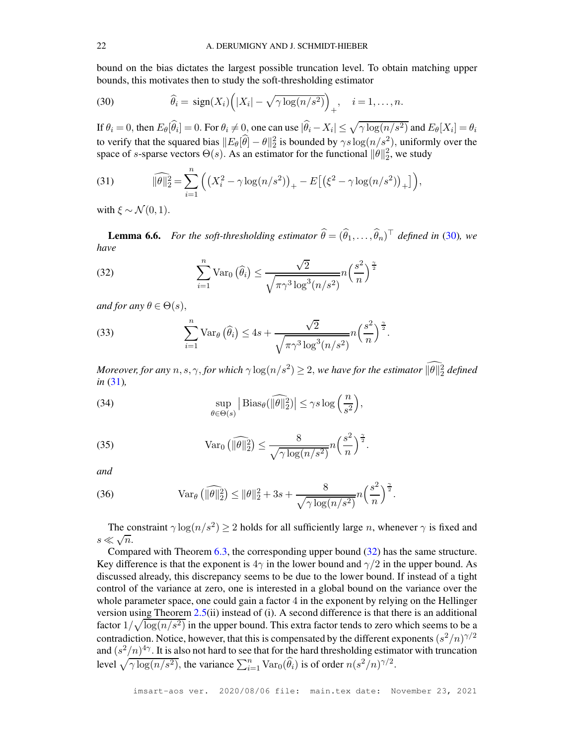bound on the bias dictates the largest possible truncation level. To obtain matching upper bounds, this motivates then to study the soft-thresholding estimator

<span id="page-21-0"></span>(30) 
$$
\widehat{\theta}_i = \text{sign}(X_i) \Big( |X_i| - \sqrt{\gamma \log(n/s^2)} \Big)_+, \quad i = 1, \dots, n.
$$

If  $\theta_i = 0$ , then  $E_{\theta}[\widehat{\theta}_i] = 0$ . For  $\theta_i \neq 0$ , one can use  $|\widehat{\theta}_i - X_i| \leq \sqrt{\gamma \log(n/s^2)}$  and  $E_{\theta}[X_i] = \theta_i$ to verify that the squared bias  $||E_{\theta}[\hat{\theta}] - \theta||_2^2$  is bounded by  $\gamma s \log(n/s^2)$ , uniformly over the space of s-sparse vectors  $\Theta(s)$ . As an estimator for the functional  $\|\theta\|_2^2$ , we study

<span id="page-21-1"></span>(31) 
$$
\widehat{\|\theta\|_2^2} = \sum_{i=1}^n \left( \left( X_i^2 - \gamma \log(n/s^2) \right)_+ - E \left[ \left( \xi^2 - \gamma \log(n/s^2) \right)_+ \right] \right),
$$

with  $\xi \sim \mathcal{N}(0, 1)$ .

<span id="page-21-6"></span>**Lemma 6.6.** For the soft-thresholding estimator  $\theta = (\theta_1, \dots, \theta_n)^\top$  defined in [\(30\)](#page-21-0), we *have*

<span id="page-21-2"></span>(32) 
$$
\sum_{i=1}^{n} \text{Var}_0\left(\widehat{\theta}_i\right) \leq \frac{\sqrt{2}}{\sqrt{\pi \gamma^3 \log^3(n/s^2)}} n \left(\frac{s^2}{n}\right)^{\frac{\gamma}{2}}
$$

*and for any*  $\theta \in \Theta(s)$ ,

<span id="page-21-4"></span>(33) 
$$
\sum_{i=1}^{n} \text{Var}_{\theta}(\widehat{\theta}_{i}) \leq 4s + \frac{\sqrt{2}}{\sqrt{\pi \gamma^{3} \log^{3}(n/s^{2})}} n \left(\frac{s^{2}}{n}\right)^{\frac{\gamma}{2}}.
$$

*Moreover, for any*  $n, s, \gamma$ , *for which*  $\gamma \log(n/s^2) \geq 2$ , *we have for the estimator*  $\|\theta\|_2^2$  *defined in* [\(31\)](#page-21-1)*,*

<span id="page-21-7"></span>(34) 
$$
\sup_{\theta \in \Theta(s)} \left| \text{Bias}_{\theta}(\widehat{\|\theta\|_2^2}) \right| \leq \gamma s \log \left( \frac{n}{s^2} \right),
$$

<span id="page-21-3"></span>(35) 
$$
\operatorname{Var}_0\left(\|\widehat{\theta}\|_2^2\right) \leq \frac{8}{\sqrt{\gamma \log(n/s^2)}} n \left(\frac{s^2}{n}\right)^{\frac{\gamma}{2}}.
$$

*and*

<span id="page-21-5"></span>(36) 
$$
\text{Var}_{\theta}(\widehat{\|\theta\|_2^2}) \le \|\theta\|_2^2 + 3s + \frac{8}{\sqrt{\gamma \log(n/s^2)}} n \left(\frac{s^2}{n}\right)^{\frac{\gamma}{2}}.
$$

The constraint  $\gamma \log(n/s^2) \ge 2$  holds for all sufficiently large *n*, whenever  $\gamma$  is fixed and  $s \ll \sqrt{n}$ .

Compared with Theorem [6.3,](#page-19-0) the corresponding upper bound [\(32\)](#page-21-2) has the same structure. Key difference is that the exponent is  $4\gamma$  in the lower bound and  $\gamma/2$  in the upper bound. As discussed already, this discrepancy seems to be due to the lower bound. If instead of a tight control of the variance at zero, one is interested in a global bound on the variance over the whole parameter space, one could gain a factor 4 in the exponent by relying on the Hellinger version using Theorem [2.5\(](#page-7-1)ii) instead of (i). A second difference is that there is an additional factor  $1/\sqrt{\log(n/s^2)}$  in the upper bound. This extra factor tends to zero which seems to be a contradiction. Notice, however, that this is compensated by the different exponents  $(s^2/n)^{\gamma/2}$ and  $(s^2/n)^{4\gamma}$ . It is also not hard to see that for the hard thresholding estimator with truncation level  $\sqrt{\gamma \log(n/s^2)}$ , the variance  $\sum_{i=1}^n \text{Var}_0(\widehat{\theta}_i)$  is of order  $n(s^2/n)^{\gamma/2}$ .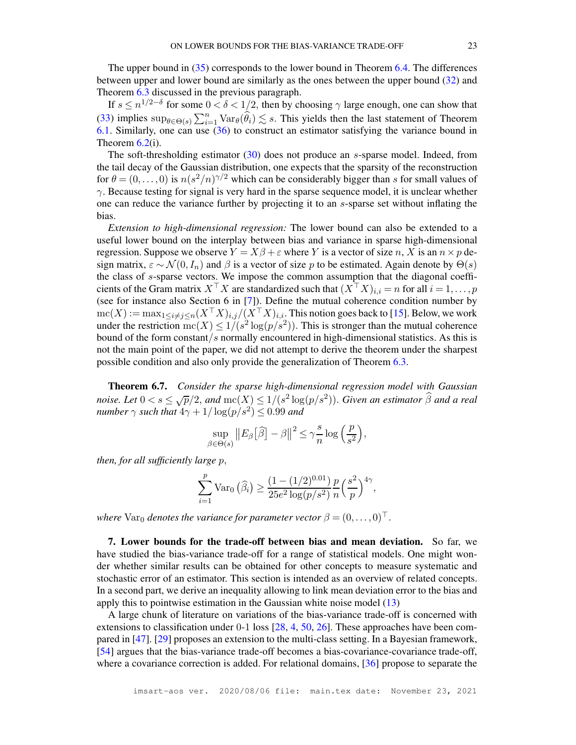The upper bound in [\(35\)](#page-21-3) corresponds to the lower bound in Theorem [6.4.](#page-20-0) The differences between upper and lower bound are similarly as the ones between the upper bound [\(32\)](#page-21-2) and Theorem [6.3](#page-19-0) discussed in the previous paragraph.

If  $s \le n^{1/2-\delta}$  for some  $0 < \delta < 1/2$ , then by choosing  $\gamma$  large enough, one can show that [\(33\)](#page-21-4) implies  $\sup_{\theta \in \Theta(s)} \sum_{i=1}^n \text{Var}_{\theta}(\widehat{\theta}_i) \lesssim s$ . This yields then the last statement of Theorem [6.1.](#page-18-3) Similarly, one can use  $(36)$  to construct an estimator satisfying the variance bound in Theorem  $6.2(i)$  $6.2(i)$ .

The soft-thresholding estimator [\(30\)](#page-21-0) does not produce an s-sparse model. Indeed, from the tail decay of the Gaussian distribution, one expects that the sparsity of the reconstruction for  $\theta = (0, \ldots, 0)$  is  $n(s^2/n)^{\gamma/2}$  which can be considerably bigger than s for small values of  $\gamma$ . Because testing for signal is very hard in the sparse sequence model, it is unclear whether one can reduce the variance further by projecting it to an s-sparse set without inflating the bias.

*Extension to high-dimensional regression:* The lower bound can also be extended to a useful lower bound on the interplay between bias and variance in sparse high-dimensional regression. Suppose we observe  $Y = X\beta + \varepsilon$  where Y is a vector of size n, X is an  $n \times p$  design matrix,  $\varepsilon \sim \mathcal{N}(0, I_n)$  and  $\beta$  is a vector of size p to be estimated. Again denote by  $\Theta(s)$ the class of s-sparse vectors. We impose the common assumption that the diagonal coefficients of the Gram matrix  $X^{\top}X$  are standardized such that  $(X^{\top}X)_{i,i} = n$  for all  $i = 1, \ldots, p$ (see for instance also Section 6 in [\[7\]](#page-26-9)). Define the mutual coherence condition number by  $\mathrm{mc}(X) := \max_{1 \leq i \neq j \leq n} (X^\top X)_{i,j} / (X^\top X)_{i,i}$ . This notion goes back to [\[15\]](#page-27-17). Below, we work under the restriction  $mc(X) \le 1/(s^2 \log(p/s^2))$ . This is stronger than the mutual coherence bound of the form constant/s normally encountered in high-dimensional statistics. As this is not the main point of the paper, we did not attempt to derive the theorem under the sharpest possible condition and also only provide the generalization of Theorem [6.3.](#page-19-0)

<span id="page-22-1"></span>Theorem 6.7. *Consider the sparse high-dimensional regression model with Gaussian noise. Let*  $0 < s \leq \sqrt{p}/2$ , and  $mc(X) \leq 1/(s^2 \log(p/s^2))$ . Given an estimator  $\widehat{\beta}$  and a real *number*  $\gamma$  *such that*  $4\gamma + 1/\log(p/s^2) \le 0.99$  *and* 

$$
\sup_{\beta \in \Theta(s)} \|E_{\beta}[\widehat{\beta}] - \beta\|^2 \leq \gamma \frac{s}{n} \log \left(\frac{p}{s^2}\right),
$$

*then, for all sufficiently large* p,

$$
\sum_{i=1}^{p} \text{Var}_0\left(\widehat{\beta}_i\right) \ge \frac{\left(1 - (1/2)^{0.01}\right)}{25e^2 \log(p/s^2)} \frac{p}{n} \left(\frac{s^2}{p}\right)^{4\gamma},
$$

*where*  $\text{Var}_0$  *denotes the variance for parameter vector*  $\beta = (0, \ldots, 0)^\top$ .

<span id="page-22-0"></span>7. Lower bounds for the trade-off between bias and mean deviation. So far, we have studied the bias-variance trade-off for a range of statistical models. One might wonder whether similar results can be obtained for other concepts to measure systematic and stochastic error of an estimator. This section is intended as an overview of related concepts. In a second part, we derive an inequality allowing to link mean deviation error to the bias and apply this to pointwise estimation in the Gaussian white noise model [\(13\)](#page-9-1)

A large chunk of literature on variations of the bias-variance trade-off is concerned with extensions to classification under 0-1 loss [\[28,](#page-27-18) [4,](#page-26-10) [50,](#page-28-12) [26\]](#page-27-19). These approaches have been compared in [\[47\]](#page-28-13). [\[29\]](#page-27-20) proposes an extension to the multi-class setting. In a Bayesian framework, [\[54\]](#page-28-14) argues that the bias-variance trade-off becomes a bias-covariance-covariance trade-off, where a covariance correction is added. For relational domains, [\[36\]](#page-27-21) propose to separate the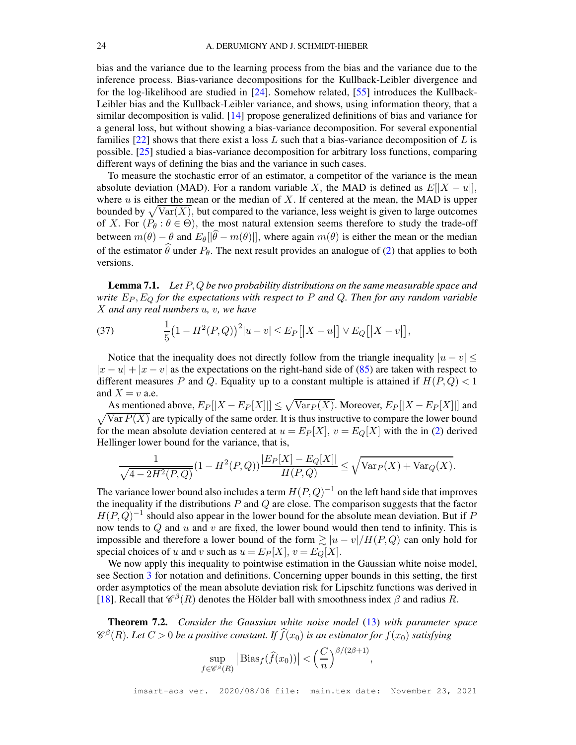bias and the variance due to the learning process from the bias and the variance due to the inference process. Bias-variance decompositions for the Kullback-Leibler divergence and for the log-likelihood are studied in [\[24\]](#page-27-22). Somehow related, [\[55\]](#page-28-15) introduces the Kullback-Leibler bias and the Kullback-Leibler variance, and shows, using information theory, that a similar decomposition is valid. [\[14\]](#page-27-23) propose generalized definitions of bias and variance for a general loss, but without showing a bias-variance decomposition. For several exponential families  $[22]$  shows that there exist a loss L such that a bias-variance decomposition of L is possible. [\[25\]](#page-27-25) studied a bias-variance decomposition for arbitrary loss functions, comparing different ways of defining the bias and the variance in such cases.

To measure the stochastic error of an estimator, a competitor of the variance is the mean absolute deviation (MAD). For a random variable X, the MAD is defined as  $E[|X - u|]$ , where  $u$  is either the mean or the median of  $X$ . If centered at the mean, the MAD is upper bounded by  $\sqrt{\text{Var}(X)}$ , but compared to the variance, less weight is given to large outcomes of X. For  $(P_\theta : \theta \in \Theta)$ , the most natural extension seems therefore to study the trade-off between  $m(\theta) - \theta$  and  $E_{\theta}[\hat{\theta} - m(\theta)]]$ , where again  $m(\theta)$  is either the mean or the median of the estimator  $\hat{\theta}$  under  $P_{\theta}$ . The next result provides an analogue of [\(2\)](#page-4-1) that applies to both versions.

<span id="page-23-2"></span>Lemma 7.1. *Let* P, Q *be two probability distributions on the same measurable space and write*  $E_P$ ,  $E_Q$  *for the expectations with respect to* P *and* Q. Then for any random variable X *and any real numbers* u*,* v*, we have*

<span id="page-23-0"></span>(37) 
$$
\frac{1}{5}(1 - H^2(P,Q))^2 |u - v| \leq E_P[|X - u|] \vee E_Q[|X - v|],
$$

Notice that the inequality does not directly follow from the triangle inequality  $|u - v| \leq$  $|x - u| + |x - v|$  as the expectations on the right-hand side of [\(85\)](#page-62-0) are taken with respect to different measures P and Q. Equality up to a constant multiple is attained if  $H(P,Q) < 1$ and  $X = v$  a.e.

As mentioned above,  $E_P[|X - E_P[X]|] \leq \sqrt{\text{Var}_P(X)}$ . Moreover,  $E_P[|X - E_P[X]|]$  and  $\sqrt{\text{Var } P(X)}$  are typically of the same order. It is thus instructive to compare the lower bound for the mean absolute deviation centered at  $u = E_P[X]$ ,  $v = E_Q[X]$  with the in [\(2\)](#page-4-1) derived Hellinger lower bound for the variance, that is,

$$
\frac{1}{\sqrt{4-2H^2(P,Q)}}(1-H^2(P,Q))\frac{|E_P[X]-E_Q[X]|}{H(P,Q)} \le \sqrt{\text{Var}_P(X)+\text{Var}_Q(X)}.
$$

The variance lower bound also includes a term  $H(P,Q)^{-1}$  on the left hand side that improves the inequality if the distributions  $P$  and  $Q$  are close. The comparison suggests that the factor  $H(P,Q)^{-1}$  should also appear in the lower bound for the absolute mean deviation. But if P now tends to  $Q$  and  $u$  and  $v$  are fixed, the lower bound would then tend to infinity. This is impossible and therefore a lower bound of the form  $\gtrsim |u - v|/H(P,Q)$  can only hold for special choices of u and v such as  $u = E_P[X], v = E_Q[X].$ 

We now apply this inequality to pointwise estimation in the Gaussian white noise model, see Section [3](#page-9-0) for notation and definitions. Concerning upper bounds in this setting, the first order asymptotics of the mean absolute deviation risk for Lipschitz functions was derived in [\[18\]](#page-27-26). Recall that  $\mathcal{C}^{\beta}(R)$  denotes the Hölder ball with smoothness index  $\beta$  and radius R.

<span id="page-23-1"></span>Theorem 7.2. *Consider the Gaussian white noise model* [\(13\)](#page-9-1) *with parameter space*  $\mathscr{C}^{\beta}(R)$ *. Let*  $C > 0$  *be a positive constant. If*  $\widehat{f}(x_0)$  *is an estimator for*  $f(x_0)$  *satisfying* 

$$
\sup_{f \in \mathscr{C}^{\beta}(R)} \left| \text{Bias}_f(\widehat{f}(x_0)) \right| < \left( \frac{C}{n} \right)^{\beta/(2\beta+1)},
$$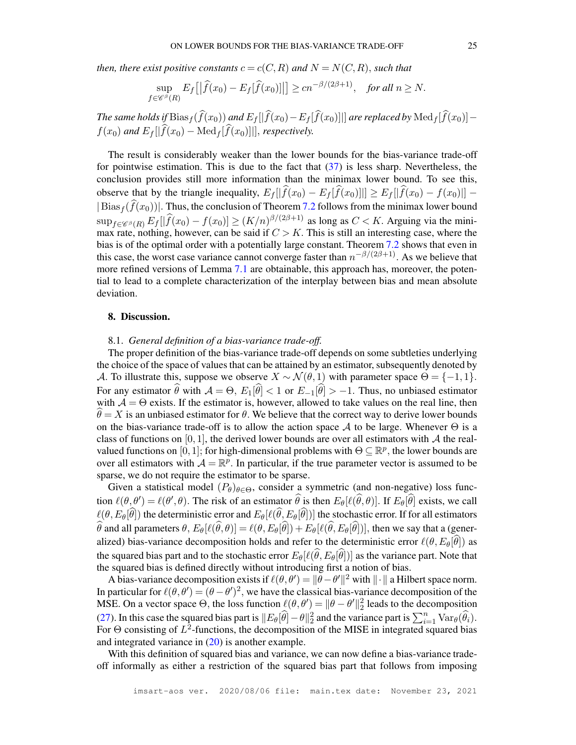*then, there exist positive constants*  $c = c(C, R)$  *and*  $N = N(C, R)$ *, such that* 

$$
\sup_{f \in \mathscr{C}^{\beta}(R)} E_f\left[ \left| \widehat{f}(x_0) - E_f[\widehat{f}(x_0)] \right| \right] \ge c n^{-\beta/(2\beta+1)}, \quad \text{for all } n \ge N.
$$

*The same holds if*  $Bias_f(\widehat{f}(x_0))$  *and*  $E_f[|\widehat{f}(x_0)-E_f[\widehat{f}(x_0)]|]$  *are replaced by*  $Med_f[\widehat{f}(x_0)]$  $f(x_0)$  and  $E_f[|\widehat{f}(x_0) - \text{Med}_f[\widehat{f}(x_0)]|]$ , *respectively.* 

The result is considerably weaker than the lower bounds for the bias-variance trade-off for pointwise estimation. This is due to the fact that [\(37\)](#page-23-0) is less sharp. Nevertheless, the conclusion provides still more information than the minimax lower bound. To see this, observe that by the triangle inequality,  $E_f[|\widehat{f}(x_0) - E_f[\widehat{f}(x_0)]|] \ge E_f[|\widehat{f}(x_0) - f(x_0)|]$  –  $|Bias_f(\widehat{f}(x_0))|$ . Thus, the conclusion of Theorem [7.2](#page-23-1) follows from the minimax lower bound  $\sup_{f \in \mathscr{C}^{\beta}(R)} E_f[|\widehat{f}(x_0) - f(x_0)|] \ge (K/n)^{\beta/(2\beta+1)}$  as long as  $C < K$ . Arguing via the minimax rate, nothing, however, can be said if  $C > K$ . This is still an interesting case, where the bias is of the optimal order with a potentially large constant. Theorem [7.2](#page-23-1) shows that even in this case, the worst case variance cannot converge faster than  $n^{-\beta/(2\beta+1)}$ . As we believe that more refined versions of Lemma [7.1](#page-23-2) are obtainable, this approach has, moreover, the potential to lead to a complete characterization of the interplay between bias and mean absolute deviation.

#### <span id="page-24-0"></span>8. Discussion.

## 8.1. *General definition of a bias-variance trade-off.*

The proper definition of the bias-variance trade-off depends on some subtleties underlying the choice of the space of values that can be attained by an estimator, subsequently denoted by A. To illustrate this, suppose we observe  $X \sim \mathcal{N}(\theta, 1)$  with parameter space  $\Theta = \{-1, 1\}$ . For any estimator  $\hat{\theta}$  with  $\mathcal{A} = \Theta$ ,  $E_1[\hat{\theta}] < 1$  or  $E_{-1}[\hat{\theta}] > -1$ . Thus, no unbiased estimator with  $A = \Theta$  exists. If the estimator is, however, allowed to take values on the real line, then  $\theta = X$  is an unbiased estimator for  $\theta$ . We believe that the correct way to derive lower bounds on the bias-variance trade-off is to allow the action space A to be large. Whenever  $\Theta$  is a class of functions on [0, 1], the derived lower bounds are over all estimators with A the realvalued functions on [0, 1]; for high-dimensional problems with  $\Theta \subseteq \mathbb{R}^p$ , the lower bounds are over all estimators with  $A = \mathbb{R}^p$ . In particular, if the true parameter vector is assumed to be sparse, we do not require the estimator to be sparse.

Given a statistical model  $(P_\theta)_{\theta \in \Theta}$ , consider a symmetric (and non-negative) loss function  $\ell(\theta, \theta') = \ell(\theta', \theta)$ . The risk of an estimator  $\theta$  is then  $E_{\theta}[\ell(\theta, \theta)]$ . If  $E_{\theta}[\theta]$  exists, we call  $\ell(\theta, E_{\theta}[\hat{\theta}])$  the deterministic error and  $E_{\theta}[\ell(\hat{\theta}, E_{\theta}[\hat{\theta}])]$  the stochastic error. If for all estimators θ and all parameters  $\theta$ ,  $E_{\theta}[\ell(\theta, \theta)] = \ell(\theta, E_{\theta}[\theta]) + E_{\theta}[\ell(\theta, E_{\theta}[\theta])]$ , then we say that a (generalized) bias-variance decomposition holds and refer to the deterministic error  $\ell(\theta, E_{\theta}[\hat{\theta}])$  as the squared bias part and to the stochastic error  $E_{\theta}[\ell(\theta, E_{\theta}[\theta])]$  as the variance part. Note that the squared bias is defined directly without introducing first a notion of bias.

A bias-variance decomposition exists if  $\ell(\theta, \theta') = ||\theta - \theta'||^2$  with  $|| \cdot ||$  a Hilbert space norm. In particular for  $\ell(\theta, \theta') = (\theta - \theta')^2$ , we have the classical bias-variance decomposition of the MSE. On a vector space  $\Theta$ , the loss function  $\ell(\theta, \theta') = ||\theta - \theta'||_2^2$  leads to the decomposition [\(27\)](#page-18-1). In this case the squared bias part is  $||E_{\theta}[\widehat{\theta}]-\theta||_2^2$  and the variance part is  $\sum_{i=1}^n \text{Var}_{\theta}(\widehat{\theta}_i)$ . For  $\Theta$  consisting of  $L^2$ -functions, the decomposition of the MISE in integrated squared bias and integrated variance in [\(20\)](#page-14-1) is another example.

With this definition of squared bias and variance, we can now define a bias-variance tradeoff informally as either a restriction of the squared bias part that follows from imposing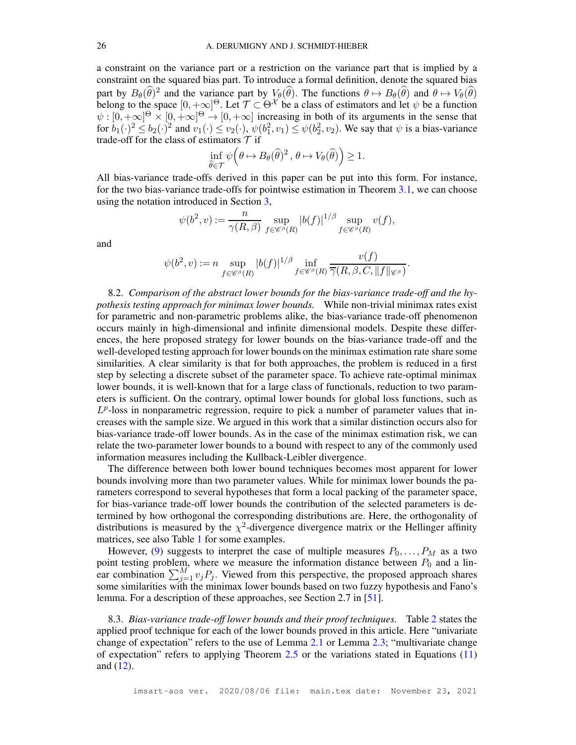a constraint on the variance part or a restriction on the variance part that is implied by a constraint on the squared bias part. To introduce a formal definition, denote the squared bias part by  $B_{\theta}(\hat{\theta})^2$  and the variance part by  $V_{\theta}(\hat{\theta})$ . The functions  $\theta \mapsto B_{\theta}(\hat{\theta})$  and  $\theta \mapsto V_{\theta}(\hat{\theta})$ belong to the space  $[0, +\infty]^\Theta$ . Let  $\mathcal{T} \subset \Theta^\mathcal{X}$  be a class of estimators and let  $\psi$  be a function  $\psi : [0, +\infty]^\Theta \times [0, +\infty]^\Theta \to [0, +\infty]$  increasing in both of its arguments in the sense that for  $b_1(\cdot)^2 \le b_2(\cdot)^2$  and  $v_1(\cdot) \le v_2(\cdot)$ ,  $\psi(b_1^2, v_1) \le \psi(b_2^2, v_2)$ . We say that  $\psi$  is a bias-variance trade-off for the class of estimators  $T$  if

$$
\inf_{\widehat{\theta}\in\mathcal{T}}\psi\left(\theta\mapsto B_{\theta}(\widehat{\theta})^2,\,\theta\mapsto V_{\theta}(\widehat{\theta})\right)\geq 1.
$$

All bias-variance trade-offs derived in this paper can be put into this form. For instance, for the two bias-variance trade-offs for pointwise estimation in Theorem [3.1,](#page-11-1) we can choose using the notation introduced in Section [3,](#page-9-0)

$$
\psi(b^2, v) := \frac{n}{\gamma(R, \beta)} \sup_{f \in \mathscr{C}^{\beta}(R)} |b(f)|^{1/\beta} \sup_{f \in \mathscr{C}^{\beta}(R)} v(f),
$$

and

$$
\psi(b^2, v) := n \sup_{f \in \mathscr{C}^{\beta}(R)} |b(f)|^{1/\beta} \inf_{f \in \mathscr{C}^{\beta}(R)} \frac{v(f)}{\overline{\gamma}(R, \beta, C, \|f\|_{\mathscr{C}^{\beta}})}.
$$

8.2. *Comparison of the abstract lower bounds for the bias-variance trade-off and the hypothesis testing approach for minimax lower bounds.* While non-trivial minimax rates exist for parametric and non-parametric problems alike, the bias-variance trade-off phenomenon occurs mainly in high-dimensional and infinite dimensional models. Despite these differences, the here proposed strategy for lower bounds on the bias-variance trade-off and the well-developed testing approach for lower bounds on the minimax estimation rate share some similarities. A clear similarity is that for both approaches, the problem is reduced in a first step by selecting a discrete subset of the parameter space. To achieve rate-optimal minimax lower bounds, it is well-known that for a large class of functionals, reduction to two parameters is sufficient. On the contrary, optimal lower bounds for global loss functions, such as  $L^p$ -loss in nonparametric regression, require to pick a number of parameter values that increases with the sample size. We argued in this work that a similar distinction occurs also for bias-variance trade-off lower bounds. As in the case of the minimax estimation risk, we can relate the two-parameter lower bounds to a bound with respect to any of the commonly used information measures including the Kullback-Leibler divergence.

The difference between both lower bound techniques becomes most apparent for lower bounds involving more than two parameter values. While for minimax lower bounds the parameters correspond to several hypotheses that form a local packing of the parameter space, for bias-variance trade-off lower bounds the contribution of the selected parameters is determined by how orthogonal the corresponding distributions are. Here, the orthogonality of distributions is measured by the  $\chi^2$ -divergence divergence matrix or the Hellinger affinity matrices, see also Table [1](#page-7-0) for some examples.

However, [\(9\)](#page-6-0) suggests to interpret the case of multiple measures  $P_0, \ldots, P_M$  as a two point testing problem, where we measure the information distance between  $P_0$  and a linear combination  $\sum_{j=1}^{M} v_j P_j$ . Viewed from this perspective, the proposed approach shares some similarities with the minimax lower bounds based on two fuzzy hypothesis and Fano's lemma. For a description of these approaches, see Section 2.7 in [\[51\]](#page-28-5).

8.3. *Bias-variance trade-off lower bounds and their proof techniques.* Table [2](#page-26-11) states the applied proof technique for each of the lower bounds proved in this article. Here "univariate change of expectation" refers to the use of Lemma [2.1](#page-3-1) or Lemma [2.3;](#page-5-0) "multivariate change of expectation" refers to applying Theorem [2.5](#page-7-1) or the variations stated in Equations [\(11\)](#page-8-1) and [\(12\)](#page-8-2).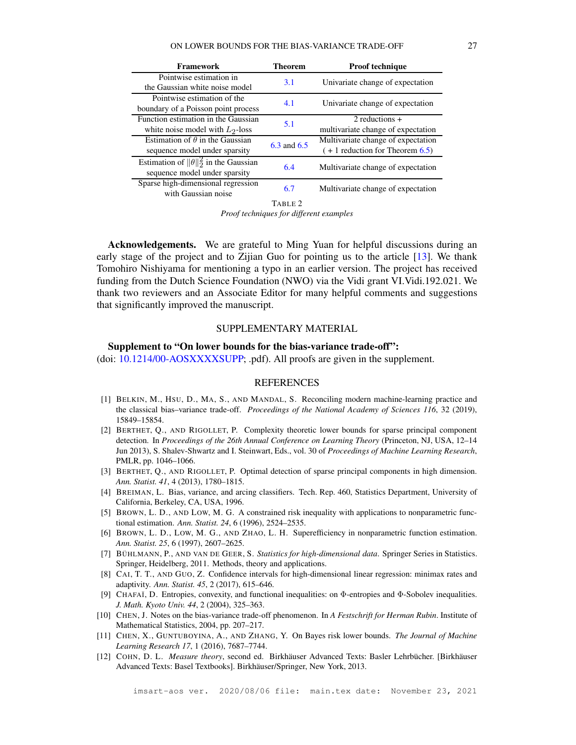| Framework                                      | Theorem         | <b>Proof technique</b>             |
|------------------------------------------------|-----------------|------------------------------------|
| Pointwise estimation in                        | 3.1             | Univariate change of expectation   |
| the Gaussian white noise model                 |                 |                                    |
| Pointwise estimation of the                    | 4.1             | Univariate change of expectation   |
| boundary of a Poisson point process            |                 |                                    |
| Function estimation in the Gaussian            | 5.1             | $2$ reductions $+$                 |
| white noise model with $L_2$ -loss             |                 | multivariate change of expectation |
| Estimation of $\theta$ in the Gaussian         | $6.3$ and $6.5$ | Multivariate change of expectation |
| sequence model under sparsity                  |                 | $( + 1$ reduction for Theorem 6.5) |
| Estimation of $\ \theta\ _2^2$ in the Gaussian | 6.4             | Multivariate change of expectation |
| sequence model under sparsity                  |                 |                                    |
| Sparse high-dimensional regression             | 6.7             | Multivariate change of expectation |
| with Gaussian noise                            |                 |                                    |
|                                                | TABLE 2         |                                    |

*Proof techniques for different examples*

<span id="page-26-11"></span>Acknowledgements. We are grateful to Ming Yuan for helpful discussions during an early stage of the project and to Zijian Guo for pointing us to the article [\[13\]](#page-27-16). We thank Tomohiro Nishiyama for mentioning a typo in an earlier version. The project has received funding from the Dutch Science Foundation (NWO) via the Vidi grant VI.Vidi.192.021. We thank two reviewers and an Associate Editor for many helpful comments and suggestions that significantly improved the manuscript.

## SUPPLEMENTARY MATERIAL

### Supplement to "On lower bounds for the bias-variance trade-off":

(doi: [10.1214/00-AOSXXXXSUPP;](https://doi.org/10.1214/00-AOSXXXXSUPP) .pdf). All proofs are given in the supplement.

#### **REFERENCES**

- <span id="page-26-0"></span>[1] BELKIN, M., HSU, D., MA, S., AND MANDAL, S. Reconciling modern machine-learning practice and the classical bias–variance trade-off. *Proceedings of the National Academy of Sciences 116*, 32 (2019), 15849–15854.
- <span id="page-26-4"></span>[2] BERTHET, Q., AND RIGOLLET, P. Complexity theoretic lower bounds for sparse principal component detection. In *Proceedings of the 26th Annual Conference on Learning Theory* (Princeton, NJ, USA, 12–14 Jun 2013), S. Shalev-Shwartz and I. Steinwart, Eds., vol. 30 of *Proceedings of Machine Learning Research*, PMLR, pp. 1046–1066.
- <span id="page-26-3"></span>[3] BERTHET, Q., AND RIGOLLET, P. Optimal detection of sparse principal components in high dimension. *Ann. Statist. 41*, 4 (2013), 1780–1815.
- <span id="page-26-10"></span>[4] BREIMAN, L. Bias, variance, and arcing classifiers. Tech. Rep. 460, Statistics Department, University of California, Berkeley, CA, USA, 1996.
- <span id="page-26-8"></span>[5] BROWN, L. D., AND LOW, M. G. A constrained risk inequality with applications to nonparametric functional estimation. *Ann. Statist. 24*, 6 (1996), 2524–2535.
- <span id="page-26-7"></span>[6] BROWN, L. D., LOW, M. G., AND ZHAO, L. H. Superefficiency in nonparametric function estimation. *Ann. Statist. 25*, 6 (1997), 2607–2625.
- <span id="page-26-9"></span>[7] BÜHLMANN, P., AND VAN DE GEER, S. *Statistics for high-dimensional data*. Springer Series in Statistics. Springer, Heidelberg, 2011. Methods, theory and applications.
- <span id="page-26-1"></span>[8] CAI, T. T., AND GUO, Z. Confidence intervals for high-dimensional linear regression: minimax rates and adaptivity. *Ann. Statist. 45*, 2 (2017), 615–646.
- <span id="page-26-6"></span>[9] CHAFAÏ, D. Entropies, convexity, and functional inequalities: on Φ-entropies and Φ-Sobolev inequalities. *J. Math. Kyoto Univ. 44*, 2 (2004), 325–363.
- <span id="page-26-2"></span>[10] CHEN, J. Notes on the bias-variance trade-off phenomenon. In *A Festschrift for Herman Rubin*. Institute of Mathematical Statistics, 2004, pp. 207–217.
- <span id="page-26-5"></span>[11] CHEN, X., GUNTUBOYINA, A., AND ZHANG, Y. On Bayes risk lower bounds. *The Journal of Machine Learning Research 17*, 1 (2016), 7687–7744.
- <span id="page-26-12"></span>[12] COHN, D. L. *Measure theory*, second ed. Birkhäuser Advanced Texts: Basler Lehrbücher. [Birkhäuser Advanced Texts: Basel Textbooks]. Birkhäuser/Springer, New York, 2013.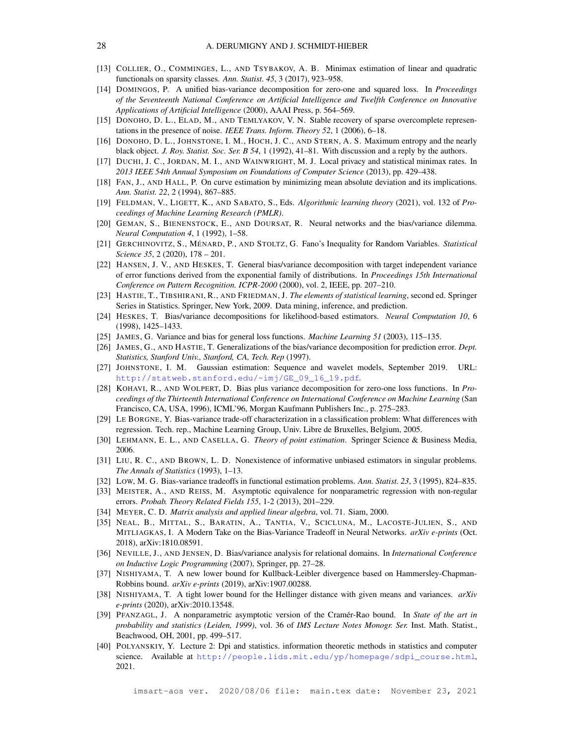- <span id="page-27-23"></span><span id="page-27-16"></span>[13] COLLIER, O., COMMINGES, L., AND TSYBAKOV, A. B. Minimax estimation of linear and quadratic functionals on sparsity classes. *Ann. Statist. 45*, 3 (2017), 923–958.
- [14] DOMINGOS, P. A unified bias-variance decomposition for zero-one and squared loss. In *Proceedings of the Seventeenth National Conference on Artificial Intelligence and Twelfth Conference on Innovative Applications of Artificial Intelligence* (2000), AAAI Press, p. 564–569.
- <span id="page-27-17"></span><span id="page-27-15"></span>[15] DONOHO, D. L., ELAD, M., AND TEMLYAKOV, V. N. Stable recovery of sparse overcomplete representations in the presence of noise. *IEEE Trans. Inform. Theory 52*, 1 (2006), 6–18.
- <span id="page-27-6"></span>[16] DONOHO, D. L., JOHNSTONE, I. M., HOCH, J. C., AND STERN, A. S. Maximum entropy and the nearly black object. *J. Roy. Statist. Soc. Ser. B 54*, 1 (1992), 41–81. With discussion and a reply by the authors.
- <span id="page-27-26"></span>[17] DUCHI, J. C., JORDAN, M. I., AND WAINWRIGHT, M. J. Local privacy and statistical minimax rates. In *2013 IEEE 54th Annual Symposium on Foundations of Computer Science* (2013), pp. 429–438.
- <span id="page-27-7"></span>[18] FAN, J., AND HALL, P. On curve estimation by minimizing mean absolute deviation and its implications. *Ann. Statist. 22*, 2 (1994), 867–885.
- [19] FELDMAN, V., LIGETT, K., AND SABATO, S., Eds. *Algorithmic learning theory* (2021), vol. 132 of *Proceedings of Machine Learning Research (PMLR)*.
- <span id="page-27-0"></span>[20] GEMAN, S., BIENENSTOCK, E., AND DOURSAT, R. Neural networks and the bias/variance dilemma. *Neural Computation 4*, 1 (1992), 1–58.
- <span id="page-27-11"></span>[21] GERCHINOVITZ, S., MÉNARD, P., AND STOLTZ, G. Fano's Inequality for Random Variables. *Statistical Science 35*, 2 (2020), 178 – 201.
- <span id="page-27-24"></span>[22] HANSEN, J. V., AND HESKES, T. General bias/variance decomposition with target independent variance of error functions derived from the exponential family of distributions. In *Proceedings 15th International Conference on Pattern Recognition. ICPR-2000* (2000), vol. 2, IEEE, pp. 207–210.
- <span id="page-27-2"></span>[23] HASTIE, T., TIBSHIRANI, R., AND FRIEDMAN, J. *The elements of statistical learning*, second ed. Springer Series in Statistics. Springer, New York, 2009. Data mining, inference, and prediction.
- <span id="page-27-22"></span>[24] HESKES, T. Bias/variance decompositions for likelihood-based estimators. *Neural Computation 10*, 6 (1998), 1425–1433.
- <span id="page-27-25"></span><span id="page-27-19"></span>[25] JAMES, G. Variance and bias for general loss functions. *Machine Learning 51* (2003), 115–135.
- [26] JAMES, G., AND HASTIE, T. Generalizations of the bias/variance decomposition for prediction error. *Dept. Statistics, Stanford Univ., Stanford, CA, Tech. Rep* (1997).
- <span id="page-27-18"></span><span id="page-27-14"></span>[27] JOHNSTONE, I. M. Gaussian estimation: Sequence and wavelet models, September 2019. URL: [http://statweb.stanford.edu/~imj/GE\\_09\\_16\\_19.pdf](http://statweb.stanford.edu/~imj/GE_09_16_19.pdf).
- [28] KOHAVI, R., AND WOLPERT, D. Bias plus variance decomposition for zero-one loss functions. In *Proceedings of the Thirteenth International Conference on International Conference on Machine Learning* (San Francisco, CA, USA, 1996), ICML'96, Morgan Kaufmann Publishers Inc., p. 275–283.
- <span id="page-27-20"></span>[29] LE BORGNE, Y. Bias-variance trade-off characterization in a classification problem: What differences with regression. Tech. rep., Machine Learning Group, Univ. Libre de Bruxelles, Belgium, 2005.
- <span id="page-27-9"></span><span id="page-27-5"></span>[30] LEHMANN, E. L., AND CASELLA, G. *Theory of point estimation*. Springer Science & Business Media, 2006.
- [31] LIU, R. C., AND BROWN, L. D. Nonexistence of informative unbiased estimators in singular problems. *The Annals of Statistics* (1993), 1–13.
- <span id="page-27-13"></span><span id="page-27-3"></span>[32] LOW, M. G. Bias-variance tradeoffs in functional estimation problems. *Ann. Statist. 23*, 3 (1995), 824–835.
- [33] MEISTER, A., AND REISS, M. Asymptotic equivalence for nonparametric regression with non-regular errors. *Probab. Theory Related Fields 155*, 1-2 (2013), 201–229.
- <span id="page-27-27"></span><span id="page-27-1"></span>[34] MEYER, C. D. *Matrix analysis and applied linear algebra*, vol. 71. Siam, 2000.
- [35] NEAL, B., MITTAL, S., BARATIN, A., TANTIA, V., SCICLUNA, M., LACOSTE-JULIEN, S., AND MITLIAGKAS, I. A Modern Take on the Bias-Variance Tradeoff in Neural Networks. *arXiv e-prints* (Oct. 2018), arXiv:1810.08591.
- <span id="page-27-21"></span>[36] NEVILLE, J., AND JENSEN, D. Bias/variance analysis for relational domains. In *International Conference on Inductive Logic Programming* (2007), Springer, pp. 27–28.
- <span id="page-27-8"></span>[37] NISHIYAMA, T. A new lower bound for Kullback-Leibler divergence based on Hammersley-Chapman-Robbins bound. *arXiv e-prints* (2019), arXiv:1907.00288.
- <span id="page-27-10"></span>[38] NISHIYAMA, T. A tight lower bound for the Hellinger distance with given means and variances. *arXiv e-prints* (2020), arXiv:2010.13548.
- <span id="page-27-4"></span>[39] PFANZAGL, J. A nonparametric asymptotic version of the Cramér-Rao bound. In *State of the art in probability and statistics (Leiden, 1999)*, vol. 36 of *IMS Lecture Notes Monogr. Ser.* Inst. Math. Statist., Beachwood, OH, 2001, pp. 499–517.
- <span id="page-27-12"></span>[40] POLYANSKIY, Y. Lecture 2: Dpi and statistics. information theoretic methods in statistics and computer science. Available at [http://people.lids.mit.edu/yp/homepage/sdpi\\_course.html](http://people.lids.mit.edu/yp/homepage/sdpi_course.html), 2021.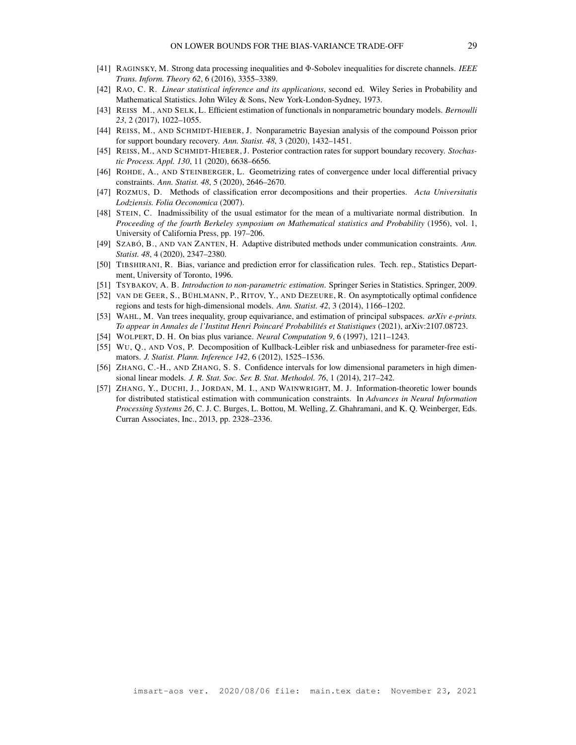- <span id="page-28-16"></span><span id="page-28-7"></span>[41] RAGINSKY, M. Strong data processing inequalities and Φ-Sobolev inequalities for discrete channels. *IEEE Trans. Inform. Theory 62*, 6 (2016), 3355–3389.
- [42] RAO, C. R. *Linear statistical inference and its applications*, second ed. Wiley Series in Probability and Mathematical Statistics. John Wiley & Sons, New York-London-Sydney, 1973.
- <span id="page-28-10"></span><span id="page-28-9"></span>[43] REISS M., AND SELK, L. Efficient estimation of functionals in nonparametric boundary models. *Bernoulli 23*, 2 (2017), 1022–1055.
- <span id="page-28-8"></span>[44] REISS, M., AND SCHMIDT-HIEBER, J. Nonparametric Bayesian analysis of the compound Poisson prior for support boundary recovery. *Ann. Statist. 48*, 3 (2020), 1432–1451.
- [45] REISS, M., AND SCHMIDT-HIEBER, J. Posterior contraction rates for support boundary recovery. *Stochastic Process. Appl. 130*, 11 (2020), 6638–6656.
- <span id="page-28-13"></span><span id="page-28-2"></span>[46] ROHDE, A., AND STEINBERGER, L. Geometrizing rates of convergence under local differential privacy constraints. *Ann. Statist. 48*, 5 (2020), 2646–2670.
- <span id="page-28-11"></span>[47] ROZMUS, D. Methods of classification error decompositions and their properties. *Acta Universitatis Lodziensis. Folia Oeconomica* (2007).
- [48] STEIN, C. Inadmissibility of the usual estimator for the mean of a multivariate normal distribution. In *Proceeding of the fourth Berkeley symposium on Mathematical statistics and Probability* (1956), vol. 1, University of California Press, pp. 197–206.
- <span id="page-28-4"></span>[49] SZABÓ, B., AND VAN ZANTEN, H. Adaptive distributed methods under communication constraints. *Ann. Statist. 48*, 4 (2020), 2347–2380.
- <span id="page-28-12"></span>[50] TIBSHIRANI, R. Bias, variance and prediction error for classification rules. Tech. rep., Statistics Department, University of Toronto, 1996.
- <span id="page-28-5"></span><span id="page-28-1"></span>[51] TSYBAKOV, A. B. *Introduction to non-parametric estimation*. Springer Series in Statistics. Springer, 2009.
- [52] VAN DE GEER, S., BÜHLMANN, P., RITOV, Y., AND DEZEURE, R. On asymptotically optimal confidence regions and tests for high-dimensional models. *Ann. Statist. 42*, 3 (2014), 1166–1202.
- <span id="page-28-6"></span>[53] WAHL, M. Van trees inequality, group equivariance, and estimation of principal subspaces. *arXiv e-prints. To appear in Annales de l'Institut Henri Poincaré Probabilités et Statistiques* (2021), arXiv:2107.08723.
- <span id="page-28-15"></span><span id="page-28-14"></span>[54] WOLPERT, D. H. On bias plus variance. *Neural Computation 9*, 6 (1997), 1211–1243.
- [55] WU, Q., AND VOS, P. Decomposition of Kullback-Leibler risk and unbiasedness for parameter-free estimators. *J. Statist. Plann. Inference 142*, 6 (2012), 1525–1536.
- <span id="page-28-0"></span>[56] ZHANG, C.-H., AND ZHANG, S. S. Confidence intervals for low dimensional parameters in high dimensional linear models. *J. R. Stat. Soc. Ser. B. Stat. Methodol. 76*, 1 (2014), 217–242.
- <span id="page-28-3"></span>[57] ZHANG, Y., DUCHI, J., JORDAN, M. I., AND WAINWRIGHT, M. J. Information-theoretic lower bounds for distributed statistical estimation with communication constraints. In *Advances in Neural Information Processing Systems 26*, C. J. C. Burges, L. Bottou, M. Welling, Z. Ghahramani, and K. Q. Weinberger, Eds. Curran Associates, Inc., 2013, pp. 2328–2336.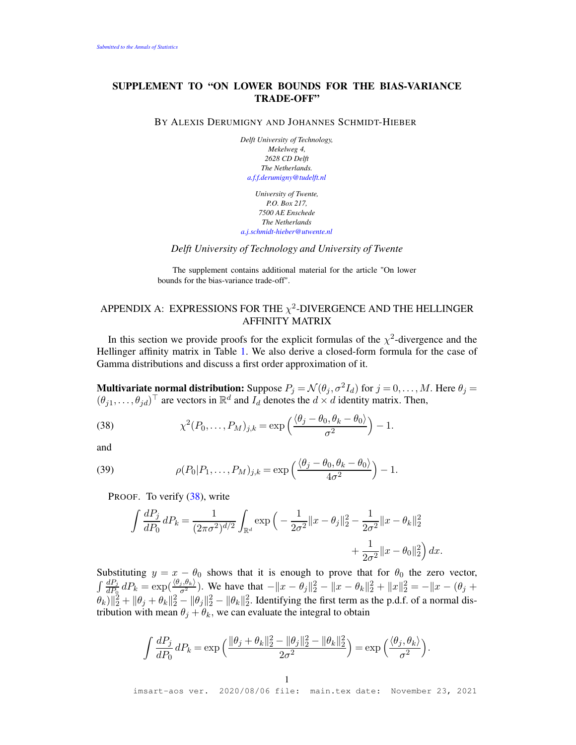# SUPPLEMENT TO "ON LOWER BOUNDS FOR THE BIAS-VARIANCE TRADE-OFF"

BY ALEXIS DERUMIGNY AND JOHANNES SCHMIDT-HIEBER

*Delft University of Technology, Mekelweg 4, 2628 CD Delft The Netherlands. [a.f.f.derumigny@tudelft.nl](mailto:a.f.f.derumigny@tudelft.nl)*

*University of Twente, P.O. Box 217, 7500 AE Enschede The Netherlands [a.j.schmidt-hieber@utwente.nl](mailto:a.j.schmidt-hieber@utwente.nl)*

*Delft University of Technology and University of Twente*

The supplement contains additional material for the article "On lower bounds for the bias-variance trade-off".

# <span id="page-29-0"></span>APPENDIX A: EXPRESSIONS FOR THE  $\chi^2$ -DIVERGENCE AND THE HELLINGER AFFINITY MATRIX

In this section we provide proofs for the explicit formulas of the  $\chi^2$ -divergence and the Hellinger affinity matrix in Table [1.](#page-7-0) We also derive a closed-form formula for the case of Gamma distributions and discuss a first order approximation of it.

**Multivariate normal distribution:** Suppose  $P_j = \mathcal{N}(\theta_j, \sigma^2 I_d)$  for  $j = 0, ..., M$ . Here  $\theta_j =$  $(\theta_{j1}, \dots, \theta_{jd})^{\top}$  are vectors in  $\mathbb{R}^d$  and  $I_d$  denotes the  $d \times d$  identity matrix. Then,

<span id="page-29-1"></span>(38) 
$$
\chi^2(P_0,\ldots,P_M)_{j,k} = \exp\left(\frac{\langle \theta_j - \theta_0, \theta_k - \theta_0 \rangle}{\sigma^2}\right) - 1.
$$

and

<span id="page-29-2"></span>(39) 
$$
\rho(P_0|P_1,\ldots,P_M)_{j,k} = \exp\left(\frac{\langle \theta_j - \theta_0, \theta_k - \theta_0 \rangle}{4\sigma^2}\right) - 1.
$$

PROOF. To verify [\(38\)](#page-29-1), write

$$
\int \frac{dP_j}{dP_0} dP_k = \frac{1}{(2\pi\sigma^2)^{d/2}} \int_{\mathbb{R}^d} \exp\left(-\frac{1}{2\sigma^2} ||x - \theta_j||_2^2 - \frac{1}{2\sigma^2} ||x - \theta_k||_2^2 + \frac{1}{2\sigma^2} ||x - \theta_0||_2^2\right) dx.
$$

Substituting  $y = x - \theta_0$  shows that it is enough to prove that for  $\theta_0$  the zero vector,  $\int \frac{dP_i}{dP_0} dP_k = \exp(\frac{\langle \theta_i, \theta_k \rangle}{\sigma^2})$ . We have that  $-\|x - \theta_j\|_2^2 - \|x - \theta_k\|_2^2 + \|x\|_2^2 = -\|x - (\theta_j + \theta_k)\|_2^2$  $\|\theta_k\|_2^2 + \|\theta_j + \theta_k\|_2^2 - \|\theta_j\|_2^2 - \|\theta_k\|_2^2$ . Identifying the first term as the p.d.f. of a normal distribution with mean  $\theta_j + \theta_k$ , we can evaluate the integral to obtain

$$
\int \frac{dP_j}{dP_0} dP_k = \exp\left(\frac{\|\theta_j + \theta_k\|_2^2 - \|\theta_j\|_2^2 - \|\theta_k\|_2^2}{2\sigma^2}\right) = \exp\left(\frac{\langle \theta_j, \theta_k \rangle}{\sigma^2}\right).
$$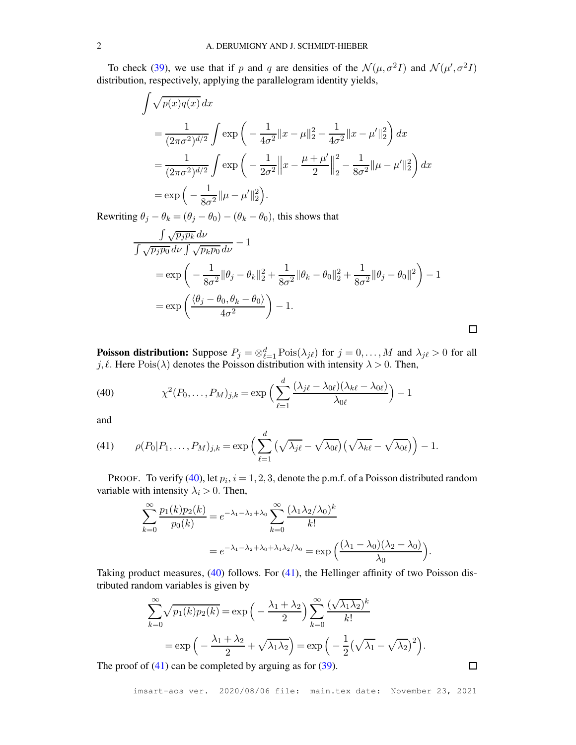To check [\(39\)](#page-29-2), we use that if p and q are densities of the  $\mathcal{N}(\mu, \sigma^2 I)$  and  $\mathcal{N}(\mu', \sigma^2 I)$ distribution, respectively, applying the parallelogram identity yields,

$$
\int \sqrt{p(x)q(x)} dx
$$
  
=  $\frac{1}{(2\pi\sigma^2)^{d/2}} \int \exp\left(-\frac{1}{4\sigma^2}||x-\mu||_2^2 - \frac{1}{4\sigma^2}||x-\mu'||_2^2\right) dx$   
=  $\frac{1}{(2\pi\sigma^2)^{d/2}} \int \exp\left(-\frac{1}{2\sigma^2}||x-\frac{\mu+\mu'}{2}||_2^2 - \frac{1}{8\sigma^2}||\mu-\mu'||_2^2\right) dx$   
=  $\exp\left(-\frac{1}{8\sigma^2}||\mu-\mu'||_2^2\right).$ 

Rewriting  $\theta_j - \theta_k = (\theta_j - \theta_0) - (\theta_k - \theta_0)$ , this shows that

$$
\frac{\int \sqrt{p_j p_k} \, d\nu}{\int \sqrt{p_j p_0} \, d\nu \int \sqrt{p_k p_0} \, d\nu} - 1
$$
\n
$$
= \exp\left(-\frac{1}{8\sigma^2} \|\theta_j - \theta_k\|_2^2 + \frac{1}{8\sigma^2} \|\theta_k - \theta_0\|_2^2 + \frac{1}{8\sigma^2} \|\theta_j - \theta_0\|^2\right) - 1
$$
\n
$$
= \exp\left(\frac{\langle \theta_j - \theta_0, \theta_k - \theta_0 \rangle}{4\sigma^2}\right) - 1.
$$

**Poisson distribution:** Suppose  $P_j = \otimes_{\ell=1}^d \text{Pois}(\lambda_{j\ell})$  for  $j = 0, ..., M$  and  $\lambda_{j\ell} > 0$  for all j,  $\ell$ . Here Pois $(\lambda)$  denotes the Poisson distribution with intensity  $\lambda > 0$ . Then,

<span id="page-30-0"></span>(40) 
$$
\chi^2(P_0,\ldots,P_M)_{j,k} = \exp\Big(\sum_{\ell=1}^d \frac{(\lambda_{j\ell}-\lambda_{0\ell})(\lambda_{k\ell}-\lambda_{0\ell})}{\lambda_{0\ell}}\Big) - 1
$$

and

<span id="page-30-1"></span>(41) 
$$
\rho(P_0|P_1,\ldots,P_M)_{j,k} = \exp\Big(\sum_{\ell=1}^d\big(\sqrt{\lambda_{j\ell}}-\sqrt{\lambda_{0\ell}}\big)\big(\sqrt{\lambda_{k\ell}}-\sqrt{\lambda_{0\ell}}\big)\Big)-1.
$$

PROOF. To verify [\(40\)](#page-30-0), let  $p_i$ ,  $i = 1, 2, 3$ , denote the p.m.f. of a Poisson distributed random variable with intensity  $\lambda_i > 0$ . Then,

$$
\sum_{k=0}^{\infty} \frac{p_1(k)p_2(k)}{p_0(k)} = e^{-\lambda_1 - \lambda_2 + \lambda_0} \sum_{k=0}^{\infty} \frac{(\lambda_1 \lambda_2/\lambda_0)^k}{k!}
$$

$$
= e^{-\lambda_1 - \lambda_2 + \lambda_0 + \lambda_1 \lambda_2/\lambda_0} = \exp\left(\frac{(\lambda_1 - \lambda_0)(\lambda_2 - \lambda_0)}{\lambda_0}\right).
$$

Taking product measures,  $(40)$  follows. For  $(41)$ , the Hellinger affinity of two Poisson distributed random variables is given by

$$
\sum_{k=0}^{\infty} \sqrt{p_1(k)p_2(k)} = \exp\left(-\frac{\lambda_1 + \lambda_2}{2}\right) \sum_{k=0}^{\infty} \frac{(\sqrt{\lambda_1 \lambda_2})^k}{k!}
$$

$$
= \exp\left(-\frac{\lambda_1 + \lambda_2}{2} + \sqrt{\lambda_1 \lambda_2}\right) = \exp\left(-\frac{1}{2}(\sqrt{\lambda_1} - \sqrt{\lambda_2})^2\right).
$$

The proof of  $(41)$  can be completed by arguing as for  $(39)$ .

 $\Box$ 

 $\Box$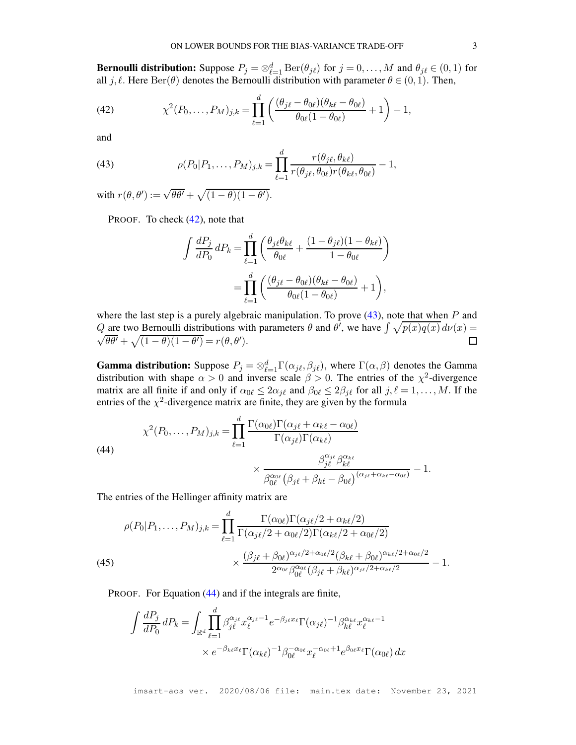**Bernoulli distribution:** Suppose  $P_j = \otimes_{\ell=1}^d \text{Ber}(\theta_{j\ell})$  for  $j = 0, ..., M$  and  $\theta_{j\ell} \in (0, 1)$  for all j,  $\ell$ . Here  $\text{Ber}(\theta)$  denotes the Bernoulli distribution with parameter  $\theta \in (0,1)$ . Then,

<span id="page-31-0"></span>(42) 
$$
\chi^2(P_0,\ldots,P_M)_{j,k} = \prod_{\ell=1}^d \left( \frac{(\theta_{j\ell} - \theta_{0\ell})(\theta_{k\ell} - \theta_{0\ell})}{\theta_{0\ell}(1 - \theta_{0\ell})} + 1 \right) - 1,
$$

and

<span id="page-31-1"></span>(43) 
$$
\rho(P_0|P_1,\ldots,P_M)_{j,k} = \prod_{\ell=1}^d \frac{r(\theta_{j\ell},\theta_{k\ell})}{r(\theta_{j\ell},\theta_{0\ell})r(\theta_{k\ell},\theta_{0\ell})} - 1,
$$

with  $r(\theta, \theta') := \sqrt{\theta \theta'} + \sqrt{(1 - \theta)(1 - \theta')}$ .

PROOF. To check  $(42)$ , note that

$$
\int \frac{dP_j}{dP_0} dP_k = \prod_{\ell=1}^d \left( \frac{\theta_{j\ell} \theta_{k\ell}}{\theta_{0\ell}} + \frac{(1 - \theta_{j\ell})(1 - \theta_{k\ell})}{1 - \theta_{0\ell}} \right)
$$

$$
= \prod_{\ell=1}^d \left( \frac{(\theta_{j\ell} - \theta_{0\ell})(\theta_{k\ell} - \theta_{0\ell})}{\theta_{0\ell}(1 - \theta_{0\ell})} + 1 \right),
$$

where the last step is a purely algebraic manipulation. To prove  $(43)$ , note that when P and Q are two Bernoulli distributions with parameters  $\theta$  and  $\dot{\theta}$ , we have  $\int \sqrt{p(x)q(x)} d\nu(x) =$  $\sqrt{\theta \theta'} + \sqrt{(1 - \theta)(1 - \theta')} = r(\theta, \theta').$  $\Box$ 

**Gamma distribution:** Suppose  $P_j = \otimes_{\ell=1}^d \Gamma(\alpha_{j\ell}, \beta_{j\ell})$ , where  $\Gamma(\alpha, \beta)$  denotes the Gamma distribution with shape  $\alpha > 0$  and inverse scale  $\beta > 0$ . The entries of the  $\chi^2$ -divergence matrix are all finite if and only if  $\alpha_{0\ell} \leq 2\alpha_{j\ell}$  and  $\beta_{0\ell} \leq 2\beta_{j\ell}$  for all  $j, \ell = 1, ..., M$ . If the entries of the  $\chi^2$ -divergence matrix are finite, they are given by the formula

<span id="page-31-2"></span>(44)  

$$
\chi^{2}(P_{0},...,P_{M})_{j,k} = \prod_{\ell=1}^{d} \frac{\Gamma(\alpha_{0\ell})\Gamma(\alpha_{j\ell} + \alpha_{k\ell} - \alpha_{0\ell})}{\Gamma(\alpha_{j\ell})\Gamma(\alpha_{k\ell})} \times \frac{\beta_{j\ell}^{\alpha_{j\ell}}\beta_{k\ell}^{\alpha_{k\ell}}}{\beta_{0\ell}^{\alpha_{0\ell}}(\beta_{j\ell} + \beta_{k\ell} - \beta_{0\ell})^{(\alpha_{j\ell} + \alpha_{k\ell} - \alpha_{0\ell})}} - 1.
$$

The entries of the Hellinger affinity matrix are

(45)  

$$
\rho(P_0|P_1,\ldots,P_M)_{j,k} = \prod_{\ell=1}^d \frac{\Gamma(\alpha_{0\ell})\Gamma(\alpha_{j\ell}/2 + \alpha_{k\ell}/2)}{\Gamma(\alpha_{j\ell}/2 + \alpha_{0\ell}/2)\Gamma(\alpha_{k\ell}/2 + \alpha_{0\ell}/2)}
$$

$$
\times \frac{(\beta_{j\ell} + \beta_{0\ell})^{\alpha_{j\ell}/2 + \alpha_{0\ell}/2}(\beta_{k\ell} + \beta_{0\ell})^{\alpha_{k\ell}/2 + \alpha_{0\ell}/2}}{2^{\alpha_{0\ell}}\beta_{0\ell}^{\alpha_{0\ell}}(\beta_{j\ell} + \beta_{k\ell})^{\alpha_{j\ell}/2 + \alpha_{k\ell}/2}} - 1.
$$

<span id="page-31-3"></span>PROOF. For Equation [\(44\)](#page-31-2) and if the integrals are finite,

$$
\int \frac{dP_j}{dP_0} dP_k = \int_{\mathbb{R}^d} \prod_{\ell=1}^d \beta_{j\ell}^{\alpha_{j\ell}} x_{\ell}^{\alpha_{j\ell}-1} e^{-\beta_{j\ell} x_{\ell}} \Gamma(\alpha_{j\ell})^{-1} \beta_{k\ell}^{\alpha_{k\ell}} x_{\ell}^{\alpha_{k\ell}-1}
$$

$$
\times e^{-\beta_{k\ell} x_{\ell}} \Gamma(\alpha_{k\ell})^{-1} \beta_{0\ell}^{-\alpha_{0\ell}} x_{\ell}^{-\alpha_{0\ell}+1} e^{\beta_{0\ell} x_{\ell}} \Gamma(\alpha_{0\ell}) dx
$$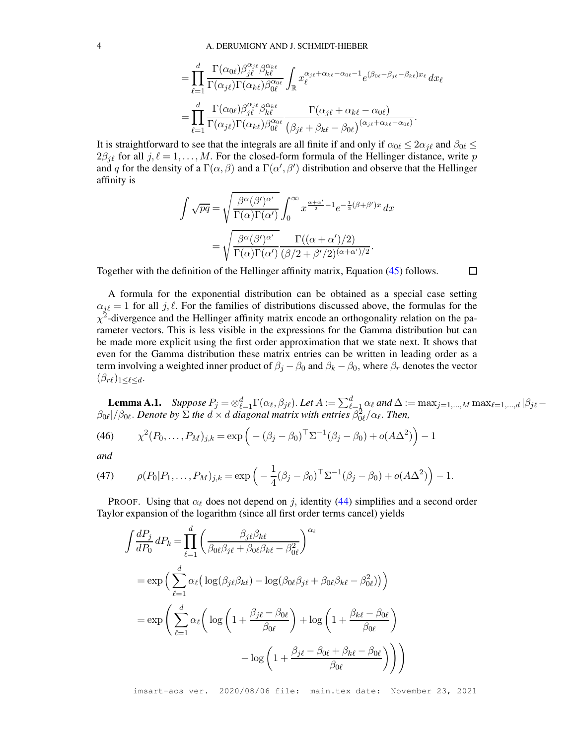$$
= \prod_{\ell=1}^d \frac{\Gamma(\alpha_{0\ell})\beta_{j\ell}^{\alpha_{j\ell}}\beta_{k\ell}^{\alpha_{k\ell}}}{\Gamma(\alpha_{j\ell})\Gamma(\alpha_{k\ell})\beta_{0\ell}^{\alpha_{0\ell}}}\int_{\mathbb{R}} x_{\ell}^{\alpha_{j\ell}+\alpha_{k\ell}-\alpha_{0\ell}-1}e^{(\beta_{0\ell}-\beta_{j\ell}-\beta_{k\ell})x_{\ell}} dx_{\ell}
$$

$$
= \prod_{\ell=1}^d \frac{\Gamma(\alpha_{0\ell})\beta_{j\ell}^{\alpha_{j\ell}}\beta_{k\ell}^{\alpha_{k\ell}}}{\Gamma(\alpha_{j\ell})\Gamma(\alpha_{k\ell})\beta_{0\ell}^{\alpha_{0\ell}}}\frac{\Gamma(\alpha_{j\ell}+\alpha_{k\ell}-\alpha_{0\ell})}{(\beta_{j\ell}+\beta_{k\ell}-\beta_{0\ell})^{(\alpha_{j\ell}+\alpha_{k\ell}-\alpha_{0\ell})}}.
$$

It is straightforward to see that the integrals are all finite if and only if  $\alpha_{0\ell} \leq 2\alpha_{i\ell}$  and  $\beta_{0\ell} \leq$  $2\beta_{j\ell}$  for all  $j, \ell = 1, ..., M$ . For the closed-form formula of the Hellinger distance, write p and q for the density of a  $\Gamma(\alpha, \beta)$  and a  $\Gamma(\alpha', \beta')$  distribution and observe that the Hellinger affinity is

$$
\int \sqrt{pq} = \sqrt{\frac{\beta^{\alpha}(\beta')^{\alpha'}}{\Gamma(\alpha)\Gamma(\alpha')}} \int_0^{\infty} x^{\frac{\alpha+\alpha'}{2}-1} e^{-\frac{1}{2}(\beta+\beta')x} dx
$$

$$
= \sqrt{\frac{\beta^{\alpha}(\beta')^{\alpha'}}{\Gamma(\alpha)\Gamma(\alpha')}} \frac{\Gamma((\alpha+\alpha')/2)}{(\beta/2+\beta'/2)^{(\alpha+\alpha')/2}}.
$$

Together with the definition of the Hellinger affinity matrix, Equation [\(45\)](#page-31-3) follows.

A formula for the exponential distribution can be obtained as a special case setting  $\alpha_{i\ell} = 1$  for all j,  $\ell$ . For the families of distributions discussed above, the formulas for the  $\chi^2$ -divergence and the Hellinger affinity matrix encode an orthogonality relation on the parameter vectors. This is less visible in the expressions for the Gamma distribution but can be made more explicit using the first order approximation that we state next. It shows that even for the Gamma distribution these matrix entries can be written in leading order as a term involving a weighted inner product of  $\beta_j - \beta_0$  and  $\beta_k - \beta_0$ , where  $\beta_r$  denotes the vector  $(\beta_{r\ell})_{1\leq \ell \leq d}$ .

**Lemma A.1.** *Suppose*  $P_j = \otimes_{\ell=1}^d \Gamma(\alpha_\ell, \beta_{j\ell})$ . Let  $A := \sum_{\ell=1}^d \alpha_\ell$  and  $\Delta := \max_{j=1,\dots,M} \max_{\ell=1,\dots,d} |\beta_{j\ell} - \beta_{j\ell}|$  $\beta_{0\ell}$ |/ $\beta_{0\ell}$ . Denote by  $\Sigma$  the  $d \times d$  diagonal matrix with entries  $\beta_{0\ell}^2/\alpha_{\ell}$ . Then,

П

<span id="page-32-0"></span>(46) 
$$
\chi^2(P_0,\ldots,P_M)_{j,k} = \exp\left(-(\beta_j-\beta_0)^{\top} \Sigma^{-1}(\beta_j-\beta_0) + o(A\Delta^2)\right) - 1
$$

*and*

<span id="page-32-1"></span>(47) 
$$
\rho(P_0|P_1,\ldots,P_M)_{j,k} = \exp\left(-\frac{1}{4}(\beta_j-\beta_0)^{\top}\Sigma^{-1}(\beta_j-\beta_0) + o(A\Delta^2)\right) - 1.
$$

PROOF. Using that  $\alpha_{\ell}$  does not depend on j, identity [\(44\)](#page-31-2) simplifies and a second order Taylor expansion of the logarithm (since all first order terms cancel) yields

$$
\int \frac{dP_j}{dP_0} dP_k = \prod_{\ell=1}^d \left( \frac{\beta_{j\ell} \beta_{k\ell}}{\beta_{0\ell} \beta_{j\ell} + \beta_{0\ell} \beta_{k\ell} - \beta_{0\ell}^2} \right)^{\alpha_{\ell}}
$$
  
=  $\exp \left( \sum_{\ell=1}^d \alpha_{\ell} \left( \log(\beta_{j\ell} \beta_{k\ell}) - \log(\beta_{0\ell} \beta_{j\ell} + \beta_{0\ell} \beta_{k\ell} - \beta_{0\ell}^2) \right) \right)$   
=  $\exp \left( \sum_{\ell=1}^d \alpha_{\ell} \left( \log \left( 1 + \frac{\beta_{j\ell} - \beta_{0\ell}}{\beta_{0\ell}} \right) + \log \left( 1 + \frac{\beta_{k\ell} - \beta_{0\ell}}{\beta_{0\ell}} \right) \right)$   
-  $\log \left( 1 + \frac{\beta_{j\ell} - \beta_{0\ell} + \beta_{k\ell} - \beta_{0\ell}}{\beta_{0\ell}} \right) \right)$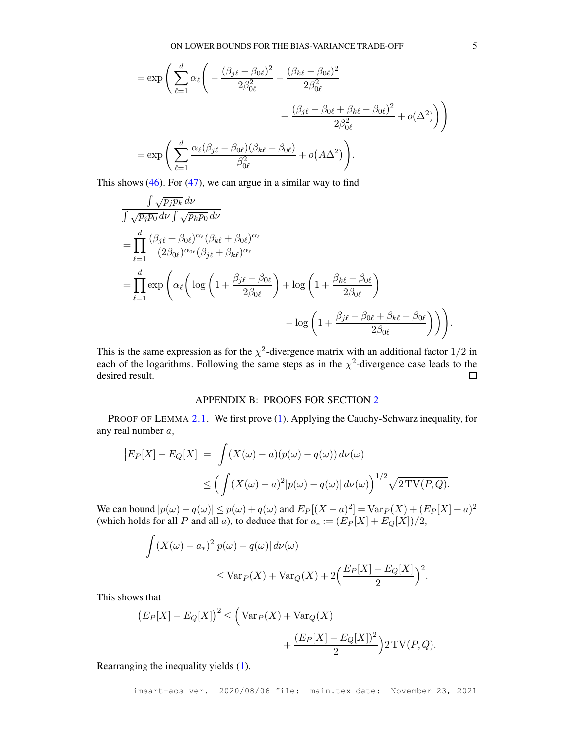$$
= \exp\left(\sum_{\ell=1}^{d} \alpha_{\ell} \left(-\frac{(\beta_{j\ell} - \beta_{0\ell})^2}{2\beta_{0\ell}^2} - \frac{(\beta_{k\ell} - \beta_{0\ell})^2}{2\beta_{0\ell}^2} + \frac{(\beta_{j\ell} - \beta_{0\ell} + \beta_{k\ell} - \beta_{0\ell})^2}{2\beta_{0\ell}^2} + o(\Delta^2)\right)\right)
$$
  
= 
$$
\exp\left(\sum_{\ell=1}^{d} \frac{\alpha_{\ell}(\beta_{j\ell} - \beta_{0\ell})(\beta_{k\ell} - \beta_{0\ell})}{\beta_{0\ell}^2} + o(A\Delta^2)\right).
$$

This shows  $(46)$ . For  $(47)$ , we can argue in a similar way to find

$$
\frac{\int \sqrt{p_j p_k} d\nu}{\int \sqrt{p_j p_0} d\nu \int \sqrt{p_k p_0} d\nu} \n= \prod_{\ell=1}^d \frac{(\beta_{j\ell} + \beta_{0\ell})^{\alpha_{\ell}} (\beta_{k\ell} + \beta_{0\ell})^{\alpha_{\ell}}}{(2\beta_{0\ell})^{\alpha_{0\ell}} (\beta_{j\ell} + \beta_{k\ell})^{\alpha_{\ell}}} \n= \prod_{\ell=1}^d \exp\left(\alpha_{\ell} \left( \log\left(1 + \frac{\beta_{j\ell} - \beta_{0\ell}}{2\beta_{0\ell}}\right) + \log\left(1 + \frac{\beta_{k\ell} - \beta_{0\ell}}{2\beta_{0\ell}}\right) - \log\left(1 + \frac{\beta_{j\ell} - \beta_{0\ell} + \beta_{k\ell} - \beta_{0\ell}}{2\beta_{0\ell}}\right)\right) \right).
$$

This is the same expression as for the  $\chi^2$ -divergence matrix with an additional factor  $1/2$  in each of the logarithms. Following the same steps as in the  $\chi^2$ -divergence case leads to the desired result.  $\Box$ 

# APPENDIX B: PROOFS FOR SECTION [2](#page-3-0)

<span id="page-33-0"></span>PROOF OF LEMMA [2.1.](#page-3-1) We first prove [\(1\)](#page-4-2). Applying the Cauchy-Schwarz inequality, for any real number a,

$$
|E_P[X] - E_Q[X]| = \left| \int (X(\omega) - a)(p(\omega) - q(\omega)) d\nu(\omega) \right|
$$
  

$$
\leq \left( \int (X(\omega) - a)^2 |p(\omega) - q(\omega)| d\nu(\omega) \right)^{1/2} \sqrt{2 \text{TV}(P, Q)}.
$$

We can bound  $|p(\omega) - q(\omega)| \le p(\omega) + q(\omega)$  and  $E_P[(X - a)^2] = \text{Var}_P(X) + (E_P[X] - a)^2$ (which holds for all P and all a), to deduce that for  $a_* := (E_P[X] + E_Q[X])/2$ ,

$$
\int (X(\omega) - a_*)^2 |p(\omega) - q(\omega)| d\nu(\omega)
$$
  

$$
\leq \text{Var}_P(X) + \text{Var}_Q(X) + 2\left(\frac{E_P[X] - E_Q[X]}{2}\right)^2.
$$

This shows that

$$
(E_P[X] - E_Q[X])^2 \le \left(\text{Var}_P(X) + \text{Var}_Q(X) + \frac{(E_P[X] - E_Q[X])^2}{2}\right)2\text{TV}(P,Q).
$$

Rearranging the inequality yields [\(1\)](#page-4-2).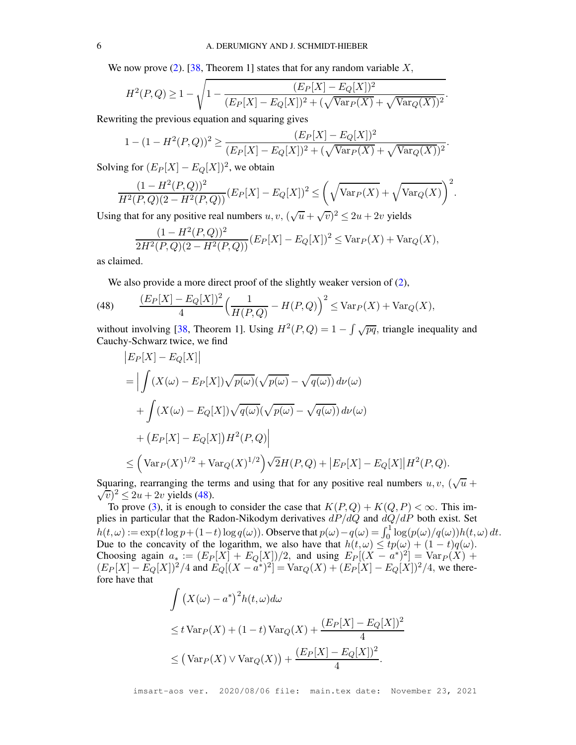We now prove [\(2\)](#page-4-1). [\[38,](#page-27-10) Theorem 1] states that for any random variable  $X$ ,

$$
H^{2}(P,Q) \geq 1 - \sqrt{1 - \frac{(E_{P}[X] - E_{Q}[X])^{2}}{(E_{P}[X] - E_{Q}[X])^{2} + (\sqrt{\text{Var}_{P}(X)} + \sqrt{\text{Var}_{Q}(X)})^{2}}}.
$$

Rewriting the previous equation and squaring gives

$$
1 - (1 - H^{2}(P,Q))^{2} \ge \frac{(E_{P}[X] - E_{Q}[X])^{2}}{(E_{P}[X] - E_{Q}[X])^{2} + (\sqrt{\text{Var}_{P}(X)} + \sqrt{\text{Var}_{Q}(X)})^{2}}.
$$

Solving for  $(E_P[X] - E_Q[X])^2$ , we obtain

$$
\frac{(1 - H^{2}(P,Q))^{2}}{H^{2}(P,Q)(2 - H^{2}(P,Q))}(E_{P}[X] - E_{Q}[X])^{2} \leq \left(\sqrt{\text{Var}_{P}(X)} + \sqrt{\text{Var}_{Q}(X)}\right)^{2}.
$$

Using that for any positive real numbers  $u, v, (\sqrt{u} + \sqrt{v})^2 \le 2u + 2v$  yields

$$
\frac{(1 - H^2(P, Q))^2}{2H^2(P, Q)(2 - H^2(P, Q))}(E_P[X] - E_Q[X])^2 \le \text{Var}_P(X) + \text{Var}_Q(X),
$$

as claimed.

We also provide a more direct proof of the slightly weaker version of  $(2)$ ,

<span id="page-34-0"></span>(48) 
$$
\frac{(E_P[X] - E_Q[X])^2}{4} \left( \frac{1}{H(P,Q)} - H(P,Q) \right)^2 \leq \text{Var}_P(X) + \text{Var}_Q(X),
$$

without involving [\[38,](#page-27-10) Theorem 1]. Using  $H^2(P,Q) = 1 - \int \sqrt{pq}$ , triangle inequality and Cauchy-Schwarz twice, we find

$$
|E_P[X] - E_Q[X]|
$$
  
= 
$$
\Big| \int (X(\omega) - E_P[X]) \sqrt{p(\omega)} (\sqrt{p(\omega)} - \sqrt{q(\omega)}) d\nu(\omega)
$$
  
+ 
$$
\int (X(\omega) - E_Q[X]) \sqrt{q(\omega)} (\sqrt{p(\omega)} - \sqrt{q(\omega)}) d\nu(\omega)
$$
  
+ 
$$
(E_P[X] - E_Q[X]) H^2(P,Q)\Big|
$$
  

$$
\leq (\text{Var}_P(X)^{1/2} + \text{Var}_Q(X)^{1/2}) \sqrt{2}H(P,Q) + |E_P[X] - E_Q[X]|H^2(P,Q).
$$

Squaring, rearranging the terms and using that for any positive real numbers  $u, v, (\sqrt{u} +$  $\sqrt{v}$ <sup>2</sup> $\leq$  2u + 2v yields [\(48\)](#page-34-0).

To prove [\(3\)](#page-4-3), it is enough to consider the case that  $K(P,Q) + K(Q, P) < \infty$ . This implies in particular that the Radon-Nikodym derivatives  $dP/dQ$  and  $dQ/dP$  both exist. Set  $h(t, \omega) := \exp(t \log p + (1-t) \log q(\omega))$ . Observe that  $p(\omega) - q(\omega) = \int_0^1 \log (p(\omega)/q(\omega)) h(t, \omega) dt$ . Due to the concavity of the logarithm, we also have that  $h(t, \omega) \leq tp(\omega) + (1-t)q(\omega)$ . Choosing again  $a_* := (E_P[X] + E_Q[X])/2$ , and using  $E_P[(X - a^*)^2] = \text{Var}_P(X) +$  $(E_P[X] - E_Q[X])^2/4$  and  $E_Q[(X - a^*)^2] = Var_Q(X) + (E_P[X] - E_Q[X])^2/4$ , we therefore have that

$$
\int (X(\omega) - a^*)^2 h(t, \omega) d\omega
$$
  
\n
$$
\leq t \operatorname{Var}_P(X) + (1 - t) \operatorname{Var}_Q(X) + \frac{(E_P[X] - E_Q[X])^2}{4}
$$
  
\n
$$
\leq (\operatorname{Var}_P(X) \vee \operatorname{Var}_Q(X)) + \frac{(E_P[X] - E_Q[X])^2}{4}.
$$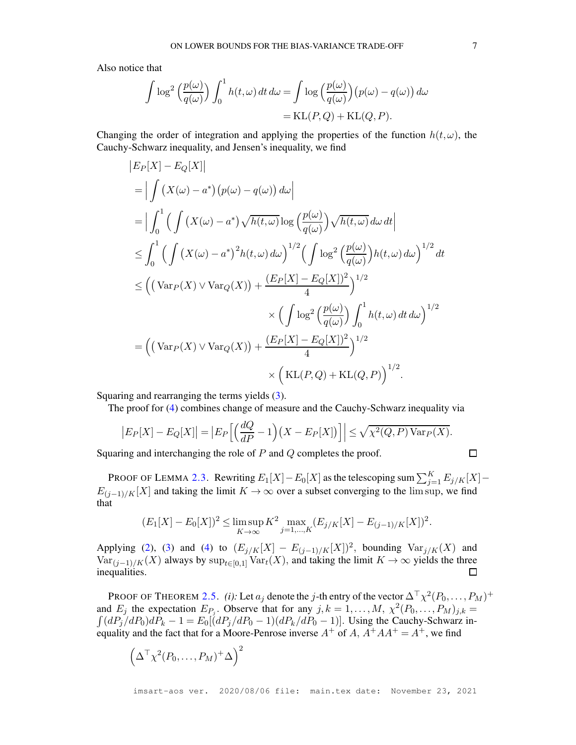Also notice that

$$
\int \log^2 \left(\frac{p(\omega)}{q(\omega)}\right) \int_0^1 h(t,\omega) dt d\omega = \int \log \left(\frac{p(\omega)}{q(\omega)}\right) (p(\omega) - q(\omega)) d\omega
$$

$$
= \text{KL}(P,Q) + \text{KL}(Q,P).
$$

Changing the order of integration and applying the properties of the function  $h(t, \omega)$ , the Cauchy-Schwarz inequality, and Jensen's inequality, we find

$$
|E_P[X] - E_Q[X]|
$$
  
\n
$$
= |\int (X(\omega) - a^*)(p(\omega) - q(\omega)) d\omega|
$$
  
\n
$$
= |\int_0^1 ( \int (X(\omega) - a^*) \sqrt{h(t, \omega)} \log \left(\frac{p(\omega)}{q(\omega)}\right) \sqrt{h(t, \omega)} d\omega dt|
$$
  
\n
$$
\leq \int_0^1 ( \int (X(\omega) - a^*)^2 h(t, \omega) d\omega \right)^{1/2} ( \int \log^2 \left(\frac{p(\omega)}{q(\omega)}\right) h(t, \omega) d\omega \right)^{1/2} dt
$$
  
\n
$$
\leq ((\text{Var}_P(X) \vee \text{Var}_Q(X)) + \frac{(E_P[X] - E_Q[X])^2}{4})^{1/2}
$$
  
\n
$$
\times (\int \log^2 \left(\frac{p(\omega)}{q(\omega)}\right) \int_0^1 h(t, \omega) dt d\omega \Big)^{1/2}
$$
  
\n
$$
= ((\text{Var}_P(X) \vee \text{Var}_Q(X)) + \frac{(E_P[X] - E_Q[X])^2}{4})^{1/2} \times (\text{KL}(P, Q) + \text{KL}(Q, P))^{1/2}.
$$

Squaring and rearranging the terms yields [\(3\)](#page-4-3).

The proof for [\(4\)](#page-4-0) combines change of measure and the Cauchy-Schwarz inequality via

$$
\left| E_P[X] - E_Q[X] \right| = \left| E_P\left[ \left( \frac{dQ}{dP} - 1 \right) \left( X - E_P[X] \right) \right] \right| \le \sqrt{\chi^2(Q, P) \operatorname{Var}_P(X)}.
$$

Squaring and interchanging the role of  $P$  and  $Q$  completes the proof.

PROOF OF LEMMA 2.3. Rewriting 
$$
E_1[X] - E_0[X]
$$
 as the telescoping sum  $\sum_{j=1}^{K} E_{j/K}[X] - E_{(j-1)/K}[X]$  and taking the limit  $K \to \infty$  over a subset converging to the lim sup, we find that

$$
(E_1[X] - E_0[X])^2 \le \limsup_{K \to \infty} K^2 \max_{j=1,\dots,K} (E_{j/K}[X] - E_{(j-1)/K}[X])^2.
$$

Applying [\(2\)](#page-4-1), [\(3\)](#page-4-3) and [\(4\)](#page-4-0) to  $(E_{j/K}[X] - E_{(j-1)/K}[X])^2$ , bounding  $Var_{j/K}(X)$  and  $Var_{(j-1)/K}(X)$  always by  $sup_{t\in[0,1]} Var_t(X)$ , and taking the limit  $K \to \infty$  yields the three inequalities. inequalities.

PROOF OF THEOREM [2.5.](#page-7-1) *(i)*: Let  $a_j$  denote the *j*-th entry of the vector  $\Delta^{\top} \chi^2(P_0, \ldots, P_M)^+$ and  $E_j$  the expectation  $E_{P_j}$ . Observe that for any  $j, k = 1, ..., M$ ,  $\chi^2(P_0, ..., P_M)_{j,k} =$  $\int (dP_j/dP_0)dP_k - 1 = E_0[(dP_j/dP_0 - 1)(dP_k/dP_0 - 1)]$ . Using the Cauchy-Schwarz inequality and the fact that for a Moore-Penrose inverse  $A^+$  of  $A$ ,  $A^+AA^+ = A^+$ , we find

$$
\left(\Delta^{\top}\chi^2(P_0,\ldots,P_M)^+\Delta\right)^2
$$

 $\Box$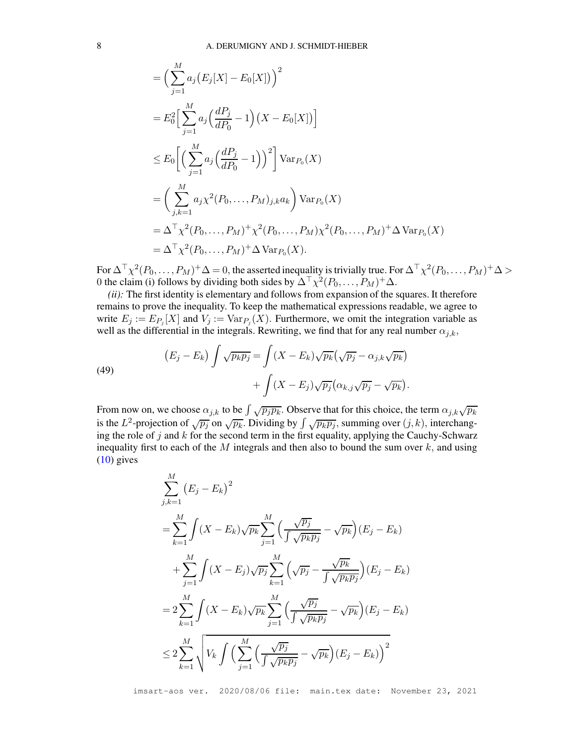$$
= \left(\sum_{j=1}^{M} a_j (E_j[X] - E_0[X])\right)^2
$$
  
=  $E_0^2 \Big[\sum_{j=1}^{M} a_j \Big(\frac{dP_j}{dP_0} - 1\Big) (X - E_0[X])\Big]$   

$$
\leq E_0 \Big[\Big(\sum_{j=1}^{M} a_j \Big(\frac{dP_j}{dP_0} - 1\Big)\Big)^2\Big] \text{Var}_{P_0}(X)
$$
  
=  $\Big(\sum_{j,k=1}^{M} a_j \chi^2(P_0, \dots, P_M)_{j,k} a_k\Big) \text{Var}_{P_0}(X)$   
=  $\Delta^T \chi^2(P_0, \dots, P_M)^+ \chi^2(P_0, \dots, P_M) \chi^2(P_0, \dots, P_M)^+ \Delta \text{Var}_{P_0}(X)$   
=  $\Delta^T \chi^2(P_0, \dots, P_M)^+ \Delta \text{Var}_{P_0}(X).$ 

For  $\Delta^\top\chi^2(P_0,\ldots,P_M)^+\Delta=0,$  the asserted inequality is trivially true. For  $\Delta^\top\chi^2(P_0,\ldots,P_M)^+\Delta>0$ 0 the claim (i) follows by dividing both sides by  $\Delta^{\top} \chi^2(P_0, \ldots, P_M)^+ \Delta$ .

*(ii):* The first identity is elementary and follows from expansion of the squares. It therefore remains to prove the inequality. To keep the mathematical expressions readable, we agree to write  $E_j := E_{P_j}[X]$  and  $V_j := Var_{P_j}(X)$ . Furthermore, we omit the integration variable as well as the differential in the integrals. Rewriting, we find that for any real number  $\alpha_{j,k}$ ,

(49)  
\n
$$
(E_j - E_k) \int \sqrt{p_k p_j} = \int (X - E_k) \sqrt{p_k} (\sqrt{p_j} - \alpha_{j,k} \sqrt{p_k}) + \int (X - E_j) \sqrt{p_j} (\alpha_{k,j} \sqrt{p_j} - \sqrt{p_k}).
$$

From now on, we choose  $\alpha_{j,k}$  to be  $\int \sqrt{p_j p_k}$ . Observe that for this choice, the term  $\alpha_{j,k}\sqrt{p_k}$ is the  $L^2$ -projection of  $\sqrt{p_j}$  on  $\sqrt{p_k}$ . Dividing by  $\int \sqrt{p_k p_j}$ , summing over  $(j, k)$ , interchanging the role of  $j$  and  $k$  for the second term in the first equality, applying the Cauchy-Schwarz inequality first to each of the  $M$  integrals and then also to bound the sum over  $k$ , and using  $(10)$  gives

$$
\sum_{j,k=1}^{M} (E_j - E_k)^2
$$
\n
$$
= \sum_{k=1}^{M} \int (X - E_k) \sqrt{p_k} \sum_{j=1}^{M} \left( \frac{\sqrt{p_j}}{\int \sqrt{p_k p_j}} - \sqrt{p_k} \right) (E_j - E_k)
$$
\n
$$
+ \sum_{j=1}^{M} \int (X - E_j) \sqrt{p_j} \sum_{k=1}^{M} \left( \sqrt{p_j} - \frac{\sqrt{p_k}}{\int \sqrt{p_k p_j}} \right) (E_j - E_k)
$$
\n
$$
= 2 \sum_{k=1}^{M} \int (X - E_k) \sqrt{p_k} \sum_{j=1}^{M} \left( \frac{\sqrt{p_j}}{\int \sqrt{p_k p_j}} - \sqrt{p_k} \right) (E_j - E_k)
$$
\n
$$
\leq 2 \sum_{k=1}^{M} \sqrt{V_k \int \left( \sum_{j=1}^{M} \left( \frac{\sqrt{p_j}}{\int \sqrt{p_k p_j}} - \sqrt{p_k} \right) (E_j - E_k) \right)^2}
$$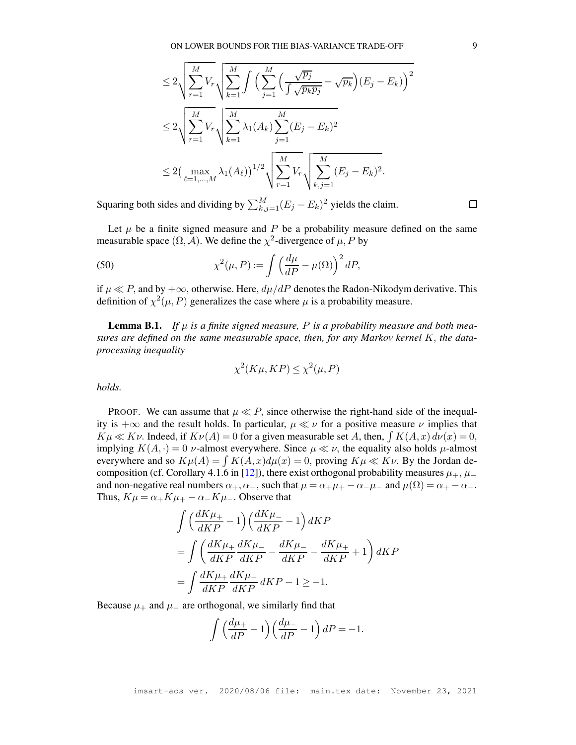$$
\leq 2\sqrt{\sum_{r=1}^{M}V_{r}}\sqrt{\sum_{k=1}^{M}\int\left(\sum_{j=1}^{M}\left(\frac{\sqrt{p_{j}}}{\int\sqrt{p_{k}p_{j}}}-\sqrt{p_{k}}\right)(E_{j}-E_{k})\right)^{2}}\n\leq 2\sqrt{\sum_{r=1}^{M}V_{r}}\sqrt{\sum_{k=1}^{M}\lambda_{1}(A_{k})\sum_{j=1}^{M}(E_{j}-E_{k})^{2}}\n\leq 2\left(\max_{\ell=1,...,M}\lambda_{1}(A_{\ell})\right)^{1/2}\sqrt{\sum_{r=1}^{M}V_{r}}\sqrt{\sum_{k,j=1}^{M}(E_{j}-E_{k})^{2}}.
$$

Squaring both sides and dividing by  $\sum_{k,j=1}^{M} (E_j - E_k)^2$  yields the claim.

Let  $\mu$  be a finite signed measure and P be a probability measure defined on the same measurable space  $(\Omega, \mathcal{A})$ . We define the  $\chi^2$ -divergence of  $\mu$ , P by

<span id="page-37-0"></span>(50) 
$$
\chi^2(\mu, P) := \int \left(\frac{d\mu}{dP} - \mu(\Omega)\right)^2 dP,
$$

if  $\mu \ll P$ , and by  $+\infty$ , otherwise. Here,  $d\mu/dP$  denotes the Radon-Nikodym derivative. This definition of  $\chi^2(\mu, P)$  generalizes the case where  $\mu$  is a probability measure.

<span id="page-37-1"></span>**Lemma B.1.** If  $\mu$  is a finite signed measure, P is a probability measure and both mea*sures are defined on the same measurable space, then, for any Markov kernel* K, *the dataprocessing inequality*

$$
\chi^2(K\mu, KP) \le \chi^2(\mu, P)
$$

*holds.*

PROOF. We can assume that  $\mu \ll P$ , since otherwise the right-hand side of the inequality is  $+\infty$  and the result holds. In particular,  $\mu \ll \nu$  for a positive measure  $\nu$  implies that  $K\mu \ll K\nu$ . Indeed, if  $K\nu(A) = 0$  for a given measurable set A, then,  $\int K(A, x) d\nu(x) = 0$ , implying  $K(A, \cdot) = 0$  *v*-almost everywhere. Since  $\mu \ll \nu$ , the equality also holds  $\mu$ -almost everywhere and so  $K\mu(A) = \int K(A, x)d\mu(x) = 0$ , proving  $K\mu \ll K\nu$ . By the Jordan de-composition (cf. Corollary 4.1.6 in [\[12\]](#page-26-12)), there exist orthogonal probability measures  $\mu_+$ ,  $\mu_$ and non-negative real numbers  $\alpha_+,\alpha_-$ , such that  $\mu = \alpha_+\mu_+ - \alpha_-\mu_-$  and  $\mu(\Omega) = \alpha_+ - \alpha_-\mu_-$ Thus,  $K\mu = \alpha_+K\mu_+ - \alpha_-K\mu_-.$  Observe that

$$
\begin{split} &\int \Big(\frac{dK\mu_{+}}{dKP}-1\Big)\Big(\frac{dK\mu_{-}}{dKP}-1\Big)\,dKP\\ &=\int \left(\frac{dK\mu_{+}}{dKP}\frac{dK\mu_{-}}{dKP}-\frac{dK\mu_{-}}{dKP}-\frac{dK\mu_{+}}{dKP}+1\right)dKP\\ &=\int \frac{dK\mu_{+}}{dKP}\frac{dK\mu_{-}}{dKP}\,dKP-1\geq-1. \end{split}
$$

Because  $\mu_+$  and  $\mu_-$  are orthogonal, we similarly find that

$$
\int \left(\frac{d\mu_{+}}{dP} - 1\right) \left(\frac{d\mu_{-}}{dP} - 1\right) dP = -1.
$$

 $\Box$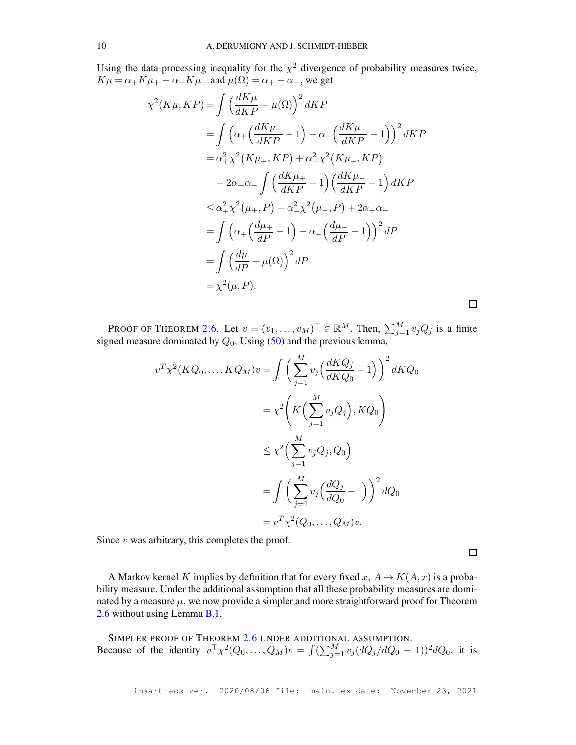Using the data-processing inequality for the  $\chi^2$  divergence of probability measures twice,  $K\mu = \alpha_+K\mu_+ - \alpha_-K\mu_-$  and  $\mu(\Omega) = \alpha_+ - \alpha_-,$  we get

$$
\chi^2(K\mu, KP) = \int \left(\frac{dK\mu}{dKP} - \mu(\Omega)\right)^2 dKP
$$
  
= 
$$
\int \left(\alpha_+\left(\frac{dK\mu_+}{dKP} - 1\right) - \alpha_-\left(\frac{dK\mu_-}{dKP} - 1\right)\right)^2 dKP
$$
  
= 
$$
\alpha_+^2 \chi^2(K\mu_+, KP) + \alpha_-^2 \chi^2(K\mu_-, KP)
$$
  

$$
-2\alpha_+\alpha_-\int \left(\frac{dK\mu_+}{dKP} - 1\right) \left(\frac{dK\mu_-}{dKP} - 1\right) dKP
$$
  

$$
\leq \alpha_+^2 \chi^2(\mu_+, P) + \alpha_-^2 \chi^2(\mu_-, P) + 2\alpha_+\alpha_-
$$
  
= 
$$
\int \left(\alpha_+\left(\frac{d\mu_+}{dP} - 1\right) - \alpha_-\left(\frac{d\mu_-}{dP} - 1\right)\right)^2 dP
$$
  
= 
$$
\int \left(\frac{d\mu}{dP} - \mu(\Omega)\right)^2 dP
$$
  
= 
$$
\chi^2(\mu, P).
$$

PROOF OF THEOREM [2.6.](#page-8-0) Let  $v = (v_1, \dots, v_M)^\top \in \mathbb{R}^M$ . Then,  $\sum_{j=1}^M v_j Q_j$  is a finite signed measure dominated by  $Q_0$ . Using [\(50\)](#page-37-0) and the previous lemma,

$$
v^T \chi^2 (KQ_0, \dots, KQ_M)v = \int \left(\sum_{j=1}^M v_j \left(\frac{dKQ_j}{dKQ_0} - 1\right)\right)^2 dKQ_0
$$
  

$$
= \chi^2 \left(K\left(\sum_{j=1}^M v_j Q_j\right), KQ_0\right)
$$
  

$$
\leq \chi^2 \left(\sum_{j=1}^M v_j Q_j, Q_0\right)
$$
  

$$
= \int \left(\sum_{j=1}^M v_j \left(\frac{dQ_j}{dQ_0} - 1\right)\right)^2 dQ_0
$$
  

$$
= v^T \chi^2(Q_0, \dots, Q_M)v.
$$

Since  $v$  was arbitrary, this completes the proof.

 $\Box$ 

 $\Box$ 

A Markov kernel K implies by definition that for every fixed  $x, A \mapsto K(A, x)$  is a probability measure. Under the additional assumption that all these probability measures are dominated by a measure  $\mu$ , we now provide a simpler and more straightforward proof for Theorem [2.6](#page-8-0) without using Lemma [B.1.](#page-37-1)

SIMPLER PROOF OF THEOREM [2.6](#page-8-0) UNDER ADDITIONAL ASSUMPTION. Because of the identity  $v^{\top} \chi^2(Q_0, \ldots, Q_M)v = \int (\sum_{j=1}^M v_j (dQ_j/dQ_0 - 1))^2 dQ_0$ , it is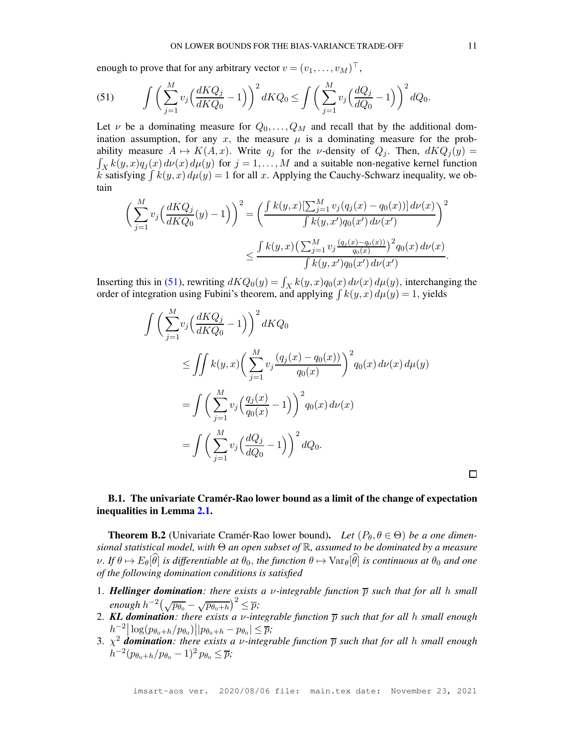enough to prove that for any arbitrary vector  $v = (v_1, \dots, v_M)^\top$ ,

<span id="page-39-0"></span>(51) 
$$
\int \left( \sum_{j=1}^{M} v_j \left( \frac{dKQ_j}{dKQ_0} - 1 \right) \right)^2 dKQ_0 \le \int \left( \sum_{j=1}^{M} v_j \left( \frac{dQ_j}{dQ_0} - 1 \right) \right)^2 dQ_0.
$$

Let  $\nu$  be a dominating measure for  $Q_0, \ldots, Q_M$  and recall that by the additional domination assumption, for any x, the measure  $\mu$  is a dominating measure for the probability measure  $A \mapsto K(A, x)$ . Write  $q_j$  for the *v*-density of  $Q_j$ . Then,  $dKQ_j(y) =$  $\int_X k(y,x)q_j(x) d\nu(x) d\mu(y)$  for  $j = 1, ..., M$  and a suitable non-negative kernel function k satisfying  $\int k(y, x) d\mu(y) = 1$  for all x. Applying the Cauchy-Schwarz inequality, we obtain

$$
\left(\sum_{j=1}^{M} v_j \Big(\frac{dKQ_j}{dKQ_0}(y) - 1\Big)\right)^2 = \left(\frac{\int k(y,x) \left[\sum_{j=1}^{M} v_j (q_j(x) - q_0(x))\right] d\nu(x)}{\int k(y,x')q_0(x') d\nu(x')} \right)^2
$$
  

$$
\leq \frac{\int k(y,x) \left(\sum_{j=1}^{M} v_j \frac{(q_j(x) - q_0(x))}{q_0(x)}\right)^2 q_0(x) d\nu(x)}{\int k(y,x')q_0(x') d\nu(x')}.
$$

Inserting this in [\(51\)](#page-39-0), rewriting  $dKQ_0(y) = \int_X k(y,x)q_0(x) d\nu(x) d\mu(y)$ , interchanging the order of integration using Fubini's theorem, and applying  $\int k(y, x) d\mu(y) = 1$ , yields

$$
\int \left(\sum_{j=1}^{M} v_j \left(\frac{dKQ_j}{dKQ_0} - 1\right)\right)^2 dKQ_0
$$
\n
$$
\leq \iint k(y, x) \left(\sum_{j=1}^{M} v_j \frac{(q_j(x) - q_0(x))}{q_0(x)}\right)^2 q_0(x) d\nu(x) d\mu(y)
$$
\n
$$
= \int \left(\sum_{j=1}^{M} v_j \left(\frac{q_j(x)}{q_0(x)} - 1\right)\right)^2 q_0(x) d\nu(x)
$$
\n
$$
= \int \left(\sum_{j=1}^{M} v_j \left(\frac{dQ_j}{dQ_0} - 1\right)\right)^2 dQ_0.
$$

口

## B.1. The univariate Cramér-Rao lower bound as a limit of the change of expectation inequalities in Lemma [2.1.](#page-3-1)

**Theorem B.2** (Univariate Cramér-Rao lower bound). Let  $(P_\theta, \theta \in \Theta)$  be a one dimen*sional statistical model, with* Θ *an open subset of* R*, assumed to be dominated by a measure*  $\nu$ *. If*  $\theta \mapsto E_{\theta}[\hat{\theta}]$  *is differentiable at*  $\theta_0$ *, the function*  $\theta \mapsto \text{Var}_{\theta}[\hat{\theta}]$  *is continuous at*  $\theta_0$  *and one of the following domination conditions is satisfied*

- 1. **Hellinger domination**: there exists a *v*-integrable function  $\overline{p}$  such that for all h small  $\frac{1}{2}$ enough  $h^{-2}(\sqrt{p_{\theta_0}} - \sqrt{p_{\theta_0+h}})^2 \leq \overline{p}$ ;
- 2. **KL domination**: there exists a *v*-integrable function  $\overline{p}$  such that for all h small enough  $h^{-2} \left[ \log (p_{\theta_0+h}/p_{\theta_0}) || p_{\theta_0+h} - p_{\theta_0} || \leq \overline{p}; \right]$
- 3. χ <sup>2</sup> *domination: there exists a* ν*-integrable function* p *such that for all* h *small enough*  $h^{-2}(p_{\theta_0+h}/p_{\theta_0}-1)^2 p_{\theta_0} \leq \overline{p};$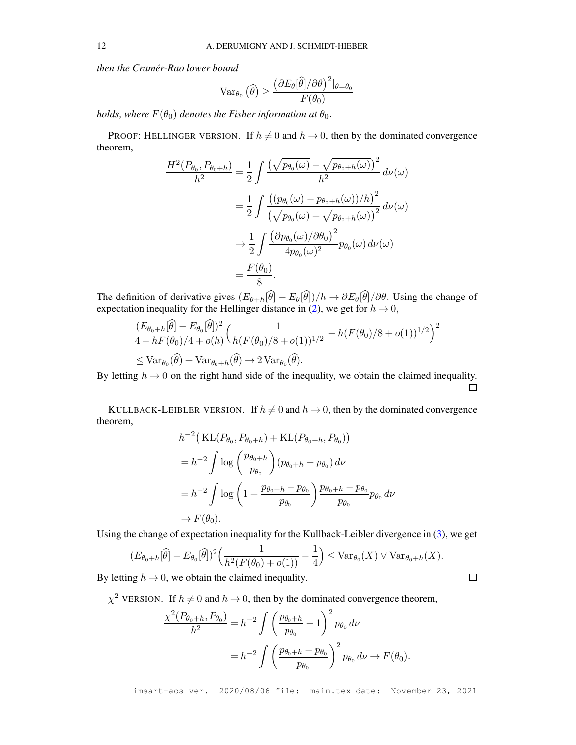*then the Cramér-Rao lower bound*

$$
\operatorname{Var}_{\theta_0}(\widehat{\theta}) \ge \frac{\left(\partial E_{\theta}[\widehat{\theta}]/\partial \theta\right)^2|_{\theta=\theta_0}}{F(\theta_0)}
$$

*holds, where*  $F(\theta_0)$  *denotes the Fisher information at*  $\theta_0$ *.* 

PROOF: HELLINGER VERSION. If  $h \neq 0$  and  $h \rightarrow 0$ , then by the dominated convergence theorem,

$$
\frac{H^2(P_{\theta_0}, P_{\theta_0+h})}{h^2} = \frac{1}{2} \int \frac{\left(\sqrt{p_{\theta_0}(\omega)} - \sqrt{p_{\theta_0+h}(\omega)}\right)^2}{h^2} d\nu(\omega)
$$

$$
= \frac{1}{2} \int \frac{\left((p_{\theta_0}(\omega) - p_{\theta_0+h}(\omega))/h\right)^2}{\left(\sqrt{p_{\theta_0}(\omega)} + \sqrt{p_{\theta_0+h}(\omega)}\right)^2} d\nu(\omega)
$$

$$
\to \frac{1}{2} \int \frac{\left(\partial p_{\theta_0}(\omega)/\partial \theta_0\right)^2}{4p_{\theta_0}(\omega)^2} p_{\theta_0}(\omega) d\nu(\omega)
$$

$$
= \frac{F(\theta_0)}{8}.
$$

The definition of derivative gives  $(E_{\theta+h}[\hat{\theta}] - E_{\theta}[\hat{\theta}])/h \rightarrow \partial E_{\theta}[\hat{\theta}]/\partial \theta$ . Using the change of expectation inequality for the Hellinger distance in [\(2\)](#page-4-1), we get for  $h \to 0$ ,

$$
\frac{(E_{\theta_0+h}[\hat{\theta}] - E_{\theta_0}[\hat{\theta}])^2}{4 - hF(\theta_0)/4 + o(h)} \left( \frac{1}{h(F(\theta_0)/8 + o(1))^{1/2}} - h(F(\theta_0)/8 + o(1))^{1/2} \right)^2
$$
  
\n
$$
\leq \text{Var}_{\theta_0}(\hat{\theta}) + \text{Var}_{\theta_0+h}(\hat{\theta}) \to 2 \text{Var}_{\theta_0}(\hat{\theta}).
$$

By letting  $h \to 0$  on the right hand side of the inequality, we obtain the claimed inequality.

KULLBACK-LEIBLER VERSION. If  $h \neq 0$  and  $h \rightarrow 0$ , then by the dominated convergence theorem,

$$
h^{-2} \left( \mathrm{KL}(P_{\theta_0}, P_{\theta_0+h}) + \mathrm{KL}(P_{\theta_0+h}, P_{\theta_0}) \right)
$$
  
=  $h^{-2} \int \log \left( \frac{p_{\theta_0+h}}{p_{\theta_0}} \right) (p_{\theta_0+h} - p_{\theta_0}) d\nu$   
=  $h^{-2} \int \log \left( 1 + \frac{p_{\theta_0+h} - p_{\theta_0}}{p_{\theta_0}} \right) \frac{p_{\theta_0+h} - p_{\theta_0}}{p_{\theta_0}} p_{\theta_0} d\nu$   
 $\rightarrow F(\theta_0).$ 

Using the change of expectation inequality for the Kullback-Leibler divergence in [\(3\)](#page-4-3), we get

$$
(E_{\theta_0+h}[\widehat{\theta}] - E_{\theta_0}[\widehat{\theta}])^2 \Big(\frac{1}{h^2(F(\theta_0) + o(1))} - \frac{1}{4}\Big) \leq \text{Var}_{\theta_0}(X) \vee \text{Var}_{\theta_0+h}(X).
$$

By letting  $h \to 0$ , we obtain the claimed inequality.

 $\chi^2$  VERSION. If  $h \neq 0$  and  $h \rightarrow 0$ , then by the dominated convergence theorem,

$$
\frac{\chi^2(P_{\theta_0+h}, P_{\theta_0})}{h^2} = h^{-2} \int \left(\frac{p_{\theta_0+h}}{p_{\theta_0}} - 1\right)^2 p_{\theta_0} \, d\nu
$$

$$
= h^{-2} \int \left(\frac{p_{\theta_0+h} - p_{\theta_0}}{p_{\theta_0}}\right)^2 p_{\theta_0} \, d\nu \to F(\theta_0).
$$

imsart-aos ver. 2020/08/06 file: main.tex date: November 23, 2021

 $\Box$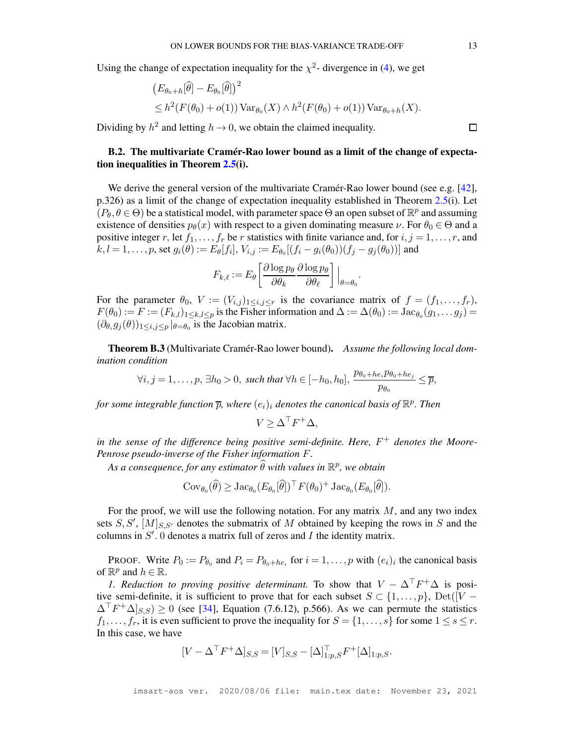Using the change of expectation inequality for the  $\chi^2$ - divergence in [\(4\)](#page-4-0), we get

$$
(E_{\theta_0+h}[\widehat{\theta}] - E_{\theta_0}[\widehat{\theta}])^2
$$
  
\$\leq h^2(F(\theta\_0) + o(1)) \text{Var}\_{\theta\_0}(X) \wedge h^2(F(\theta\_0) + o(1)) \text{Var}\_{\theta\_0+h}(X).\$

Dividing by  $h^2$  and letting  $h \to 0$ , we obtain the claimed inequality.

# <span id="page-41-0"></span>B.2. The multivariate Cramér-Rao lower bound as a limit of the change of expectation inequalities in Theorem [2.5\(](#page-7-1)i).

We derive the general version of the multivariate Cramér-Rao lower bound (see e.g. [\[42\]](#page-28-16), p.326) as a limit of the change of expectation inequality established in Theorem [2.5\(](#page-7-1)i). Let  $(P_{\theta}, \theta \in \Theta)$  be a statistical model, with parameter space  $\Theta$  an open subset of  $\mathbb{R}^p$  and assuming existence of densities  $p_{\theta}(x)$  with respect to a given dominating measure  $\nu$ . For  $\theta_0 \in \Theta$  and a positive integer r, let  $f_1, \ldots, f_r$  be r statistics with finite variance and, for  $i, j = 1, \ldots, r$ , and  $k, l = 1, \ldots, p$ , set  $g_i(\theta) := E_{\theta}[f_i], V_{i,j} := E_{\theta_0}[(f_i - g_i(\theta_0))(f_j - g_j(\theta_0))]$  and

$$
F_{k,\ell} := E_{\theta} \left[ \frac{\partial \log p_{\theta}}{\partial \theta_k} \frac{\partial \log p_{\theta}}{\partial \theta_\ell} \right] \Big|_{\theta = \theta_0}.
$$

For the parameter  $\theta_0$ ,  $V := (V_{i,j})_{1 \le i,j \le r}$  is the covariance matrix of  $f = (f_1, \ldots, f_r)$ ,  $F(\theta_0) := F := (F_{k,l})_{1 \leq k,l \leq p}$  is the Fisher information and  $\Delta := \Delta(\theta_0) := \text{Jac}_{\theta_0}(g_1, \dots g_j) =$  $(\partial_{\theta_i} g_j(\theta))_{1 \leq i,j \leq p} |_{\theta = \theta_0}$  is the Jacobian matrix.

Theorem B.3 (Multivariate Cramér-Rao lower bound). *Assume the following local domination condition*

$$
\forall i, j = 1, \dots, p, \exists h_0 > 0, \text{ such that } \forall h \in [-h_0, h_0], \frac{p_{\theta_0 + he_i} p_{\theta_0 + he_j}}{p_{\theta_0}} \leq \overline{p},
$$

for some integrable function  $\overline{p}$ , where  $(e_i)_i$  denotes the canonical basis of  $\mathbb{R}^p$ . Then

$$
V \geq \Delta^{\top} F^{+} \Delta,
$$

*in the sense of the difference being positive semi-definite. Here,* F <sup>+</sup> *denotes the Moore-Penrose pseudo-inverse of the Fisher information* F*.*

 $As~a~consequence, for~any~estimator~\widehat{\theta}~with~values~in~\mathbb{R}^p,~we~obtain$ 

$$
Cov_{\theta_0}(\widehat{\theta}) \geq \mathrm{Jac}_{\theta_0}(E_{\theta_0}[\widehat{\theta}])^{\top} F(\theta_0)^+ \mathrm{Jac}_{\theta_0}(E_{\theta_0}[\widehat{\theta}]).
$$

For the proof, we will use the following notation. For any matrix  $M$ , and any two index sets  $S, S', [M]_{S, S'}$  denotes the submatrix of M obtained by keeping the rows in S and the columns in  $S'$ . 0 denotes a matrix full of zeros and  $I$  the identity matrix.

PROOF. Write  $P_0 := P_{\theta_0}$  and  $P_i = P_{\theta_0 + he_i}$  for  $i = 1, ..., p$  with  $(e_i)_i$  the canonical basis of  $\mathbb{R}^p$  and  $h \in \mathbb{R}$ .

*1. Reduction to proving positive determinant.* To show that  $V - \Delta^{T} F^{+} \Delta$  is positive semi-definite, it is sufficient to prove that for each subset  $S \subset \{1, \ldots, p\}$ , Det $(\overline{V} \Delta^{\top}F^+\Delta|_{S,S}) \ge 0$  (see [\[34\]](#page-27-27), Equation (7.6.12), p.566). As we can permute the statistics  $f_1, \ldots, f_r$ , it is even sufficient to prove the inequality for  $S = \{1, \ldots, s\}$  for some  $1 \leq s \leq r$ . In this case, we have

$$
[V - \Delta^{\top} F^+ \Delta]_{S,S} = [V]_{S,S} - [\Delta]_{1:p,S}^{\top} F^+ [\Delta]_{1:p,S}.
$$

 $\Box$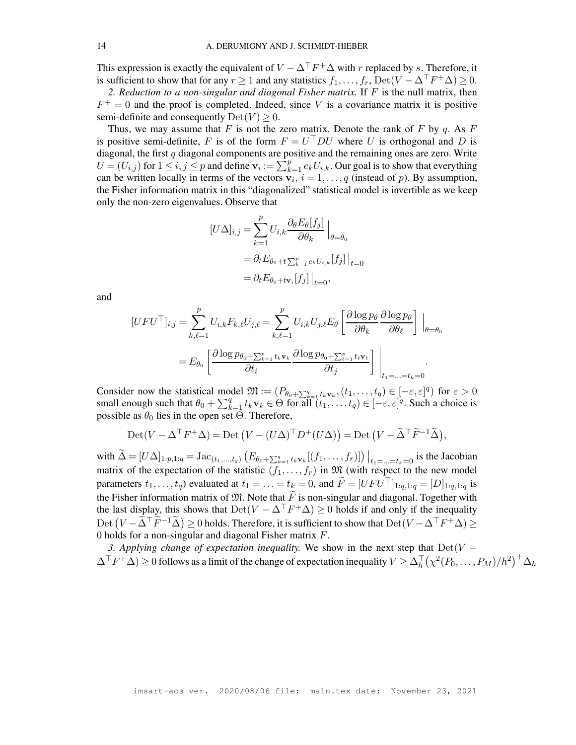This expression is exactly the equivalent of  $V - \Delta^T F^+ \Delta$  with r replaced by s. Therefore, it is sufficient to show that for any  $r \ge 1$  and any statistics  $f_1, \ldots, f_r$ ,  $\text{Det}(V - \Delta^T F^+ \Delta) \ge 0$ .

*2. Reduction to a non-singular and diagonal Fisher matrix.* If F is the null matrix, then  $F^+=0$  and the proof is completed. Indeed, since V is a covariance matrix it is positive semi-definite and consequently  $Det(V) \geq 0$ .

Thus, we may assume that F is not the zero matrix. Denote the rank of F by q. As F is positive semi-definite, F is of the form  $F = U^{\dagger}DU$  where U is orthogonal and D is diagonal, the first  $q$  diagonal components are positive and the remaining ones are zero. Write  $U = (U_{i,j})$  for  $1 \le i, j \le p$  and define  $\mathbf{v}_i := \sum_{k=1}^p e_k U_{i,k}$ . Our goal is to show that everything can be written locally in terms of the vectors  $\overline{\mathbf{v}_i}$ ,  $i = 1, ..., q$  (instead of p). By assumption, the Fisher information matrix in this "diagonalized" statistical model is invertible as we keep only the non-zero eigenvalues. Observe that

$$
[U\Delta]_{i,j} = \sum_{k=1}^{p} U_{i,k} \frac{\partial_{\theta} E_{\theta}[f_j]}{\partial \theta_k} \Big|_{\theta = \theta_0}
$$
  
=  $\partial_t E_{\theta_0 + t} \sum_{k=1}^{p} e_k U_{i,k} [f_j] \Big|_{t=0}$   
=  $\partial_t E_{\theta_0 + t\mathbf{v}_i} [f_j] \Big|_{t=0}$ ,

and

$$
[UFU^{\top}]_{i,j} = \sum_{k,\ell=1}^{p} U_{i,k}F_{k,\ell}U_{j,\ell} = \sum_{k,\ell=1}^{p} U_{i,k}U_{j,\ell}E_{\theta} \left[ \frac{\partial \log p_{\theta}}{\partial \theta_{k}} \frac{\partial \log p_{\theta}}{\partial \theta_{\ell}} \right] \Big|_{\theta=\theta_{0}}
$$
  
=  $E_{\theta_{0}} \left[ \frac{\partial \log p_{\theta_{0}+\sum_{k=1}^{p} t_{k} \mathbf{v}_{k}}}{\partial t_{i}} \frac{\partial \log p_{\theta_{0}+\sum_{\ell=1}^{p} t_{\ell} \mathbf{v}_{\ell}}}{\partial t_{j}} \right] \Big|_{t_{1}=\ldots=t_{k}=0}.$ 

Consider now the statistical model  $\mathfrak{M} := (P_{\theta_0 + \sum_{k=1}^q t_k \mathbf{v}_k}, (t_1, \dots, t_q) \in [-\varepsilon, \varepsilon]^q)$  for  $\varepsilon > 0$ small enough such that  $\theta_0 + \sum_{k=1}^q t_k \mathbf{v}_k \in \Theta$  for all  $(t_1, \ldots, t_q) \in [-\varepsilon, \varepsilon]^q$ . Such a choice is possible as  $\theta_0$  lies in the open set Θ. Therefore,

$$
Det(V - \Delta^{\top} F^{+} \Delta) = Det (V - (U \Delta)^{\top} D^{+} (U \Delta)) = Det (V - \widetilde{\Delta}^{\top} \widetilde{F}^{-1} \widetilde{\Delta}),
$$

with  $\widetilde{\Delta} = [U \Delta]_{1:p,1:q} = \text{Jac}_{(t_1,...,t_q)} (E_{\theta_0 + \sum_{k=1}^q t_k \mathbf{v}_k}[(f_1,...,f_r)]) \Big|_{t_1 = ... = t_k = 0}$  is the Jacobian matrix of the expectation of the statistic  $(f_1, \ldots, f_r)$  in  $\mathfrak{M}$  (with respect to the new model parameters  $t_1, \ldots, t_q$ ) evaluated at  $t_1 = \ldots = t_k = 0$ , and  $\widetilde{F} = [U F U^\top]_{1:q,1:q} = [D]_{1:q,1:q}$  is the Fisher information matrix of  $\mathfrak{M}$ . Note that  $\widetilde{F}$  is non-singular and diagonal. Together with the last display, this shows that  $\text{Det}(V - \Delta^{\top} F^{+} \Delta) \geq 0$  holds if and only if the inequality Det  $(V - \widetilde{\Delta}^\top \widetilde{F}^{-1} \widetilde{\Delta}) \ge 0$  holds. Therefore, it is sufficient to show that  ${\rm Det}(V - \Delta^\top F^+ \Delta) \ge 0$ 0 holds for a non-singular and diagonal Fisher matrix  $F$ .

*3. Applying change of expectation inequality.* We show in the next step that  $Det(V \Delta^{\top}F^+\Delta) \geq 0$  follows as a limit of the change of expectation inequality  $V \geq \Delta_h^{\top}(\chi^2(P_0,\ldots,P_M)/h^2)^+\Delta_h$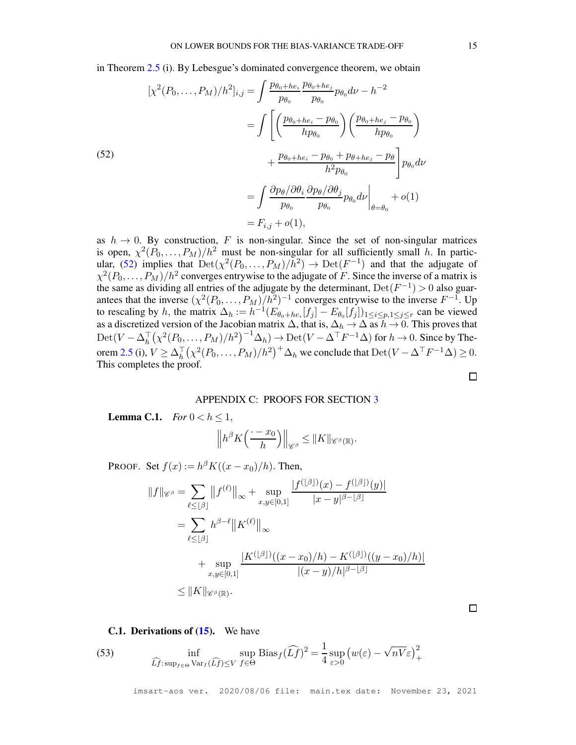in Theorem [2.5](#page-7-1) (i). By Lebesgue's dominated convergence theorem, we obtain

<span id="page-43-3"></span>(52)  
\n
$$
[\chi^2(P_0, \dots, P_M)/h^2]_{i,j} = \int \frac{p_{\theta_0 + he_i}}{p_{\theta_0}} \frac{p_{\theta_0 + he_j}}{p_{\theta_0}} p_{\theta_0} d\nu - h^{-2}
$$
\n
$$
= \int \left[ \left( \frac{p_{\theta_0 + he_i} - p_{\theta_0}}{hp_{\theta_0}} \right) \left( \frac{p_{\theta_0 + he_j} - p_{\theta_0}}{hp_{\theta_0}} \right) \right]
$$
\n
$$
+ \frac{p_{\theta_0 + he_i} - p_{\theta_0} + p_{\theta + he_j} - p_{\theta}}{h^2 p_{\theta_0}} p_{\theta_0} d\nu
$$
\n
$$
= \int \frac{\partial p_{\theta} / \partial \theta_i}{p_{\theta_0}} \frac{\partial p_{\theta} / \partial \theta_j}{p_{\theta_0}} p_{\theta_0} d\nu \Big|_{\theta = \theta_0} + o(1)
$$
\n
$$
= F_{i,j} + o(1),
$$

as  $h \to 0$ . By construction, F is non-singular. Since the set of non-singular matrices is open,  $\chi^2(P_0, \ldots, P_M)/h^2$  must be non-singular for all sufficiently small h. In partic-ular, [\(52\)](#page-43-3) implies that  $\text{Det}(\chi^2(P_0,\ldots,P_M)/h^2) \to \text{Det}(F^{-1})$  and that the adjugate of  $\chi^2(P_0,\ldots,P_M)/h^2$  converges entrywise to the adjugate of F. Since the inverse of a matrix is the same as dividing all entries of the adjugate by the determinant,  $Det(F^{-1}) > 0$  also guarantees that the inverse  $(\chi^2(P_0, \ldots, P_M)/h^2)^{-1}$  converges entrywise to the inverse  $F^{-1}$ . Up to rescaling by h, the matrix  $\Delta_h := h^{-1}(E_{\theta_0 + he_i}[f_j] - E_{\theta_0}[f_j])_{1 \le i \le p, 1 \le j \le r}$  can be viewed as a discretized version of the Jacobian matrix  $\Delta$ , that is,  $\Delta_h \to \Delta$  as  $h \to 0$ . This proves that  $\mathrm{Det}(V-\Delta_h^\top\big(\chi^2(P_0,\ldots,P_M)/h^2\big)^{-1}\Delta_h)\to \mathrm{Det}(V-\Delta^\top F^{-1}\Delta)$  for  $h\to 0$ . Since by The-orem [2.5](#page-7-1) (i),  $V \ge \Delta_h^{\top} (\chi^2(P_0, \ldots, P_M)/h^2)^+ \Delta_h$  we conclude that  $\text{Det}(V - \Delta^{\top} F^{-1} \Delta) \ge 0$ . This completes the proof.

#### APPENDIX C: PROOFS FOR SECTION [3](#page-9-0)

<span id="page-43-2"></span><span id="page-43-0"></span>**Lemma C.1.** *For*  $0 < h \le 1$ ,

$$
\left\|h^{\beta}K\Big(\frac{\cdot-x_0}{h}\Big)\right\|_{\mathscr{C}^{\beta}}\leq \|K\|_{\mathscr{C}^{\beta}(\mathbb{R})}.
$$

 $(x_k, y_k)$ 

PROOF. Set  $f(x) := h^{\beta} K((x - x_0)/h)$ . Then,

$$
||f||_{\mathscr{C}^{\beta}} = \sum_{\ell \leq \lfloor \beta \rfloor} ||f^{(\ell)}||_{\infty} + \sup_{x,y \in [0,1]} \frac{|f^{(\lfloor \beta \rfloor)}(x) - f^{(\lfloor \beta \rfloor)}(y)|}{|x - y|^{\beta - \lfloor \beta \rfloor}}
$$
  

$$
= \sum_{\ell \leq \lfloor \beta \rfloor} h^{\beta - \ell} ||K^{(\ell)}||_{\infty}
$$
  

$$
+ \sup_{x,y \in [0,1]} \frac{|K^{(\lfloor \beta \rfloor)}((x - x_0)/h) - K^{(\lfloor \beta \rfloor)}((y - x_0)/h)|}{|(x - y)/h|^{\beta - \lfloor \beta \rfloor}}
$$
  

$$
\leq ||K||_{\mathscr{C}^{\beta}(\mathbb{R})}.
$$

<span id="page-43-1"></span>**C.1. Derivations of**  $(15)$ **.** We have

<span id="page-43-4"></span>(53) 
$$
\inf_{\widehat{Lf}: \sup_{f \in \Theta} \text{Var}_f(\widehat{Lf}) \leq V} \sup_{f \in \Theta} \text{Bias}_f(\widehat{Lf})^2 = \frac{1}{4} \sup_{\varepsilon > 0} \left( w(\varepsilon) - \sqrt{nV} \varepsilon \right)_+^2
$$

imsart-aos ver. 2020/08/06 file: main.tex date: November 23, 2021

 $\Box$ 

 $\Box$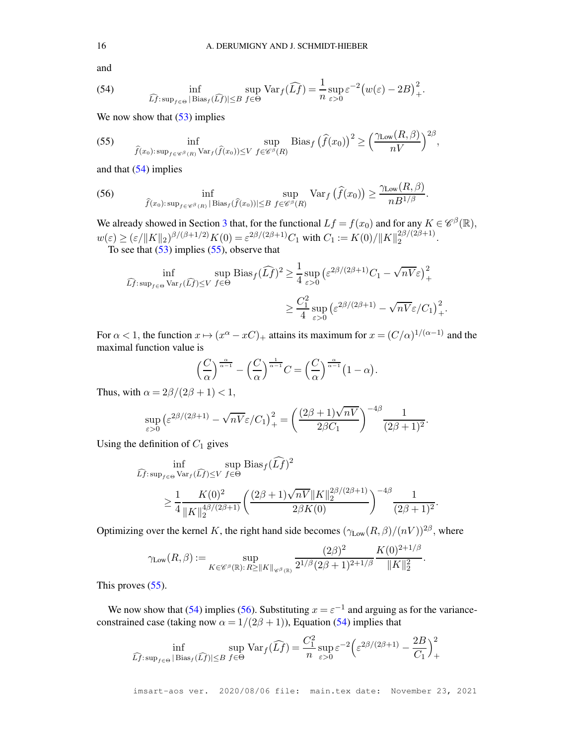and

<span id="page-44-0"></span>(54) 
$$
\inf_{\widehat{Lf}: \sup_{f \in \Theta} |\text{Bias}_f(\widehat{Lf})| \leq B} \sup_{f \in \Theta} \text{Var}_f(\widehat{Lf}) = \frac{1}{n} \sup_{\varepsilon > 0} \varepsilon^{-2} \big( w(\varepsilon) - 2B \big)_+^2.
$$

We now show that  $(53)$  implies

<span id="page-44-1"></span>(55) 
$$
\inf_{\widehat{f}(x_0):\sup_{f\in\mathscr{C}^{\beta}(R)}\text{Var}_f(\widehat{f}(x_0))\leq V} \sup_{f\in\mathscr{C}^{\beta}(R)} \text{Bias}_f(\widehat{f}(x_0))^2 \geq \left(\frac{\gamma_{\text{Low}}(R,\beta)}{nV}\right)^{2\beta},
$$

and that [\(54\)](#page-44-0) implies

<span id="page-44-2"></span>(56) 
$$
\inf_{\widehat{f}(x_0):\sup_{f\in\mathscr{C}^{\beta}(R)}|\mathrm{Bias}_{f}(\widehat{f}(x_0))|\leq B} \sup_{f\in\mathscr{C}^{\beta}(R)} \mathrm{Var}_{f}(\widehat{f}(x_0)) \geq \frac{\gamma_{\mathrm{Low}}(R,\beta)}{nB^{1/\beta}}.
$$

We already showed in Section [3](#page-9-0) that, for the functional  $Lf = f(x_0)$  and for any  $K \in \mathscr{C}^{\beta}(\mathbb{R})$ ,  $w(\varepsilon) \ge (\varepsilon / \|K\|_2)^{\beta/(\beta + 1/2)} K(0) = \varepsilon^{2\beta/(2\beta + 1)} C_1$  with  $C_1 := K(0) / \|K\|_2^{2\beta/(2\beta + 1)}$  $\frac{2p}{2}$ . To see that  $(53)$  implies  $(55)$ , observe that

$$
\inf_{\widehat{L}f:\sup_{f\in\Theta} \text{Var}_f(\widehat{L}f)\le V} \sup_{f\in\Theta} \text{Bias}_f(\widehat{L}f)^2 \ge \frac{1}{4} \sup_{\varepsilon>0} \left(\varepsilon^{2\beta/(2\beta+1)}C_1 - \sqrt{nV}\varepsilon\right)_+^2
$$

$$
\ge \frac{C_1^2}{4} \sup_{\varepsilon>0} \left(\varepsilon^{2\beta/(2\beta+1)} - \sqrt{nV}\varepsilon/C_1\right)_+^2.
$$

For  $\alpha < 1$ , the function  $x \mapsto (x^{\alpha} - xC)_{+}$  attains its maximum for  $x = (C/\alpha)^{1/(\alpha-1)}$  and the maximal function value is

$$
\left(\frac{C}{\alpha}\right)^{\frac{\alpha}{\alpha-1}} - \left(\frac{C}{\alpha}\right)^{\frac{1}{\alpha-1}}C = \left(\frac{C}{\alpha}\right)^{\frac{\alpha}{\alpha-1}}\left(1-\alpha\right).
$$

Thus, with  $\alpha = 2\beta/(2\beta + 1) < 1$ ,

$$
\sup_{\varepsilon>0} \left(\varepsilon^{2\beta/(2\beta+1)} - \sqrt{nV}\varepsilon/C_1\right)_+^2 = \left(\frac{(2\beta+1)\sqrt{nV}}{2\beta C_1}\right)^{-4\beta} \frac{1}{(2\beta+1)^2}
$$

.

Using the definition of  $C_1$  gives

$$
\begin{split} \n\widehat{Lf}:\sup_{f \in \Theta} \text{Var}_{f}(\widehat{Lf}) &\leq V f \in \Theta \\ \n&\geq \frac{1}{4} \frac{K(0)^2}{\|K\|_2^{4\beta/(2\beta+1)}} \left( \frac{(2\beta+1)\sqrt{nV} \|K\|_2^{2\beta/(2\beta+1)}}{2\beta K(0)} \right)^{-4\beta} \frac{1}{(2\beta+1)^2} .\n\end{split}
$$

Optimizing over the kernel K, the right hand side becomes  $(\gamma_{\text{Low}}(R,\beta)/(nV))^{2\beta}$ , where

$$
\gamma_{\text{Low}}(R,\beta) := \sup_{K \in \mathscr{C}^{\beta}(\mathbb{R}): R \geq \|K\|_{\mathscr{C}^{\beta}(\mathbb{R})}} \frac{(2\beta)^2}{2^{1/\beta} (2\beta + 1)^{2+1/\beta}} \frac{K(0)^{2+1/\beta}}{\|K\|_2^2}.
$$

This proves  $(55)$ .

We now show that [\(54\)](#page-44-0) implies [\(56\)](#page-44-2). Substituting  $x = \varepsilon^{-1}$  and arguing as for the varianceconstrained case (taking now  $\alpha = 1/(2\beta + 1)$ ), Equation [\(54\)](#page-44-0) implies that

$$
\inf_{\widehat{Lf}: \sup_{f \in \Theta} |\text{Bias}_{f}(\widehat{Lf})| \leq B} \sup_{f \in \Theta} \text{Var}_{f}(\widehat{Lf}) = \frac{C_1^2}{n} \sup_{\varepsilon > 0} \varepsilon^{-2} \left( \varepsilon^{2\beta/(2\beta+1)} - \frac{2B}{C_1} \right)_+^2
$$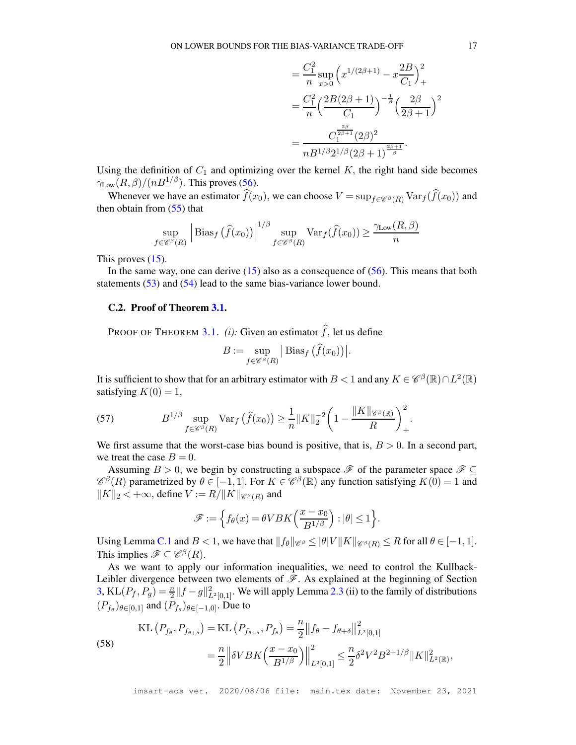$$
= \frac{C_1^2}{n} \sup_{x>0} \left( x^{1/(2\beta+1)} - x \frac{2B}{C_1} \right)_+^2
$$
  
= 
$$
\frac{C_1^2}{n} \left( \frac{2B(2\beta+1)}{C_1} \right)^{-\frac{1}{\beta}} \left( \frac{2\beta}{2\beta+1} \right)^2
$$
  
= 
$$
\frac{C_1^{\frac{2\beta}{2\beta+1}}(2\beta)^2}{nB^{1/\beta}2^{1/\beta}(2\beta+1)^{\frac{2\beta+1}{\beta}}}.
$$

Using the definition of  $C_1$  and optimizing over the kernel  $K$ , the right hand side becomes  $\gamma_{\text{Low}}(R,\beta)/(nB^{1/\beta})$ . This proves [\(56\)](#page-44-2).

Whenever we have an estimator  $\hat{f}(x_0)$ , we can choose  $V = \sup_{f \in \mathscr{C}^\beta(R)} \text{Var}_f(\hat{f}(x_0))$  and then obtain from  $(55)$  that

$$
\sup_{f \in \mathscr{C}^\beta(R)} \left| \text{Bias}_f \left( \widehat{f}(x_0) \right) \right|^{1/\beta} \sup_{f \in \mathscr{C}^\beta(R)} \text{Var}_f(\widehat{f}(x_0)) \ge \frac{\gamma_{\text{Low}}(R, \beta)}{n}
$$

This proves  $(15)$ .

In the same way, one can derive  $(15)$  also as a consequence of  $(56)$ . This means that both statements [\(53\)](#page-43-4) and [\(54\)](#page-44-0) lead to the same bias-variance lower bound.

## C.2. Proof of Theorem [3.1.](#page-11-1)

PROOF OF THEOREM [3.1.](#page-11-1) *(i):* Given an estimator  $\hat{f}$ , let us define

$$
B := \sup_{f \in \mathscr{C}^{\beta}(R)} \left| \text{Bias}_f \left( \widehat{f}(x_0) \right) \right|.
$$

It is sufficient to show that for an arbitrary estimator with  $B < 1$  and any  $K \in \mathcal{C}^{\beta}(\mathbb{R}) \cap L^2(\mathbb{R})$ satisfying  $K(0) = 1$ ,

<span id="page-45-0"></span>(57) 
$$
B^{1/\beta} \sup_{f \in \mathscr{C}^{\beta}(R)} \text{Var}_f\left(\widehat{f}(x_0)\right) \geq \frac{1}{n} \|K\|_2^{-2} \left(1 - \frac{\|K\|_{\mathscr{C}^{\beta}(\mathbb{R})}}{R}\right)_+^2.
$$

We first assume that the worst-case bias bound is positive, that is,  $B > 0$ . In a second part, we treat the case  $B = 0$ .

Assuming  $B > 0$ , we begin by constructing a subspace  $\mathscr{F}$  of the parameter space  $\mathscr{F} \subseteq$  $\mathscr{C}^{\beta}(R)$  parametrized by  $\theta \in [-1, 1]$ . For  $K \in \mathscr{C}^{\beta}(\mathbb{R})$  any function satisfying  $K(0) = 1$  and  $||K||_2 < +\infty$ , define  $V := R/||K||_{\mathscr{C}^{\beta}(R)}$  and

$$
\mathscr{F} := \left\{ f_{\theta}(x) = \theta V B K \left( \frac{x - x_0}{B^{1/\beta}} \right) : |\theta| \le 1 \right\}.
$$

Using Lemma [C.1](#page-43-0) and  $B < 1$ , we have that  $||f_{\theta}||_{\mathscr{C}^{\beta}} \leq ||\theta|| \leq K ||g_{\theta}(R)||$   $\leq R$  for all  $\theta \in [-1, 1]$ . This implies  $\mathscr{F} \subseteq \mathscr{C}^{\beta}(R)$ .

As we want to apply our information inequalities, we need to control the Kullback-Leibler divergence between two elements of  $\mathscr F$ . As explained at the beginning of Section [3,](#page-9-0) KL $(P_f, P_g) = \frac{n}{2} ||f - g||^2_{L^2[0,1]}$ . We will apply Lemma [2.3](#page-5-0) (ii) to the family of distributions  $(P_{f_{\theta}})_{\theta \in [0,1]}$  and  $(P_{f_{\theta}})_{\theta \in [-1,0]}$ . Due to

<span id="page-45-1"></span>(58)  
\n
$$
\begin{aligned}\n\text{KL}\left(P_{f_{\theta}}, P_{f_{\theta+\delta}}\right) &= \text{KL}\left(P_{f_{\theta+\delta}}, P_{f_{\theta}}\right) = \frac{n}{2} \left\|f_{\theta} - f_{\theta+\delta}\right\|_{L^2[0,1]}^2 \\
&= \frac{n}{2} \left\| \delta V BK\left(\frac{x-x_0}{B^{1/\beta}}\right) \right\|_{L^2[0,1]}^2 \leq \frac{n}{2} \delta^2 V^2 B^{2+1/\beta} \|K\|_{L^2(\mathbb{R})}^2,\n\end{aligned}
$$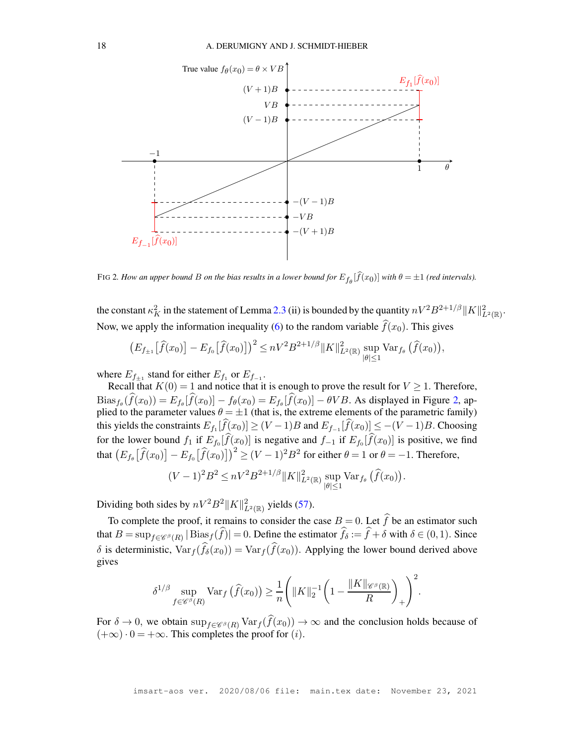

<span id="page-46-0"></span>FIG 2. How an upper bound B on the bias results in a lower bound for  $E_{f_\theta}[f(x_0)]$  with  $\theta = \pm 1$  (red intervals).

the constant  $\kappa_K^2$  in the statement of Lemma [2.3](#page-5-0) (ii) is bounded by the quantity  $nV^2B^{2+1/\beta}||K||^2_{L^2(\mathbb{R})}$ . Now, we apply the information inequality [\(6\)](#page-5-1) to the random variable  $\hat{f}(x_0)$ . This gives

$$
(E_{f_{\pm 1}}[\widehat{f}(x_0)] - E_{f_0}[\widehat{f}(x_0)])^2 \le nV^2B^{2+1/\beta}||K||^2_{L^2(\mathbb{R})}\sup_{|\theta|\le 1} \text{Var}_{f_{\theta}}(\widehat{f}(x_0)),
$$

where  $E_{f_{\pm 1}}$  stand for either  $E_{f_1}$  or  $E_{f_{-1}}$ .

Recall that  $K(0) = 1$  and notice that it is enough to prove the result for  $V \ge 1$ . Therefore,  $\text{Bias}_{f_{\theta}}(f(x_0)) = E_{f_{\theta}}[f(x_0)] - f_{\theta}(x_0) = E_{f_{\theta}}[f(x_0)] - \theta VB$ . As displayed in Figure [2,](#page-46-0) applied to the parameter values  $\theta = \pm 1$  (that is, the extreme elements of the parametric family) this yields the constraints  $E_{f_1}[f(x_0)] \ge (V-1)B$  and  $E_{f_{-1}}[f(x_0)] \le -(V-1)B$ . Choosing for the lower bound  $f_1$  if  $E_{f_0}[f(x_0)]$  is negative and  $f_{-1}$  if  $E_{f_0}[f(x_0)]$  is positive, we find that  $\left(E_{f_\theta} \big[\widehat{f}(x_0)\big] - E_{f_0} \big[\widehat{f}(x_0)\big]\right)^2 \ge (V - 1)^2 B^2$  for either  $\theta = 1$  or  $\theta = -1$ . Therefore,

$$
(V-1)^2 B^2 \leq nV^2 B^{2+1/\beta} ||K||_{L^2(\mathbb{R})}^2 \sup_{|\theta| \leq 1} \text{Var}_{f_{\theta}}(\hat{f}(x_0)).
$$

Dividing both sides by  $nV^2B^2||K||^2_{L^2(\mathbb{R})}$  yields [\(57\)](#page-45-0).

To complete the proof, it remains to consider the case  $B = 0$ . Let  $\hat{f}$  be an estimator such that  $B = \sup_{f \in \mathscr{C}^{\beta}(R)} |\text{Bias}_{f}(f)| = 0$ . Define the estimator  $f_{\delta} := f + \delta$  with  $\delta \in (0, 1)$ . Since δ is deterministic,  $Var_f(f_\delta(x_0)) = Var_f(f(x_0))$ . Applying the lower bound derived above gives

$$
\delta^{1/\beta} \sup_{f \in \mathscr{C}^{\beta}(R)} \text{Var}_f\left(\widehat{f}(x_0)\right) \geq \frac{1}{n} \Bigg( \|K\|_{2}^{-1} \bigg(1 - \frac{\|K\|_{\mathscr{C}^{\beta}(\mathbb{R})}}{R}\bigg)_{+}\Bigg)^{2}.
$$

For  $\delta \to 0$ , we obtain  $\sup_{f \in \mathcal{C}^\beta(R)} \text{Var}_f(\hat{f}(x_0)) \to \infty$  and the conclusion holds because of  $(+\infty) \cdot 0 = +\infty$ . This completes the proof for (*i*).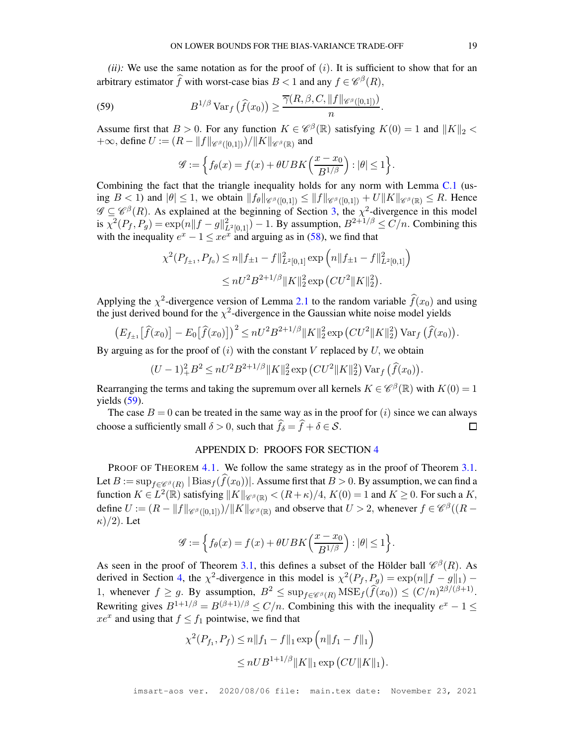$(iii)$ : We use the same notation as for the proof of  $(i)$ . It is sufficient to show that for an arbitrary estimator  $\widehat{f}$  with worst-case bias  $B < 1$  and any  $f \in \mathscr{C}^{\beta}(R)$ ,

<span id="page-47-1"></span>(59) 
$$
B^{1/\beta} \operatorname{Var}_f \left( \widehat{f}(x_0) \right) \geq \frac{\overline{\gamma}(R, \beta, C, \|f\|_{\mathscr{C}^{\beta}([0,1])})}{n}.
$$

Assume first that  $B > 0$ . For any function  $K \in \mathcal{C}^{\beta}(\mathbb{R})$  satisfying  $K(0) = 1$  and  $||K||_2 <$ +∞, define  $U := (R - ||f||_{\mathscr{C}^{\beta}([0,1])})/||K||_{\mathscr{C}^{\beta}(\mathbb{R})}$  and

$$
\mathscr{G}:=\Big\{f_\theta(x)=f(x)+\theta UBK\Big(\frac{x-x_0}{B^{1/\beta}}\Big):|\theta|\leq 1\Big\}.
$$

Combining the fact that the triangle inequality holds for any norm with Lemma  $C<sub>1</sub>$  (using  $B < 1$ ) and  $|\theta| \leq 1$ , we obtain  $||f_{\theta}||_{\mathscr{C}^{\beta}([0,1])} \leq ||f||_{\mathscr{C}^{\beta}([0,1])} + U||K||_{\mathscr{C}^{\beta}(\mathbb{R})} \leq R$ . Hence  $\mathscr{G} \subseteq \mathscr{C}^{\beta}(R)$ . As explained at the beginning of Section [3,](#page-9-0) the  $\chi^2$ -divergence in this model is  $\chi^2(P_f, P_g) = \exp(n||f - g||^2_{L^2[0,1]}) - 1$ . By assumption,  $B^{2+1/\beta} \le C/n$ . Combining this with the inequality  $e^x - 1 \leq xe^x$  and arguing as in [\(58\)](#page-45-1), we find that

$$
\chi^2(P_{f_{\pm 1}}, P_{f_0}) \le n \|f_{\pm 1} - f\|_{L^2[0,1]}^2 \exp\left(n \|f_{\pm 1} - f\|_{L^2[0,1]}^2\right)
$$
  

$$
\le nU^2 B^{2+1/\beta} \|K\|_2^2 \exp\left(CU^2 \|K\|_2^2\right).
$$

Applying the  $\chi^2$ -divergence version of Lemma [2.1](#page-3-1) to the random variable  $\hat{f}(x_0)$  and using the just derived bound for the  $\chi^2$ -divergence in the Gaussian white noise model yields

$$
(E_{f_{\pm 1}}[\widehat{f}(x_0)] - E_0[\widehat{f}(x_0)])^2 \leq nU^2B^{2+1/\beta}||K||_2^2 \exp(CU^2||K||_2^2) \operatorname{Var}_f(\widehat{f}(x_0)).
$$

By arguing as for the proof of  $(i)$  with the constant V replaced by U, we obtain

$$
(U-1)^{2}_{+}B^{2} \leq nU^{2}B^{2+1/\beta}||K||_{2}^{2}\exp(CU^{2}||K||_{2}^{2})\operatorname{Var}_{f}(\widehat{f}(x_{0}))
$$

Rearranging the terms and taking the supremum over all kernels  $K \in \mathcal{C}^{\beta}(\mathbb{R})$  with  $K(0) = 1$ yields  $(59)$ .

<span id="page-47-0"></span>The case  $B = 0$  can be treated in the same way as in the proof for  $(i)$  since we can always choose a sufficiently small  $\delta > 0$ , such that  $f_{\delta} = f + \delta \in S$ .  $\Box$ 

## APPENDIX D: PROOFS FOR SECTION [4](#page-12-0)

PROOF OF THEOREM [4.1.](#page-14-3) We follow the same strategy as in the proof of Theorem [3.1.](#page-11-1) Let  $B := \sup_{f \in \mathscr{C}^{\beta}(R)} |\text{Bias}_f(f(x_0))|$ . Assume first that  $B > 0$ . By assumption, we can find a function  $K \in L^2(\mathbb{R})$  satisfying  $||K||_{\mathscr{C}^{\beta}(\mathbb{R})} < (R+\kappa)/4$ ,  $K(0) = 1$  and  $K \geq 0$ . For such a K, define  $U := (R - ||f||_{\mathscr{C}^{\beta}([0,1])})/||K||_{\mathscr{C}^{\beta}(\mathbb{R})}$  and observe that  $U > 2$ , whenever  $f \in \mathscr{C}^{\beta}((R \kappa$ )/2). Let

$$
\mathscr{G} := \left\{ f_{\theta}(x) = f(x) + \theta UBK\left(\frac{x - x_0}{B^{1/\beta}}\right) : |\theta| \le 1 \right\}.
$$

As seen in the proof of Theorem [3.1,](#page-11-1) this defines a subset of the Hölder ball  $\mathcal{C}^{\beta}(R)$ . As derived in Section [4,](#page-12-0) the  $\chi^2$ -divergence in this model is  $\chi^2(P_f, P_g) = \exp(n||f - g||_1)$ 1, whenever  $f \ge g$ . By assumption,  $B^2 \le \sup_{f \in \mathscr{C}^\beta(R)} \text{MSE}_f(\widehat{f}(x_0)) \le (C/n)^{2\beta/(\beta+1)}$ . Rewriting gives  $B^{1+1/\beta} = B^{(\beta+1)/\beta} \le C/n$ . Combining this with the inequality  $e^x - 1 \le$  $xe^{x}$  and using that  $f \le f_1$  pointwise, we find that

$$
\chi^2(P_{f_1}, P_f) \le n \|f_1 - f\|_1 \exp\left(n \|f_1 - f\|_1\right)
$$
  

$$
\le n U B^{1+1/\beta} \|K\|_1 \exp\left(CU \|K\|_1\right).
$$

.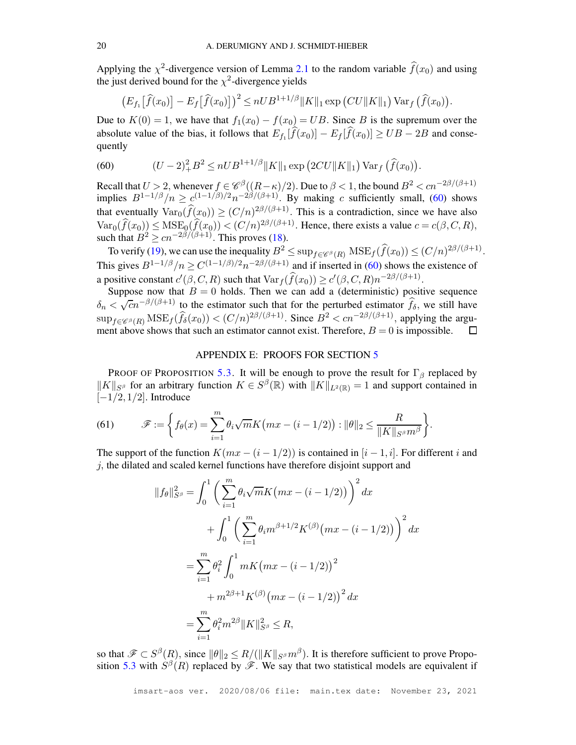Applying the  $\chi^2$ -divergence version of Lemma [2.1](#page-3-1) to the random variable  $\hat{f}(x_0)$  and using the just derived bound for the  $\chi^2$ -divergence yields

$$
\left(E_{f_1}\left[\widehat{f}(x_0)\right]-E_f\left[\widehat{f}(x_0)\right]\right)^2\leq nUB^{1+1/\beta}||K||_1\exp\left(CU||K||_1\right)\text{Var}_f\left(\widehat{f}(x_0)\right).
$$

Due to  $K(0) = 1$ , we have that  $f_1(x_0) - f(x_0) = UB$ . Since B is the supremum over the absolute value of the bias, it follows that  $E_{f_1}[f(x_0)] - E_f[f(x_0)] \geq UB - 2B$  and consequently

<span id="page-48-1"></span>(60) 
$$
(U-2)_+^2 B^2 \leq n U B^{1+1/\beta} ||K||_1 \exp (2CU||K||_1) \operatorname{Var}_f (\widehat{f}(x_0)).
$$

Recall that  $U > 2$ , whenever  $f \in \mathcal{C}^{\beta}((R - \kappa)/2)$ . Due to  $\beta < 1$ , the bound  $B^2 < cn^{-2\beta/(\beta+1)}$ implies  $B^{1-1/\beta}/n \geq c^{(1-1/\beta)/2} n^{-2\beta/(\beta+1)}$ . By making c sufficiently small, [\(60\)](#page-48-1) shows that eventually  $Var_0(\hat{f}(x_0)) \ge (C/n)^{2\beta/(\beta+1)}$ . This is a contradiction, since we have also  $\text{Var}_0(f(x_0)) \leq \text{MSE}_0(f(x_0)) < (C/n)^{2\beta/(\beta+1)}$ . Hence, there exists a value  $c = c(\beta, C, R)$ , such that  $B^2 \geq cn^{-2\beta/(\beta+1)}$ . This proves [\(18\)](#page-14-4).

To verify [\(19\)](#page-14-5), we can use the inequality  $B^2 \le \sup_{f \in \mathscr{C}^{\beta}(R)} \text{MSE}_f(\hat{f}(x_0)) \le (C/n)^{2\beta/(\beta+1)}$ . This gives  $B^{1-1/\beta}/n \geq C^{(1-1/\beta)/2}n^{-2\beta/(\beta+1)}$  and if inserted in [\(60\)](#page-48-1) shows the existence of a positive constant  $c'(\beta, C, R)$  such that  $\text{Var}_f(\widehat{f}(x_0)) \ge c'(\beta, C, R) n^{-2\beta/(\beta+1)}$ .

Suppose now that  $B = 0$  holds. Then we can add a (deterministic) positive sequence  $\delta_n < \sqrt{cn^{-\beta/(\beta+1)}}$  to the estimator such that for the perturbed estimator  $\hat{f}_\delta$ , we still have  $\sup_{f \in \mathscr{C}^{\beta}(R)} \text{MSE}_{f}(\hat{f}_{\delta}(x_0)) < (C/n)^{2\beta/(\beta+1)}$ . Since  $B^2 < cn^{-2\beta/(\beta+1)}$ , applying the argument above shows that such an estimator cannot exist. Therefore,  $B = 0$  is impossible.

#### APPENDIX E: PROOFS FOR SECTION [5](#page-14-0)

<span id="page-48-0"></span>PROOF OF PROPOSITION [5.3.](#page-16-0) It will be enough to prove the result for  $\Gamma_\beta$  replaced by  $||K||_{S^{\beta}}$  for an arbitrary function  $K \in S^{\beta}(\mathbb{R})$  with  $||K||_{L^2(\mathbb{R})} = 1$  and support contained in  $[-1/2, 1/2]$ . Introduce

(61) 
$$
\mathscr{F} := \left\{ f_{\theta}(x) = \sum_{i=1}^{m} \theta_i \sqrt{m} K \left( mx - (i - 1/2) \right) : ||\theta||_2 \leq \frac{R}{||K||_{S^{\beta}} m^{\beta}} \right\}.
$$

The support of the function  $K(mx - (i - 1/2))$  is contained in  $[i - 1, i]$ . For different i and  $j$ , the dilated and scaled kernel functions have therefore disjoint support and

$$
||f_{\theta}||_{S^{\beta}}^{2} = \int_{0}^{1} \left( \sum_{i=1}^{m} \theta_{i} \sqrt{m} K (mx - (i - 1/2)) \right)^{2} dx
$$
  
+ 
$$
\int_{0}^{1} \left( \sum_{i=1}^{m} \theta_{i} m^{\beta + 1/2} K^{(\beta)} (mx - (i - 1/2)) \right)^{2} dx
$$
  
= 
$$
\sum_{i=1}^{m} \theta_{i}^{2} \int_{0}^{1} m K (mx - (i - 1/2))^{2} dx
$$
  
+ 
$$
m^{2\beta + 1} K^{(\beta)} (mx - (i - 1/2))^{2} dx
$$
  
= 
$$
\sum_{i=1}^{m} \theta_{i}^{2} m^{2\beta} ||K||_{S^{\beta}}^{2} \leq R,
$$

so that  $\mathscr{F} \subset S^{\beta}(R)$ , since  $\|\theta\|_2 \leq R/(\|K\|_{S^{\beta}} m^{\beta})$ . It is therefore sufficient to prove Propo-sition [5.3](#page-16-0) with  $S^{\beta}(R)$  replaced by  $\mathscr{F}$ . We say that two statistical models are equivalent if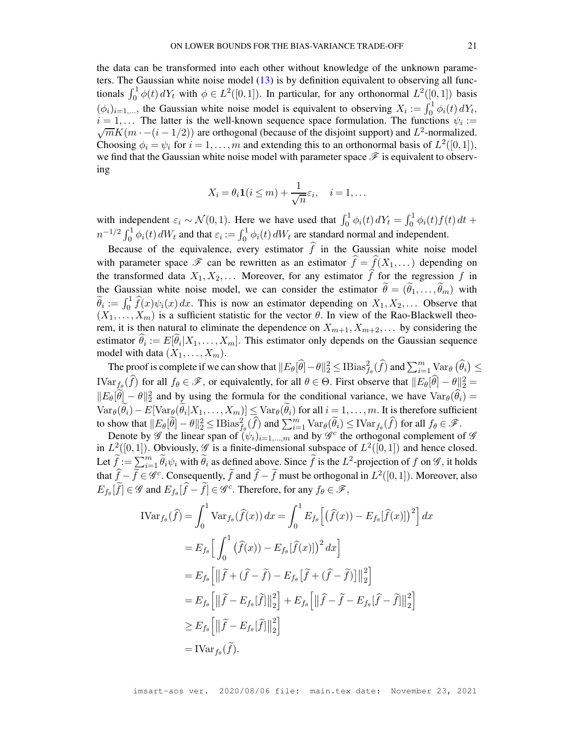the data can be transformed into each other without knowledge of the unknown parameters. The Gaussian white noise model [\(13\)](#page-9-1) is by definition equivalent to observing all functionals  $\int_0^1 \phi(t) dY_t$  with  $\phi \in L^2([0,1])$ . In particular, for any orthonormal  $L^2([0,1])$  basis  $(\phi_i)_{i=1,\dots}$ , the Gaussian white noise model is equivalent to observing  $X_i := \int_0^1 \phi_i(t) dY_t$ ,  $i = 1, \ldots$  The latter is the well-known sequence space formulation. The functions  $\psi_i :=$  $\sqrt{m} K(m \cdot -(i-1/2))$  are orthogonal (because of the disjoint support) and  $L^2$ -normalized. Choosing  $\phi_i = \psi_i$  for  $i = 1, ..., m$  and extending this to an orthonormal basis of  $L^2([0,1])$ , we find that the Gaussian white noise model with parameter space  $\mathscr F$  is equivalent to observing

$$
X_i = \theta_i \mathbf{1}(i \leq m) + \frac{1}{\sqrt{n}} \varepsilon_i, \quad i = 1, \dots
$$

with independent  $\varepsilon_i \sim \mathcal{N}(0, 1)$ . Here we have used that  $\int_0^1 \phi_i(t) dY_t = \int_0^1 \phi_i(t) f(t) dt +$  $n^{-1/2} \int_0^1 \phi_i(t) dW_t$  and that  $\varepsilon_i := \int_0^1 \phi_i(t) dW_t$  are standard normal and independent.

Because of the equivalence, every estimator  $\hat{f}$  in the Gaussian white noise model with parameter space  $\mathscr F$  can be rewritten as an estimator  $\widehat{f} = \widehat{f}(X_1, \dots)$  depending on the transformed data  $X_1, X_2, \ldots$  Moreover, for any estimator  $\hat{f}$  for the regression f in the Gaussian white noise model, we can consider the estimator  $\tilde{\theta} = (\tilde{\theta}_1, \dots, \tilde{\theta}_m)$  with  $\widetilde{\theta}_i := \int_0^1 \widehat{f}(x)\psi_i(x) dx$ . This is now an estimator depending on  $X_1, X_2, \ldots$  Observe that  $(X_1, \ldots, X_m)$  is a sufficient statistic for the vector  $\theta$ . In view of the Rao-Blackwell theorem, it is then natural to eliminate the dependence on  $X_{m+1}, X_{m+2}, \ldots$  by considering the estimator  $\theta_i := E[\theta_i | X_1, \dots, X_m]$ . This estimator only depends on the Gaussian sequence model with data  $(X_1, \ldots, X_m)$ .

The proof is complete if we can show that  $||E_{\theta}[\widehat{\theta}]-\theta||_2^2 \leq \text{IBias}_{f_{\theta}}^2(\widehat{f})$  and  $\sum_{i=1}^m \text{Var}_{\theta}(\widehat{\theta}_i) \leq$  $\text{IVar}_{\hat{f}_{\theta}}(\hat{f})$  for all  $f_{\theta} \in \mathcal{F}$ , or equivalently, for all  $\theta \in \Theta$ . First observe that  $||E_{\theta}[\hat{\theta}] - \theta||_2^2 =$  $||E_{\theta}[\hat{\theta}] - \theta||_2^2$  and by using the formula for the conditional variance, we have  $Var_{\theta}(\hat{\theta}_i) =$  $\text{Var}_{\theta}(\theta_i) - E[\text{Var}_{\theta}(\theta_i | X_1, \dots, X_m)] \leq \text{Var}_{\theta}(\theta_i)$  for all  $i = 1, \dots, m$ . It is therefore sufficient to show that  $||E_{\theta}[\widetilde{\theta}] - \theta||_2^2 \leq \text{IBias}_{f_{\theta}}^2(\widehat{f})$  and  $\sum_{i=1}^m \text{Var}_{\theta}(\widetilde{\theta}_i) \leq \text{IVar}_{f_{\theta}}(\widehat{f})$  for all  $f_{\theta} \in \mathscr{F}$ .

Denote by  $\mathscr G$  the linear span of  $(\psi_i)_{i=1,\dots,m}$  and by  $\mathscr G^c$  the orthogonal complement of  $\mathscr G$ in  $L^2([0,1])$ . Obviously,  $\mathscr G$  is a finite-dimensional subspace of  $L^2([0,1])$  and hence closed. Let  $\widetilde{f} := \sum_{i=1}^m \widetilde{\theta}_i \psi_i$  with  $\widetilde{\theta}_i$  as defined above. Since  $\widetilde{f}$  is the  $L^2$ -projection of f on  $\mathscr{G}$ , it holds that  $\hat{f} - \tilde{f} \in \mathscr{G}^c$ . Consequently,  $\tilde{f}$  and  $\hat{f} - \tilde{f}$  must be orthogonal in  $L^2([0,1])$ . Moreover, also  $E_{f_{\theta}}[\widetilde{f}] \in \mathscr{G}$  and  $E_{f_{\theta}}[\widehat{f} - \widetilde{f}] \in \mathscr{G}^c$ . Therefore, for any  $f_{\theta} \in \mathscr{F}$ ,

$$
\begin{split}\n\text{IVar}_{f_{\theta}}(\hat{f}) &= \int_{0}^{1} \text{Var}_{f_{\theta}}(\hat{f}(x)) \, dx = \int_{0}^{1} E_{f_{\theta}} \left[ (\hat{f}(x)) - E_{f_{\theta}}[\hat{f}(x)] \right)^{2} \right] dx \\
&= E_{f_{\theta}} \left[ \int_{0}^{1} (\hat{f}(x)) - E_{f_{\theta}}[\hat{f}(x)] \right)^{2} dx \\
&= E_{f_{\theta}} \left[ \left\| \tilde{f} + (\hat{f} - \tilde{f}) - E_{f_{\theta}}[\tilde{f} + (\hat{f} - \tilde{f})] \right\|_{2}^{2} \right] \\
&= E_{f_{\theta}} \left[ \left\| \tilde{f} - E_{f_{\theta}}[\tilde{f}] \right\|_{2}^{2} \right] + E_{f_{\theta}} \left[ \left\| \hat{f} - \tilde{f} - E_{f_{\theta}}[\hat{f} - \tilde{f}] \right\|_{2}^{2} \right] \\
& \ge E_{f_{\theta}} \left[ \left\| \tilde{f} - E_{f_{\theta}}[\tilde{f}] \right\|_{2}^{2} \right] \\
&= \text{IVar}_{f_{\theta}}(\tilde{f}).\n\end{split}
$$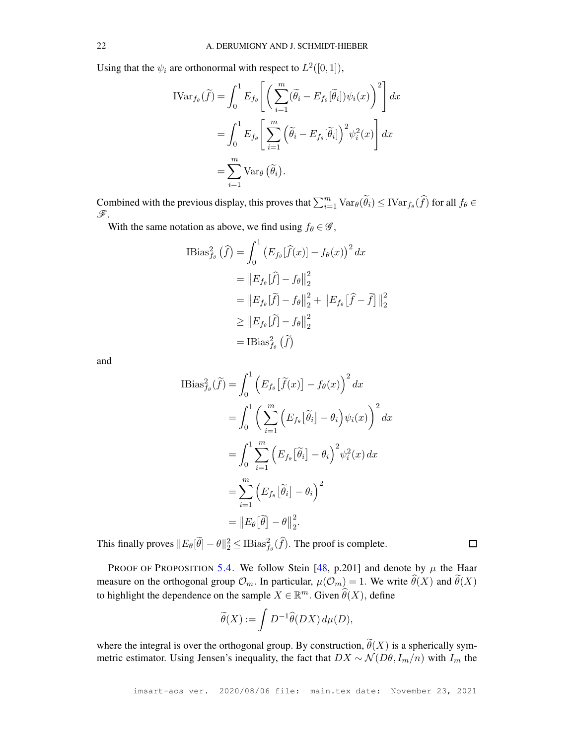Using that the  $\psi_i$  are orthonormal with respect to  $L^2([0,1])$ ,

$$
\text{IVar}_{f_{\theta}}(\widetilde{f}) = \int_0^1 E_{f_{\theta}} \left[ \left( \sum_{i=1}^m (\widetilde{\theta}_i - E_{f_{\theta}}[\widetilde{\theta}_i]) \psi_i(x) \right)^2 \right] dx
$$
  
= 
$$
\int_0^1 E_{f_{\theta}} \left[ \sum_{i=1}^m \left( \widetilde{\theta}_i - E_{f_{\theta}}[\widetilde{\theta}_i] \right)^2 \psi_i^2(x) \right] dx
$$
  
= 
$$
\sum_{i=1}^m \text{Var}_{\theta}(\widetilde{\theta}_i).
$$

Combined with the previous display, this proves that  $\sum_{i=1}^{m} \text{Var}_{\theta}(\widetilde{\theta}_i) \leq \text{IVar}_{f_{\theta}}(\widehat{f})$  for all  $f_{\theta} \in$ F.

With the same notation as above, we find using  $f_{\theta} \in \mathcal{G}$ ,

Bias<sup>2</sup><sub>f<sub>θ</sub></sub> (f) = 
$$
\int_0^1 (E_{fθ}[f(x)] - f_{\theta}(x))^2 dx
$$
  
\n=  $||E_{fθ}[f] - f_{\theta}||_2^2$   
\n=  $||E_{fθ}[f] - f_{\theta}||_2^2 + ||E_{fθ}[f - f]||_2^2$   
\n≥  $||E_{fθ}[f] - f_{\theta}||_2^2$   
\n= IBias<sup>2</sup><sub>f<sub>θ</sub></sub> (f)

and

$$
\begin{split} \text{IBias}_{f_{\theta}}^{2}(\widetilde{f}) &= \int_{0}^{1} \left( E_{f_{\theta}} \left[ \widetilde{f}(x) \right] - f_{\theta}(x) \right)^{2} dx \\ &= \int_{0}^{1} \left( \sum_{i=1}^{m} \left( E_{f_{\theta}} \left[ \widetilde{\theta}_{i} \right] - \theta_{i} \right) \psi_{i}(x) \right)^{2} dx \\ &= \int_{0}^{1} \sum_{i=1}^{m} \left( E_{f_{\theta}} \left[ \widetilde{\theta}_{i} \right] - \theta_{i} \right)^{2} \psi_{i}^{2}(x) dx \\ &= \sum_{i=1}^{m} \left( E_{f_{\theta}} \left[ \widetilde{\theta}_{i} \right] - \theta_{i} \right)^{2} \\ &= \left\| E_{\theta} \left[ \widetilde{\theta} \right] - \theta \right\|_{2}^{2} .\end{split}
$$

This finally proves  $||E_{\theta}[\tilde{\theta}] - \theta||_2^2 \leq \text{IBias}_{f_{\theta}}^2(\hat{f})$ . The proof is complete.

PROOF OF PROPOSITION [5.4.](#page-17-2) We follow Stein [\[48,](#page-28-11) p.201] and denote by  $\mu$  the Haar measure on the orthogonal group  $\mathcal{O}_m$ . In particular,  $\mu(\mathcal{O}_m) = 1$ . We write  $\widehat{\theta}(X)$  and  $\widetilde{\theta}(X)$ to highlight the dependence on the sample  $X \in \mathbb{R}^m$ . Given  $\widehat{\theta}(X)$ , define

$$
\widetilde{\theta}(X) := \int D^{-1} \widehat{\theta}(DX) d\mu(D),
$$

where the integral is over the orthogonal group. By construction,  $\theta(X)$  is a spherically symmetric estimator. Using Jensen's inequality, the fact that  $DX \sim \mathcal{N}(D\theta, I_m/n)$  with  $I_m$  the

 $\Box$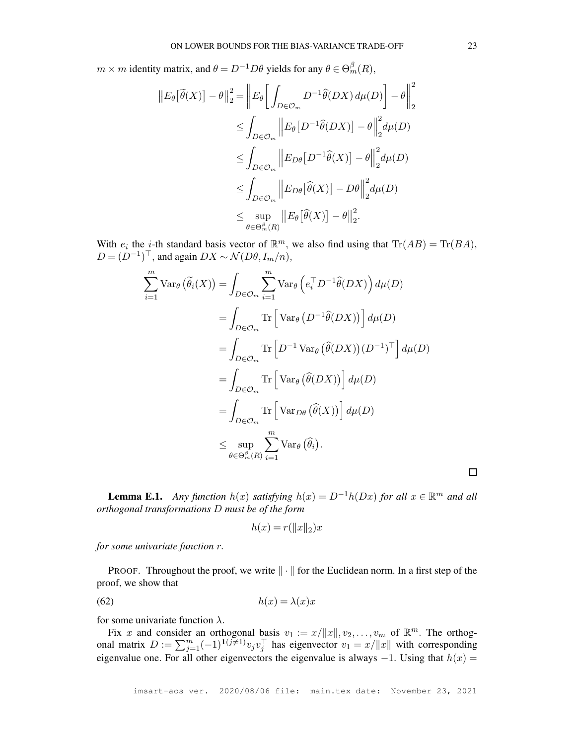$m \times m$  identity matrix, and  $\theta = D^{-1}D\theta$  yields for any  $\theta \in \Theta_m^{\beta}(R)$ ,

$$
||E_{\theta}[\tilde{\theta}(X)] - \theta||_2^2 = ||E_{\theta} \left[ \int_{D \in \mathcal{O}_m} D^{-1} \hat{\theta}(DX) d\mu(D) \right] - \theta||_2^2
$$
  
\n
$$
\leq \int_{D \in \mathcal{O}_m} ||E_{\theta} [D^{-1} \hat{\theta}(DX)] - \theta||_2^2 d\mu(D)
$$
  
\n
$$
\leq \int_{D \in \mathcal{O}_m} ||E_{D\theta} [D^{-1} \hat{\theta}(X)] - \theta||_2^2 d\mu(D)
$$
  
\n
$$
\leq \int_{D \in \mathcal{O}_m} ||E_{D\theta} [\hat{\theta}(X)] - D\theta||_2^2 d\mu(D)
$$
  
\n
$$
\leq \sup_{\theta \in \Theta_m^{\beta}(R)} ||E_{\theta} [\hat{\theta}(X)] - \theta||_2^2.
$$

With  $e_i$  the *i*-th standard basis vector of  $\mathbb{R}^m$ , we also find using that  $\text{Tr}(AB) = \text{Tr}(BA)$ ,  $D = (D^{-1})^{\top}$ , and again  $DX \sim \mathcal{N}(D\theta, I_m/n)$ ,

$$
\sum_{i=1}^{m} \text{Var}_{\theta}(\tilde{\theta}_{i}(X)) = \int_{D \in \mathcal{O}_{m}} \sum_{i=1}^{m} \text{Var}_{\theta}(e_{i}^{\top} D^{-1} \hat{\theta}(DX)) d\mu(D)
$$
  
\n
$$
= \int_{D \in \mathcal{O}_{m}} \text{Tr}\left[\text{Var}_{\theta}(D^{-1} \hat{\theta}(DX))\right] d\mu(D)
$$
  
\n
$$
= \int_{D \in \mathcal{O}_{m}} \text{Tr}\left[D^{-1} \text{Var}_{\theta}(\hat{\theta}(DX))(D^{-1})^{\top}\right] d\mu(D)
$$
  
\n
$$
= \int_{D \in \mathcal{O}_{m}} \text{Tr}\left[\text{Var}_{\theta}(\hat{\theta}(DX))\right] d\mu(D)
$$
  
\n
$$
= \int_{D \in \mathcal{O}_{m}} \text{Tr}\left[\text{Var}_{D\theta}(\hat{\theta}(X))\right] d\mu(D)
$$
  
\n
$$
\leq \sup_{\theta \in \Theta_{m}^{\beta}(R)} \sum_{i=1}^{m} \text{Var}_{\theta}(\hat{\theta}_{i}).
$$

<span id="page-51-0"></span>**Lemma E.1.** *Any function*  $h(x)$  *satisfying*  $h(x) = D^{-1}h(Dx)$  *for all*  $x \in \mathbb{R}^m$  *and all orthogonal transformations* D *must be of the form*

$$
h(x) = r(||x||_2)x
$$

*for some univariate function* r.

PROOF. Throughout the proof, we write  $\|\cdot\|$  for the Euclidean norm. In a first step of the proof, we show that

<span id="page-51-1"></span>
$$
(62) \t\t\t h(x) = \lambda(x)x
$$

for some univariate function  $\lambda$ .

Fix x and consider an orthogonal basis  $v_1 := x/||x||$ ,  $v_2, \ldots, v_m$  of  $\mathbb{R}^m$ . The orthogonal matrix  $D := \sum_{j=1}^m (-1)^{i(j\neq j)} v_j v_j^\top$  has eigenvector  $v_1 = x/||x||$  with corresponding eigenvalue one. For all other eigenvectors the eigenvalue is always  $-1$ . Using that  $h(x) =$ 

 $\Box$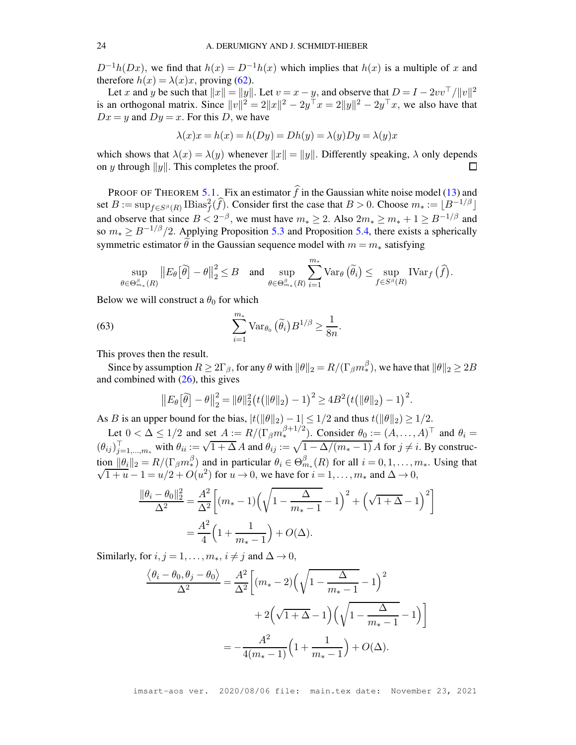$D^{-1}h(Dx)$ , we find that  $h(x) = D^{-1}h(x)$  which implies that  $h(x)$  is a multiple of x and therefore  $h(x) = \lambda(x)x$ , proving [\(62\)](#page-51-1).

Let x and y be such that  $||x|| = ||y||$ . Let  $v = x - y$ , and observe that  $D = I - 2vv^T/||v||^2$ is an orthogonal matrix. Since  $||v||^2 = 2||x||^2 - 2y^\top x = 2||y||^2 - 2y^\top x$ , we also have that  $Dx = y$  and  $Dy = x$ . For this D, we have

$$
\lambda(x)x = h(x) = h(Dy) = Dh(y) = \lambda(y)Dy = \lambda(y)x
$$

which shows that  $\lambda(x) = \lambda(y)$  whenever  $||x|| = ||y||$ . Differently speaking,  $\lambda$  only depends on *u* through  $||y||$ . This completes the proof. on y through  $||y||$ . This completes the proof.

PROOF OF THEOREM [5.1.](#page-15-1) Fix an estimator  $\hat{f}$  in the Gaussian white noise model [\(13\)](#page-9-1) and set  $B := \sup_{f \in S^{\beta}(R)} \text{IBias}_{f}^{2}(\widehat{f})$ . Consider first the case that  $B > 0$ . Choose  $m_{*} := \lfloor B^{-1/\beta} \rfloor$ and observe that since  $B < 2^{-\beta}$ , we must have  $m_* \ge 2$ . Also  $2m_* \ge m_* + 1 \ge B^{-1/\beta}$  and so  $m_* \ge B^{-1/\beta}/2$ . Applying Proposition [5.3](#page-16-0) and Proposition [5.4,](#page-17-2) there exists a spherically symmetric estimator  $\hat{\theta}$  in the Gaussian sequence model with  $m = m_*$  satisfying

$$
\sup_{\theta \in \Theta_{m_*}^{\beta}(R)} \|E_{\theta}[\tilde{\theta}] - \theta\|_2^2 \leq B \quad \text{and} \quad \sup_{\theta \in \Theta_{m_*}^{\beta}(R)} \sum_{i=1}^{m_*} \text{Var}_{\theta}(\tilde{\theta}_i) \leq \sup_{f \in S^{\beta}(R)} \text{IVar}_f(\hat{f}).
$$

Below we will construct a  $\theta_0$  for which

<span id="page-52-0"></span>(63) 
$$
\sum_{i=1}^{m_*} \text{Var}_{\theta_0}(\tilde{\theta}_i) B^{1/\beta} \geq \frac{1}{8n}.
$$

This proves then the result.

Since by assumption  $R \ge 2\Gamma_{\beta}$ , for any  $\theta$  with  $\|\theta\|_2 = R/(\Gamma_{\beta} m_*^{\beta})$ , we have that  $\|\theta\|_2 \ge 2B$ and combined with  $(26)$ , this gives

$$
||E_{\theta}[\tilde{\theta}] - \theta||_2^2 = ||\theta||_2^2 (t(||\theta||_2) - 1)^2 \ge 4B^2 (t(||\theta||_2) - 1)^2.
$$

As B is an upper bound for the bias,  $|t(||\theta||_2) - 1| \leq 1/2$  and thus  $t(||\theta||_2) \geq 1/2$ .

Let  $0 < \Delta \leq 1/2$  and set  $A := R/(\Gamma_\beta m_*^{\beta+1/2})$ . Consider  $\theta_0 := (A, \dots, A)^\top$  and  $\theta_i =$  $(\theta_{ij})_{j=1,\dots,m_*}^{\text{max}}$  with  $\theta_{ii} := \sqrt{1+\Delta} A$  and  $\theta_{ij} := \sqrt{1-\Delta/(m_*-1)} A$  for  $j \neq i$ . By construction  $\|\theta_i\|_2 = R/(\Gamma_\beta m_*^\beta)$  and in particular  $\theta_i \in \Theta_{m_*}^\beta(R)$  for all  $i = 0, 1, ..., m_*$ . Using that  $\lim_{t \to 0+} ||p_i||_2 = K/(\frac{1}{\beta}m_*)$  and in particular  $\theta_i \in \Theta_{m_*}$ <br>  $\sqrt{1 + \mu_1} = \frac{1 - \mu}{2} + O(\mu^2)$  for  $\mu \to 0$ , we have for  $\overline{1+u}-1=u/2+O(u^2)$  for  $u\to 0$ , we have for  $i=1,\ldots,m_*$  and  $\Delta\to 0$ ,

$$
\frac{\|\theta_i - \theta_0\|_2^2}{\Delta^2} = \frac{A^2}{\Delta^2} \bigg[ (m_* - 1) \Big( \sqrt{1 - \frac{\Delta}{m_* - 1}} - 1 \Big)^2 + \Big( \sqrt{1 + \Delta} - 1 \Big)^2 \bigg]
$$
  
=  $\frac{A^2}{4} \Big( 1 + \frac{1}{m_* - 1} \Big) + O(\Delta).$ 

Similarly, for  $i, j = 1, \ldots, m_*, i \neq j$  and  $\Delta \rightarrow 0$ ,

$$
\frac{\langle \theta_i - \theta_0, \theta_j - \theta_0 \rangle}{\Delta^2} = \frac{A^2}{\Delta^2} \left[ (m_* - 2) \left( \sqrt{1 - \frac{\Delta}{m_* - 1}} - 1 \right)^2 + 2 \left( \sqrt{1 + \Delta} - 1 \right) \left( \sqrt{1 - \frac{\Delta}{m_* - 1}} - 1 \right) \right]
$$

$$
= -\frac{A^2}{4(m_* - 1)} \left( 1 + \frac{1}{m_* - 1} \right) + O(\Delta).
$$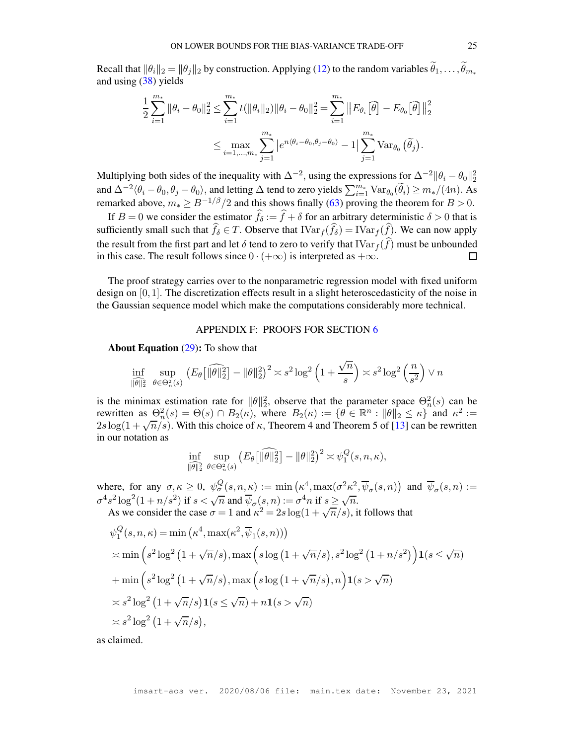Recall that  $\|\theta_i\|_2 = \|\theta_j\|_2$  by construction. Applying [\(12\)](#page-8-2) to the random variables  $\widetilde{\theta}_1, \ldots, \widetilde{\theta}_{m^*}$ and using [\(38\)](#page-29-1) yields

$$
\frac{1}{2} \sum_{i=1}^{m_*} \|\theta_i - \theta_0\|_2^2 \le \sum_{i=1}^{m_*} t(\|\theta_i\|_2) \|\theta_i - \theta_0\|_2^2 = \sum_{i=1}^{m_*} \|E_{\theta_i}[\tilde{\theta}] - E_{\theta_0}[\tilde{\theta}]\|_2^2
$$
  

$$
\le \max_{i=1,...,m_*} \sum_{j=1}^{m_*} |e^{n\langle \theta_i - \theta_0, \theta_j - \theta_0 \rangle} - 1| \sum_{j=1}^{m_*} \text{Var}_{\theta_0}(\tilde{\theta}_j).
$$

Multiplying both sides of the inequality with  $\Delta^{-2}$ , using the expressions for  $\Delta^{-2} \|\theta_i - \theta_0\|_2^2$ and  $\Delta^{-2} \langle \theta_i - \theta_0, \theta_j - \theta_0 \rangle$ , and letting  $\Delta$  tend to zero yields  $\sum_{i=1}^{m_*} \text{Var}_{\theta_0}(\widetilde{\theta}_i) \geq m_*/(4n)$ . As remarked above,  $m_* \ge B^{-1/\beta}/2$  and this shows finally [\(63\)](#page-52-0) proving the theorem for  $B > 0$ .

If  $B = 0$  we consider the estimator  $f_{\delta} := f + \delta$  for an arbitrary deterministic  $\delta > 0$  that is sufficiently small such that  $f_{\delta} \in T$ . Observe that  $\text{IVar}_f(f_{\delta}) = \text{IVar}_f(f)$ . We can now apply the result from the first part and let  $\delta$  tend to zero to verify that  $\text{IVar}_f(\hat{f})$  must be unbounded in this case. The result follows since  $0 \cdot (+\infty)$  is interpreted as  $+\infty$ . in this case. The result follows since  $0 \cdot (+\infty)$  is interpreted as  $+\infty$ .

The proof strategy carries over to the nonparametric regression model with fixed uniform design on  $[0, 1]$ . The discretization effects result in a slight heteroscedasticity of the noise in the Gaussian sequence model which make the computations considerably more technical.

### APPENDIX F: PROOFS FOR SECTION [6](#page-17-0)

<span id="page-53-0"></span>About Equation [\(29\)](#page-18-0): To show that

$$
\inf_{\|\theta\|_2^2} \sup_{\theta \in \Theta_n^2(s)} \left( E_\theta \left[ \|\widehat{\theta}\|_2^2 \right] - \|\theta\|_2^2 \right)^2 \asymp s^2 \log^2 \left( 1 + \frac{\sqrt{n}}{s} \right) \asymp s^2 \log^2 \left( \frac{n}{s^2} \right) \vee n
$$

is the minimax estimation rate for  $\|\theta\|_2^2$ , observe that the parameter space  $\Theta_n^2(s)$  can be rewritten as  $\Theta_n^2(s) = \Theta(s) \cap B_2(\kappa)$ , where  $B_2(\kappa) := \{ \theta \in \mathbb{R}^n : ||\theta||_2 \leq \kappa \}$  and  $\kappa^2 :=$  $2s \log(1 + \sqrt{n/s})$ . With this choice of  $\kappa$ , Theorem 4 and Theorem 5 of [\[13\]](#page-27-16) can be rewritten in our notation as

$$
\inf_{\|\theta\|_2^2} \sup_{\theta \in \Theta_n^2(s)} \left( E_\theta \left[ \|\widehat{\theta}\|_2^2 \right] - \|\theta\|_2^2 \right)^2 \asymp \psi_1^Q(s, n, \kappa),
$$

where, for any  $\sigma, \kappa \geq 0$ ,  $\psi_{\sigma}^{Q}(s, n, \kappa) := \min(\kappa^4, \max(\sigma^2 \kappa^2, \overline{\psi}_{\sigma}(s, n))$  and  $\overline{\psi}_{\sigma}(s, n) :=$  $\sigma^4 s^2 \log^2(1 + n/s^2)$  if  $s < \sqrt{n}$  and  $\overline{\psi}_{\sigma}(s, n) := \sigma^4 n$  if  $s \ge \sqrt{n}$ . As we consider the case  $\sigma = 1$  and  $\kappa^2 = 2s \log(1 + \sqrt{n/s})$ , it follows that

$$
\psi_1^Q(s, n, \kappa) = \min(\kappa^4, \max(\kappa^2, \overline{\psi}_1(s, n)))
$$
  
\n
$$
\times \min\left(s^2 \log^2(1 + \sqrt{n}/s), \max\left(s \log(1 + \sqrt{n}/s), s^2 \log^2(1 + n/s^2)\right) \mathbf{1}(s \le \sqrt{n})\right)
$$
  
\n
$$
+ \min\left(s^2 \log^2(1 + \sqrt{n}/s), \max\left(s \log(1 + \sqrt{n}/s), n\right) \mathbf{1}(s > \sqrt{n})\right)
$$
  
\n
$$
\times s^2 \log^2(1 + \sqrt{n}/s) \mathbf{1}(s \le \sqrt{n}) + n \mathbf{1}(s > \sqrt{n})
$$
  
\n
$$
\times s^2 \log^2(1 + \sqrt{n}/s),
$$

as claimed.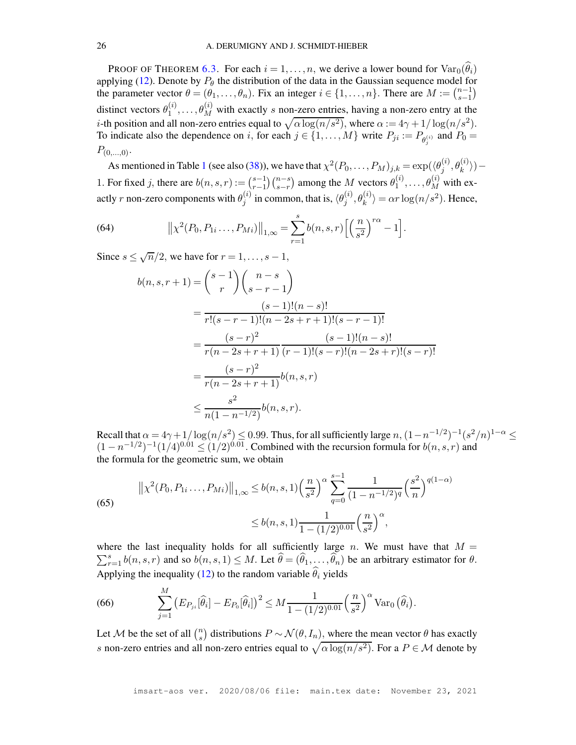PROOF OF THEOREM [6.3.](#page-19-0) For each  $i = 1, \ldots, n$ , we derive a lower bound for  $\text{Var}_0(\hat{\theta}_i)$ applying [\(12\)](#page-8-2). Denote by  $P_{\theta}$  the distribution of the data in the Gaussian sequence model for the parameter vector  $\theta = (\theta_1, \dots, \theta_n)$ . Fix an integer  $i \in \{1, \dots, n\}$ . There are  $M := \binom{n-1}{s-1}$ s−1  $\lambda$ distinct vectors  $\theta_1^{(i)}$  $\theta_1^{(i)}, \ldots, \theta_M^{(i)}$  with exactly s non-zero entries, having a non-zero entry at the *i*-th position and all non-zero entries equal to  $\sqrt{\alpha \log(n/s^2)}$ , where  $\alpha := 4\gamma + 1/\log(n/s^2)$ . To indicate also the dependence on i, for each  $j \in \{1, ..., M\}$  write  $P_{ji} := P_{\theta_j^{(i)}}$  and  $P_0 =$  $P_{(0,...,0)}$ .

As mentioned in Table [1](#page-7-0) (see also [\(38\)](#page-29-1)), we have that  $\chi^2(P_0,\ldots,P_M)_{j,k} = \exp(\langle \theta_j^{(i)} \rangle)$  $\binom{i}{j},\theta_k^{(i)})$   $-$ 1. For fixed j, there are  $b(n, s, r) := \binom{s-1}{r-1}$  $r-1$  $(n-s)$ s−r ) among the M vectors  $\theta_1^{(i)}$  $\mathbf{a}_1^{(i)}, \ldots, \mathbf{\theta}_M^{(i)}$  with exactly  $r$  non-zero components with  $\theta_i^{(i)}$  $j^{(i)}_j$  in common, that is,  $\langle \theta_j^{(i)} \rangle$  $\langle i \rangle_j, \theta_k^{(i)} \rangle = \alpha r \log(n/s^2)$ . Hence,

<span id="page-54-1"></span>(64) 
$$
\|\chi^2(P_0, P_{1i} \dots, P_{Mi})\|_{1,\infty} = \sum_{r=1}^s b(n, s, r) \left[\left(\frac{n}{s^2}\right)^{r\alpha} - 1\right].
$$

Since  $s \leq \sqrt{n}/2$ , we have for  $r = 1, \ldots, s - 1$ ,

M

$$
b(n, s, r+1) = {s-1 \choose r} {n-s \choose s-r-1}
$$
  
= 
$$
\frac{(s-1)!(n-s)!}{r!(s-r-1)!(n-2s+r+1)!(s-r-1)!}
$$
  
= 
$$
\frac{(s-r)^2}{r(n-2s+r+1)} \frac{(s-1)!(n-s)!}{(r-1)!(s-r)!(n-2s+r)!(s-r)!}
$$
  
= 
$$
\frac{(s-r)^2}{r(n-2s+r+1)} b(n, s, r)
$$
  

$$
\leq \frac{s^2}{n(1-n^{-1/2})} b(n, s, r).
$$

Recall that  $\alpha = 4\gamma + 1/\log(n/s^2) \le 0.99$ . Thus, for all sufficiently large  $n$ ,  $(1 - n^{-1/2})^{-1}(s^2/n)^{1-\alpha} \le$  $(1 - n^{-1/2})^{-1} (1/4)^{0.01} \le (1/2)^{0.01}$ . Combined with the recursion formula for  $b(n, s, r)$  and the formula for the geometric sum, we obtain

<span id="page-54-2"></span>(65)  

$$
\left\| \chi^2(P_0, P_{1i}, \dots, P_{Mi}) \right\|_{1,\infty} \le b(n, s, 1) \left(\frac{n}{s^2}\right)^{\alpha} \sum_{q=0}^{s-1} \frac{1}{(1 - n^{-1/2})^q} \left(\frac{s^2}{n}\right)^{q(1-\alpha)}
$$

$$
\le b(n, s, 1) \frac{1}{1 - (1/2)^{0.01}} \left(\frac{n}{s^2}\right)^{\alpha},
$$

where the last inequality holds for all sufficiently large n. We must have that  $M =$  $\sum_{r=1}^{s} b(n, s, r)$  and so  $b(n, s, 1) \leq M$ . Let  $\widehat{\theta} = (\widehat{\theta}_1, \dots, \widehat{\theta}_n)$  be an arbitrary estimator for  $\theta$ . Applying the inequality [\(12\)](#page-8-2) to the random variable  $\hat{\theta}_i$  yields

<span id="page-54-0"></span>(66) 
$$
\sum_{j=1}^M \left( E_{P_{ji}}[\widehat{\theta}_i] - E_{P_0}[\widehat{\theta}_i] \right)^2 \leq M \frac{1}{1 - (1/2)^{0.01}} \left( \frac{n}{s^2} \right)^{\alpha} \text{Var}_0 \left( \widehat{\theta}_i \right).
$$

Let M be the set of all  $\binom{n}{s}$ <sup>n</sup><sub>s</sub>) distributions  $P \sim \mathcal{N}(\theta, I_n)$ , where the mean vector  $\theta$  has exactly s non-zero entries and all non-zero entries equal to  $\sqrt{\alpha \log(n/s^2)}$ . For a  $P \in \mathcal{M}$  denote by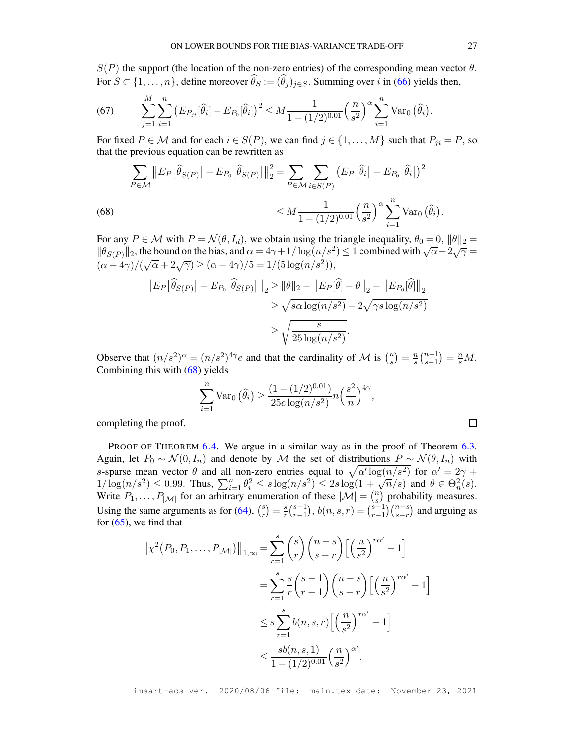$S(P)$  the support (the location of the non-zero entries) of the corresponding mean vector  $\theta$ . For  $S \subset \{1, \ldots, n\}$ , define moreover  $\widehat{\theta}_S := (\widehat{\theta}_j)_{j \in S}$ . Summing over i in [\(66\)](#page-54-0) yields then,

(67) 
$$
\sum_{j=1}^{M} \sum_{i=1}^{n} \left( E_{P_{ji}}[\hat{\theta}_i] - E_{P_0}[\hat{\theta}_i] \right)^2 \leq M \frac{1}{1 - (1/2)^{0.01}} \left( \frac{n}{s^2} \right)^{\alpha} \sum_{i=1}^{n} \text{Var}_0 \left( \hat{\theta}_i \right).
$$

For fixed  $P \in \mathcal{M}$  and for each  $i \in S(P)$ , we can find  $j \in \{1, ..., M\}$  such that  $P_{ji} = P$ , so that the previous equation can be rewritten as

(68)  

$$
\sum_{P \in \mathcal{M}} ||E_P[\widehat{\theta}_{S(P)}] - E_{P_0}[\widehat{\theta}_{S(P)}]||_2^2 = \sum_{P \in \mathcal{M}} \sum_{i \in S(P)} (E_P[\widehat{\theta}_i] - E_{P_0}[\widehat{\theta}_i])^2
$$

$$
\leq M \frac{1}{1 - (1/2)^{0.01}} \left(\frac{n}{s^2}\right)^{\alpha} \sum_{i=1}^n \text{Var}_0(\widehat{\theta}_i).
$$

<span id="page-55-0"></span>For any  $P \in \mathcal{M}$  with  $P = \mathcal{N}(\theta, I_d)$ , we obtain using the triangle inequality,  $\theta_0 = 0$ ,  $\|\theta\|_2 =$  $\|\theta_{S(P)}\|_2$ , the bound on the bias, and  $\alpha = 4\gamma + 1/\log(n/s^2) \le 1$  combined with  $\sqrt{\alpha} - 2\sqrt{\gamma} =$  $(\alpha - 4\gamma)/(\sqrt{\alpha} + 2\sqrt{\gamma}) \ge (\alpha - 4\gamma)/5 = 1/(5\log(n/s^2)),$ 

$$
||E_P[\widehat{\theta}_{S(P)}] - E_{P_0}[\widehat{\theta}_{S(P)}]||_2 \ge ||\theta||_2 - ||E_P[\widehat{\theta}] - \theta||_2 - ||E_{P_0}[\widehat{\theta}||_2)
$$
  

$$
\ge \sqrt{s\alpha \log(n/s^2)} - 2\sqrt{\gamma s \log(n/s^2)}
$$
  

$$
\ge \sqrt{\frac{s}{25 \log(n/s^2)}}.
$$

Observe that  $(n/s^2)^\alpha = (n/s^2)^{4\gamma} e$  and that the cardinality of M is  $\binom{n}{s}$  $\binom{n}{s} = \frac{n}{s}$  $\frac{n}{s} \binom{n-1}{s-1}$ s−1  $= \frac{n}{s}M$ . Combining this with [\(68\)](#page-55-0) yields

$$
\sum_{i=1}^{n} \text{Var}_0\left(\widehat{\theta}_i\right) \ge \frac{\left(1 - (1/2)^{0.01}\right)}{25e \log(n/s^2)} n\left(\frac{s^2}{n}\right)^{4\gamma},
$$

completing the proof.

PROOF OF THEOREM [6.4.](#page-20-0) We argue in a similar way as in the proof of Theorem [6.3.](#page-19-0) Again, let  $P_0 \sim \mathcal{N}(0, I_n)$  and denote by M the set of distributions  $P \sim \mathcal{N}(\theta, I_n)$  with s-sparse mean vector  $\theta$  and all non-zero entries equal to  $\sqrt{\alpha' \log(n/s^2)}$  for  $\alpha' = 2\gamma +$  $1/\log(n/s^2) \le 0.99$ . Thus,  $\sum_{i=1}^n \theta_i^2 \le s \log(n/s^2) \le 2s \log(1+\sqrt{n/s})$  and  $\theta \in \Theta_n^2(s)$ . Write  $P_1, \ldots, P_{|\mathcal{M}|}$  for an arbitrary enumeration of these  $|\mathcal{M}| = {n \choose s}$  $\binom{n}{s}$  probability measures. Using the same arguments as for  $(64)$ ,  $\binom{8}{x}$  $\binom{s}{r} = \frac{s}{r}$  $\frac{s}{r}$  $\binom{s-1}{r-1}$  $r-1$  $\big), b(n, s, r) = \binom{s-1}{r-1}$  $r-1$  $\binom{n-s}{ }$ s−r ) and arguing as for  $(65)$ , we find that

$$
\begin{split} \left\| \chi^2(P_0, P_1, \dots, P_{|\mathcal{M}|}) \right\|_{1,\infty} &= \sum_{r=1}^s \binom{s}{r} \binom{n-s}{s-r} \left[ \left( \frac{n}{s^2} \right)^{r\alpha'} - 1 \right] \\ &= \sum_{r=1}^s \frac{s}{r} \binom{s-1}{r-1} \binom{n-s}{s-r} \left[ \left( \frac{n}{s^2} \right)^{r\alpha'} - 1 \right] \\ &\leq s \sum_{r=1}^s b(n,s,r) \left[ \left( \frac{n}{s^2} \right)^{r\alpha'} - 1 \right] \\ &\leq \frac{s b(n,s,1)}{1 - (1/2)^{0.01}} \left( \frac{n}{s^2} \right)^{\alpha'} . \end{split}
$$

imsart-aos ver. 2020/08/06 file: main.tex date: November 23, 2021

 $\Box$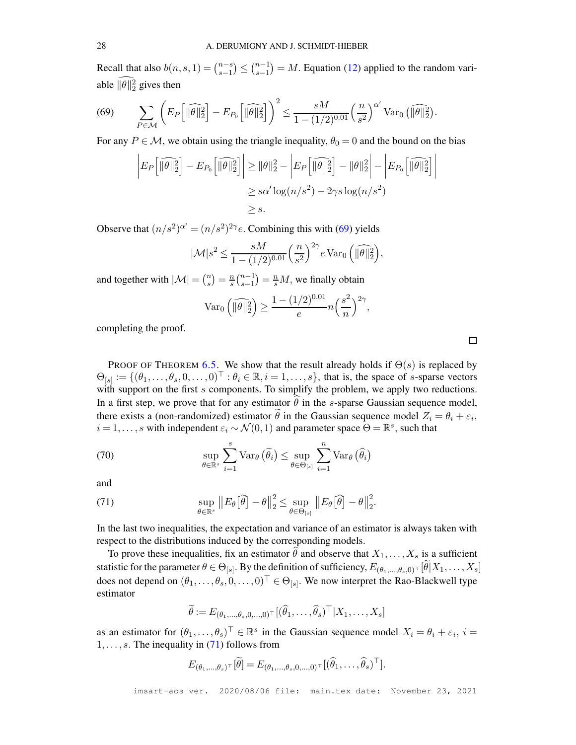Recall that also  $b(n, s, 1) = \binom{n-s}{s-1}$ s−1  $\left.\right)\leq \binom{n-1}{s-1}$ s−1  $= M$ . Equation [\(12\)](#page-8-2) applied to the random variable  $\|\theta\|_2^2$  gives then

<span id="page-56-0"></span>(69) 
$$
\sum_{P \in \mathcal{M}} \left( E_P \left[ \|\widehat{\theta}\|_2^2 \right] - E_{P_0} \left[ \|\widehat{\theta}\|_2^2 \right] \right)^2 \leq \frac{sM}{1 - (1/2)^{0.01}} \left( \frac{n}{s^2} \right)^{\alpha'} \text{Var}_0 \left( \|\widehat{\theta}\|_2^2 \right).
$$

For any  $P \in \mathcal{M}$ , we obtain using the triangle inequality,  $\theta_0 = 0$  and the bound on the bias

$$
\left| E_P \left[ \|\widehat{\theta}\|_2^2 \right] - E_{P_0} \left[ \|\widehat{\theta}\|_2^2 \right] \right| \geq \|\theta\|_2^2 - \left| E_P \left[ \|\widehat{\theta}\|_2^2 \right] - \|\theta\|_2^2 \right| - \left| E_{P_0} \left[ \|\widehat{\theta}\|_2^2 \right] \right|
$$
  

$$
\geq s\alpha' \log(n/s^2) - 2\gamma s \log(n/s^2)
$$
  

$$
\geq s.
$$

Observe that  $(n/s^2)$ <sup> $\alpha' = (n/s^2)^{2\gamma}e$ . Combining this with [\(69\)](#page-56-0) yields</sup>

$$
|\mathcal{M}|s^2 \le \frac{sM}{1 - (1/2)^{0.01}} \left(\frac{n}{s^2}\right)^{2\gamma} e \operatorname{Var}_0\left(\widehat{\|\theta\|_2^2}\right),
$$

and together with  $|\mathcal{M}| = \binom{n}{s}$  $\binom{n}{s} = \frac{n}{s}$  $\frac{n}{s} \binom{n-1}{s-1}$ s−1  $= \frac{n}{s}M$ , we finally obtain

$$
\operatorname{Var}_0\left(\|\widehat{\theta}\|_2^2\right) \ge \frac{1 - (1/2)^{0.01}}{e} n \left(\frac{s^2}{n}\right)^{2\gamma},
$$

completing the proof.

PROOF OF THEOREM [6.5.](#page-20-1) We show that the result already holds if  $\Theta(s)$  is replaced by  $\Theta_{[s]} := \{(\theta_1, \ldots, \theta_s, 0, \ldots, 0)^\top : \theta_i \in \mathbb{R}, i = 1, \ldots, s\}$ , that is, the space of s-sparse vectors with support on the first  $s$  components. To simplify the problem, we apply two reductions. In a first step, we prove that for any estimator  $\hat{\theta}$  in the s-sparse Gaussian sequence model, there exists a (non-randomized) estimator  $\theta$  in the Gaussian sequence model  $Z_i = \theta_i + \varepsilon_i$ ,  $i = 1, \dots, s$  with independent  $\varepsilon_i \sim \mathcal{N}(0, 1)$  and parameter space  $\Theta = \mathbb{R}^s$ , such that

<span id="page-56-2"></span>(70) 
$$
\sup_{\theta \in \mathbb{R}^s} \sum_{i=1}^s \text{Var}_{\theta}(\widetilde{\theta}_i) \leq \sup_{\theta \in \Theta_{[s]}} \sum_{i=1}^n \text{Var}_{\theta}(\widehat{\theta}_i)
$$

and

<span id="page-56-1"></span>(71) 
$$
\sup_{\theta \in \mathbb{R}^s} \|E_{\theta}[\widetilde{\theta}] - \theta\|_2^2 \leq \sup_{\theta \in \Theta_{[s]}} \|E_{\theta}[\widehat{\theta}] - \theta\|_2^2.
$$

In the last two inequalities, the expectation and variance of an estimator is always taken with respect to the distributions induced by the corresponding models.

To prove these inequalities, fix an estimator  $\hat{\theta}$  and observe that  $X_1, \ldots, X_s$  is a sufficient statistic for the parameter  $\theta \in \Theta_{[s]}$ . By the definition of sufficiency,  $E_{(\theta_1,...,\theta_s,0)}$   $\lceil \theta |X_1,\ldots,X_s\rceil$ does not depend on  $(\theta_1, \ldots, \theta_s, 0, \ldots, 0)^\top \in \Theta_{[s]}$ . We now interpret the Rao-Blackwell type estimator

$$
\widetilde{\theta} := E_{(\theta_1,\ldots,\theta_s,0,\ldots,0)^\top}[(\widehat{\theta}_1,\ldots,\widehat{\theta}_s)^\top | X_1,\ldots,X_s]
$$

as an estimator for  $(\theta_1, \dots, \theta_s)^\top \in \mathbb{R}^s$  in the Gaussian sequence model  $X_i = \theta_i + \varepsilon_i$ ,  $i =$  $1, \ldots, s$ . The inequality in [\(71\)](#page-56-1) follows from

$$
E_{(\theta_1,\ldots,\theta_s)^\top}[\widetilde{\theta}] = E_{(\theta_1,\ldots,\theta_s,0,\ldots,0)^\top}[(\widehat{\theta}_1,\ldots,\widehat{\theta}_s)^\top].
$$

 $\Box$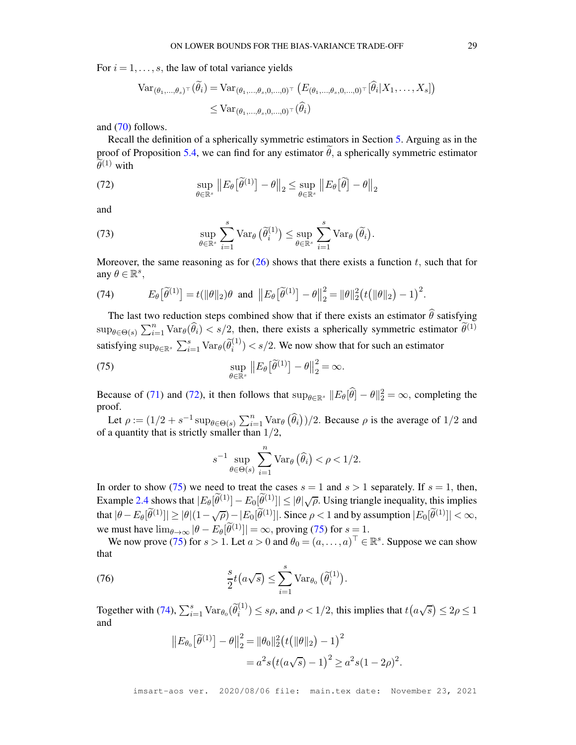For  $i = 1, \ldots, s$ , the law of total variance yields

$$
\operatorname{Var}_{(\theta_1,\ldots,\theta_s)^\top}(\widetilde{\theta}_i) = \operatorname{Var}_{(\theta_1,\ldots,\theta_s,0,\ldots,0)^\top} (E_{(\theta_1,\ldots,\theta_s,0,\ldots,0)^\top}[\widehat{\theta}_i|X_1,\ldots,X_s])
$$
  

$$
\leq \operatorname{Var}_{(\theta_1,\ldots,\theta_s,0,\ldots,0)^\top}(\widehat{\theta}_i)
$$

and [\(70\)](#page-56-2) follows.

Recall the definition of a spherically symmetric estimators in Section [5.](#page-14-0) Arguing as in the proof of Proposition [5.4,](#page-17-2) we can find for any estimator  $\hat{\theta}$ , a spherically symmetric estimator  $\widetilde{\theta}^{(1)}$  with

<span id="page-57-0"></span>(72) 
$$
\sup_{\theta \in \mathbb{R}^s} \| E_{\theta} [\tilde{\theta}^{(1)}] - \theta \|_2 \leq \sup_{\theta \in \mathbb{R}^s} \| E_{\theta} [\tilde{\theta}] - \theta \|_2
$$

and

(73) 
$$
\sup_{\theta \in \mathbb{R}^s} \sum_{i=1}^s \text{Var}_{\theta}(\widetilde{\theta}_i^{(1)}) \leq \sup_{\theta \in \mathbb{R}^s} \sum_{i=1}^s \text{Var}_{\theta}(\widetilde{\theta}_i).
$$

Moreover, the same reasoning as for  $(26)$  shows that there exists a function t, such that for any  $\theta \in \mathbb{R}^s$ ,

<span id="page-57-2"></span>(74) 
$$
E_{\theta}[\widetilde{\theta}^{(1)}] = t(||\theta||_2)\theta \text{ and } ||E_{\theta}[\widetilde{\theta}^{(1)}] - \theta||_2^2 = ||\theta||_2^2 \big(t(||\theta||_2) - 1\big)^2.
$$

The last two reduction steps combined show that if there exists an estimator  $\hat{\theta}$  satisfying  $\sup_{\theta \in \Theta(s)} \sum_{i=1}^n \text{Var}_{\theta}(\widehat{\theta}_i) < s/2$ , then, there exists a spherically symmetric estimator  $\widetilde{\theta}^{(1)}$ satisfying  $\sup_{\theta \in \mathbb{R}^s} \sum_{i=1}^s \text{Var}_{\theta}(\tilde{\theta}_i^{(1)}) < s/2$ . We now show that for such an estimator

<span id="page-57-1"></span>(75) 
$$
\sup_{\theta \in \mathbb{R}^s} \| E_{\theta} [\widetilde{\theta}^{(1)}] - \theta \|_2^2 = \infty.
$$

Because of [\(71\)](#page-56-1) and [\(72\)](#page-57-0), it then follows that  $\sup_{\theta \in \mathbb{R}^s} ||E_{\theta}[\hat{\theta}] - \theta||_2^2 = \infty$ , completing the proof.

Let  $\rho := (1/2 + s^{-1} \sup_{\theta \in \Theta(s)} \sum_{i=1}^n \text{Var}_{\theta}(\widehat{\theta}_i))/2$ . Because  $\rho$  is the average of  $1/2$  and of a quantity that is strictly smaller than  $1/2$ ,

$$
s^{-1}\sup_{\theta\in\Theta(s)}\sum_{i=1}^n\text{Var}_{\theta}\left(\widehat{\theta}_i\right)<\rho<1/2.
$$

In order to show [\(75\)](#page-57-1) we need to treat the cases  $s = 1$  and  $s > 1$  separately. If  $s = 1$ , then, Example [2.4](#page-5-2) shows that  $|E_{\theta}[\widetilde{\theta}^{(1)}] - E_0[\widetilde{\theta}^{(1)}]| \leq |\theta|\sqrt{\rho}$ . Using triangle inequality, this implies that  $|\theta - E_{\theta}[\widetilde{\theta}^{(1)}]| \geq |\theta|(1-\sqrt{\rho}) - |E_0[\widetilde{\theta}^{(1)}]|$ . Since  $\rho < 1$  and by assumption  $|E_0[\widetilde{\theta}^{(1)}]| < \infty$ , we must have  $\lim_{\theta \to \infty} |\theta - E_{\theta}[\tilde{\theta}^{(1)}]| = \infty$ , proving [\(75\)](#page-57-1) for  $s = 1$ .

We now prove [\(75\)](#page-57-1) for  $s > 1$ . Let  $a > 0$  and  $\theta_0 = (a, \dots, a)^\top \in \mathbb{R}^s$ . Suppose we can show that

<span id="page-57-3"></span>(76) 
$$
\frac{s}{2}t(a\sqrt{s}) \leq \sum_{i=1}^{s} \text{Var}_{\theta_0}(\widetilde{\theta}_i^{(1)}).
$$

Together with [\(74\)](#page-57-2),  $\sum_{i=1}^{s} \text{Var}_{\theta_0}(\tilde{\theta}_i^{(1)}) \leq s\rho$ , and  $\rho < 1/2$ , this implies that  $t(a\sqrt{s}) \leq 2\rho \leq 1$ and

$$
||E_{\theta_0}[\tilde{\theta}^{(1)}] - \theta||_2^2 = ||\theta_0||_2^2 (t(||\theta||_2) - 1)^2
$$
  
=  $a^2 s (t(a\sqrt{s}) - 1)^2 \ge a^2 s (1 - 2\rho)^2$ 

.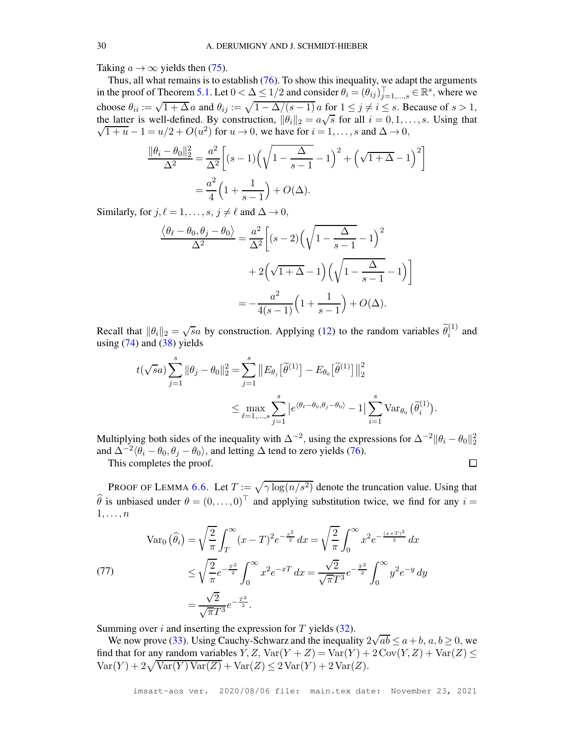Taking  $a \rightarrow \infty$  yields then [\(75\)](#page-57-1).

Thus, all what remains is to establish [\(76\)](#page-57-3). To show this inequality, we adapt the arguments in the proof of Theorem [5.1.](#page-15-1) Let  $0 < \Delta \leq 1/2$  and consider  $\theta_i = (\theta_{ij})_{j=1,...,s}^{\top} \in \mathbb{R}^s$ , where we choose  $\theta_{ii} := \sqrt{1 + \Delta} a$  and  $\theta_{ij} := \sqrt{1 - \Delta/(s-1)} a$  for  $1 \le j \ne i \le s$ . Because of  $s > 1$ , the latter is well-defined. By construction,  $\|\theta_i\|_2 = a\sqrt{s}$  for all  $i = 0, 1, ..., s$ . Using that  $\sqrt{1+u}-1=u/2+O(u^2)$  for  $u\to 0$ , we have for  $i=1,\ldots,s$  and  $\Delta\to 0$ ,

$$
\frac{\|\theta_i - \theta_0\|_2^2}{\Delta^2} = \frac{a^2}{\Delta^2} \left[ (s-1) \left( \sqrt{1 - \frac{\Delta}{s-1}} - 1 \right)^2 + \left( \sqrt{1 + \Delta} - 1 \right)^2 \right]
$$

$$
= \frac{a^2}{4} \left( 1 + \frac{1}{s-1} \right) + O(\Delta).
$$

Similarly, for  $j, \ell = 1, \ldots, s, j \neq \ell$  and  $\Delta \rightarrow 0$ ,

$$
\frac{\langle \theta_{\ell} - \theta_0, \theta_j - \theta_0 \rangle}{\Delta^2} = \frac{a^2}{\Delta^2} \left[ (s-2) \left( \sqrt{1 - \frac{\Delta}{s-1}} - 1 \right)^2 + 2 \left( \sqrt{1 + \Delta} - 1 \right) \left( \sqrt{1 - \frac{\Delta}{s-1}} - 1 \right) \right]
$$

$$
= -\frac{a^2}{4(s-1)} \left( 1 + \frac{1}{s-1} \right) + O(\Delta).
$$

Recall that  $\|\theta_i\|_2 = \sqrt{sa}$  by construction. Applying [\(12\)](#page-8-2) to the random variables  $\tilde{\theta}_i^{(1)}$  and using  $(74)$  and  $(38)$  yields

$$
t(\sqrt{s}a)\sum_{j=1}^s \|\theta_j - \theta_0\|_2^2 = \sum_{j=1}^s \left\|E_{\theta_j}\left[\tilde{\theta}^{(1)}\right] - E_{\theta_0}\left[\tilde{\theta}^{(1)}\right]\right\|_2^2
$$
  

$$
\leq \max_{\ell=1,\ldots,s} \sum_{j=1}^s \left|e^{\langle\theta_\ell - \theta_0, \theta_j - \theta_0\rangle} - 1\right| \sum_{i=1}^s \text{Var}_{\theta_0}\left(\tilde{\theta}_i^{(1)}\right).
$$

Multiplying both sides of the inequality with  $\Delta^{-2}$ , using the expressions for  $\Delta^{-2} ||\theta_i - \theta_0||_2^2$ and  $\Delta^{-2} \langle \theta_i - \theta_0, \theta_j - \theta_0 \rangle$ , and letting  $\Delta$  tend to zero yields [\(76\)](#page-57-3).  $\Box$ 

This completes the proof.

PROOF OF LEMMA [6.6.](#page-21-6) Let  $T := \sqrt{\gamma \log(n/s^2)}$  denote the truncation value. Using that  $\hat{\theta}$  is unbiased under  $\theta = (0, \dots, 0)^\top$  and applying substitution twice, we find for any  $i =$  $1, \ldots, n$ 

<span id="page-58-0"></span>(77)  
\n
$$
\operatorname{Var}_0(\widehat{\theta}_i) = \sqrt{\frac{2}{\pi}} \int_T^{\infty} (x - T)^2 e^{-\frac{x^2}{2}} dx = \sqrt{\frac{2}{\pi}} \int_0^{\infty} x^2 e^{-\frac{(x + T)^2}{2}} dx
$$
\n
$$
\leq \sqrt{\frac{2}{\pi}} e^{-\frac{T^2}{2}} \int_0^{\infty} x^2 e^{-x} dx = \frac{\sqrt{2}}{\sqrt{\pi}} e^{-\frac{T^2}{2}} \int_0^{\infty} y^2 e^{-y} dy
$$
\n
$$
= \frac{\sqrt{2}}{\sqrt{\pi}} e^{-\frac{T^2}{2}}.
$$

Summing over i and inserting the expression for  $T$  yields [\(32\)](#page-21-2).

We now prove [\(33\)](#page-21-4). Using Cauchy-Schwarz and the inequality  $2\sqrt{ab} \le a+b$ ,  $a, b \ge 0$ , we find that for any random variables  $Y, Z, \text{Var}(Y + Z) = \text{Var}(Y) + 2\text{Cov}(Y, Z) + \text{Var}(Z) \leq$  $Var(Y) + 2\sqrt{Var(Y) Var(Z)} + Var(Z) \le 2Var(Y) + 2Var(Z).$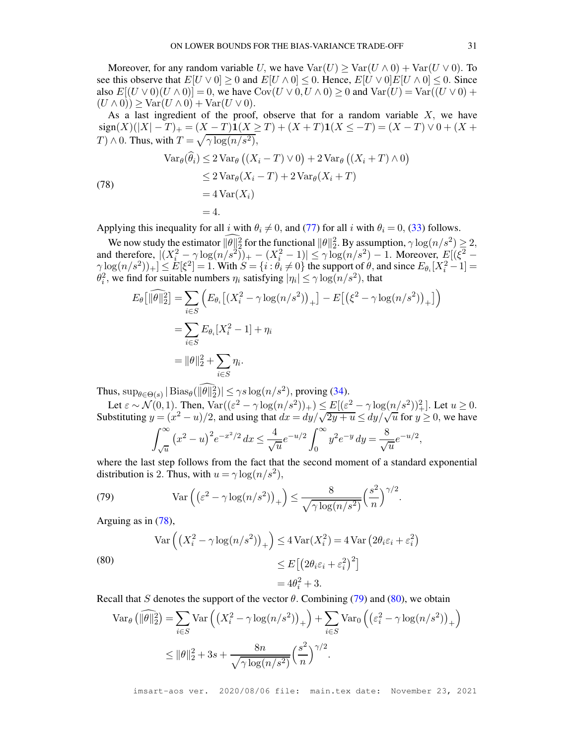Moreover, for any random variable U, we have  $Var(U) > Var(U \wedge 0) + Var(U \vee 0)$ . To see this observe that  $E[U \vee 0] \geq 0$  and  $E[U \wedge 0] \leq 0$ . Hence,  $E[U \vee 0]E[V \wedge 0] \leq 0$ . Since also  $E[(U \vee 0)(U \wedge 0)] = 0$ , we have  $Cov(U \vee 0, U \wedge 0) \ge 0$  and  $Var(U) = Var((U \vee 0) +$  $(U \wedge 0)$ )  $\geq$  Var $(U \wedge 0)$  + Var $(U \vee 0)$ .

As a last ingredient of the proof, observe that for a random variable  $X$ , we have  $sign(X)(|X| - T)_{+} = (X - T)\mathbf{1}(X \geq T) + (X + T)\mathbf{1}(X \leq -T) = (X - T) \vee 0 + (X +$  $T) \wedge 0$ . Thus, with  $T = \sqrt{\gamma \log(n/s^2)}$ ,

<span id="page-59-0"></span>(78)  
\n
$$
\operatorname{Var}_{\theta}(\widehat{\theta}_{i}) \le 2 \operatorname{Var}_{\theta} \left( (X_{i} - T) \vee 0 \right) + 2 \operatorname{Var}_{\theta} \left( (X_{i} + T) \wedge 0 \right)
$$
\n
$$
\le 2 \operatorname{Var}_{\theta} (X_{i} - T) + 2 \operatorname{Var}_{\theta} (X_{i} + T)
$$
\n
$$
= 4 \operatorname{Var}(X_{i})
$$
\n
$$
= 4.
$$

Applying this inequality for all i with  $\theta_i \neq 0$ , and [\(77\)](#page-58-0) for all i with  $\theta_i = 0$ , [\(33\)](#page-21-4) follows.

We now study the estimator  $\|\theta\|_2^2$  for the functional  $\|\theta\|_2^2$ . By assumption,  $\gamma \log(n/s^2) \ge 2$ , and therefore,  $|(X_i^2 - \gamma \log(n/s^2))_+ - (X_i^2 - 1)| \leq \gamma \log(n/s^2) - 1$ . Moreover,  $E[(\xi^2 \gamma \log(n/s^2)$ <sub>+</sub> $] \leq E[\xi^2] = 1$ . With  $S = \{i : \theta_i \neq 0\}$  the support of  $\theta$ , and since  $E_{\theta_i}[X_i^2 - 1] =$  $\theta_i^2$ , we find for suitable numbers  $\eta_i$  satisfying  $|\eta_i| \le \gamma \log(n/s^2)$ , that

$$
E_{\theta}[\|\widehat{\theta}\|_{2}^{2}] = \sum_{i \in S} \left( E_{\theta_{i}} \left[ (X_{i}^{2} - \gamma \log(n/s^{2}))_{+} \right] - E \left[ \left( \xi^{2} - \gamma \log(n/s^{2}) \right)_{+} \right] \right)
$$
  
= 
$$
\sum_{i \in S} E_{\theta_{i}} [X_{i}^{2} - 1] + \eta_{i}
$$
  
= 
$$
\|\theta\|_{2}^{2} + \sum_{i \in S} \eta_{i}.
$$

Thus,  $\sup_{\theta \in \Theta(s)} |\text{Bias}_{\theta}(\|\theta\|_2^2)| \leq \gamma s \log(n/s^2)$ , proving [\(34\)](#page-21-7).

Let  $\varepsilon \sim \mathcal{N}(0, 1)$ . Then,  $\text{Var}((\varepsilon^2 - \gamma \log(n/s^2))_+) \leq E[(\varepsilon^2 - \gamma \log(n/s^2))^2]$ . Let  $u \geq 0$ . Substituting  $y = (x^2 - u)/2$ , and using that  $dx = dy/\sqrt{2y + u} \le dy/\sqrt{u}$  for  $y \ge 0$ , we have  $\int^{\infty}$  $\sqrt{u}$  $\left(x^2-u\right)^2 e^{-x^2/2} dx \leq \frac{4}{\sqrt{2}}$  $\frac{4}{\sqrt{u}}e^{-u/2}\int_0^\infty$ 0  $y^2 e^{-y} dy = \frac{8}{4}$  $\frac{\infty}{\sqrt{u}}e^{-u/2},$ 

where the last step follows from the fact that the second moment of a standard exponential distribution is 2. Thus, with  $u = \gamma \log(n/s^2)$ ,

<span id="page-59-1"></span>(79) 
$$
\operatorname{Var}\left(\left(\varepsilon^2 - \gamma \log(n/s^2)\right)_+\right) \leq \frac{8}{\sqrt{\gamma \log(n/s^2)}} \left(\frac{s^2}{n}\right)^{\gamma/2}.
$$

Arguing as in [\(78\)](#page-59-0),

<span id="page-59-2"></span>(80)  
\n
$$
\operatorname{Var}\left(\left(X_i^2 - \gamma \log(n/s^2)\right)_+\right) \le 4 \operatorname{Var}(X_i^2) = 4 \operatorname{Var}\left(2\theta_i \varepsilon_i + \varepsilon_i^2\right)
$$
\n
$$
\le E\left[\left(2\theta_i \varepsilon_i + \varepsilon_i^2\right)^2\right]
$$
\n
$$
= 4\theta_i^2 + 3.
$$

Recall that S denotes the support of the vector  $\theta$ . Combining [\(79\)](#page-59-1) and [\(80\)](#page-59-2), we obtain

$$
\operatorname{Var}_{\theta} \left( \|\widehat{\theta}\|_{2}^{2} \right) = \sum_{i \in S} \operatorname{Var} \left( \left( X_{i}^{2} - \gamma \log(n/s^{2}) \right)_{+} \right) + \sum_{i \in S} \operatorname{Var}_{0} \left( \left( \varepsilon_{i}^{2} - \gamma \log(n/s^{2}) \right)_{+} \right)
$$

$$
\leq \|\theta\|_{2}^{2} + 3s + \frac{8n}{\sqrt{\gamma \log(n/s^{2})}} \left( \frac{s^{2}}{n} \right)^{\gamma/2}.
$$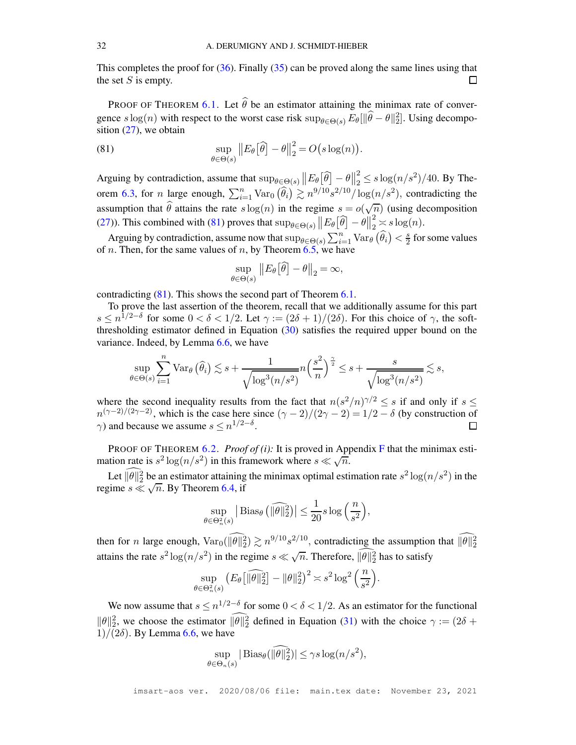This completes the proof for  $(36)$ . Finally  $(35)$  can be proved along the same lines using that the set  $S$  is empty.  $\Box$ 

PROOF OF THEOREM [6.1.](#page-18-3) Let  $\hat{\theta}$  be an estimator attaining the minimax rate of convergence  $s \log(n)$  with respect to the worst case risk  $\sup_{\theta \in \Theta(s)} E_{\theta}[\|\hat{\theta} - \theta\|_2^2]$ . Using decomposition  $(27)$ , we obtain

<span id="page-60-0"></span>(81) 
$$
\sup_{\theta \in \Theta(s)} \|E_{\theta}[\widehat{\theta}] - \theta\|_2^2 = O(s \log(n)).
$$

Arguing by contradiction, assume that  $\sup_{\theta \in \Theta(s)} ||E_{\theta}[\widehat{\theta}] - \theta||_2^2$  $\frac{2}{2} \leq s \log(n/s^2)/40$ . By The-orem [6.3,](#page-19-0) for *n* large enough,  $\sum_{i=1}^{n} \text{Var}_0(\widehat{\theta}_i) \gtrsim n^{9/10} s^{2/10} / \log(n/s^2)$ , contradicting the assumption that  $\hat{\theta}$  attains the rate  $s \log(n)$  in the regime  $s = o(\sqrt{n})$  (using decomposition [\(27\)](#page-18-1)). This combined with [\(81\)](#page-60-0) proves that  $\sup_{\theta \in \Theta(s)} ||E_{\theta}[\widehat{\theta}] - \theta||_2^2 \leq s \log(n)$ . 2

Arguing by contradiction, assume now that  $\sup_{\theta \in \Theta(s)} \sum_{i=1}^n \text{Var}_{\theta}(\widehat{\theta}_i) < \frac{s}{2}$  $\frac{s}{2}$  for some values of *n*. Then, for the same values of *n*, by Theorem  $\overline{6.5}$ , we have

$$
\sup_{\theta \in \Theta(s)} \| E_{\theta} [\widehat{\theta}] - \theta \|_2 = \infty,
$$

contradicting [\(81\)](#page-60-0). This shows the second part of Theorem [6.1.](#page-18-3)

To prove the last assertion of the theorem, recall that we additionally assume for this part  $s \leq n^{1/2-\delta}$  for some  $0 < \delta < 1/2$ . Let  $\gamma := (2\delta + 1)/(2\delta)$ . For this choice of  $\gamma$ , the softthresholding estimator defined in Equation  $(30)$  satisfies the required upper bound on the variance. Indeed, by Lemma [6.6,](#page-21-6) we have

$$
\sup_{\theta \in \Theta(s)} \sum_{i=1}^n \text{Var}_{\theta}(\widehat{\theta}_i) \lesssim s + \frac{1}{\sqrt{\log^3(n/s^2)}} n \left(\frac{s^2}{n}\right)^{\frac{\gamma}{2}} \le s + \frac{s}{\sqrt{\log^3(n/s^2)}} \lesssim s,
$$

where the second inequality results from the fact that  $n(s^2/n)^{\gamma/2} \leq s$  if and only if  $s \leq$  $n^{(\gamma-2)/(2\gamma-2)}$ , which is the case here since  $(\gamma-2)/(2\gamma-2) = 1/2 - \delta$  (by construction of  $\gamma$ ) and because we assume  $s \leq n^{1/2-\delta}$ .

PROOF OF THEOREM [6.2.](#page-18-4) *Proof of (i)*: It is proved in Appendix [F](#page-53-0) that the minimax estimation rate is  $s^2 \log(n/s^2)$  in this framework where  $s \ll \sqrt{n}$ .

Let  $\|\theta\|_2^2$  be an estimator attaining the minimax optimal estimation rate  $s^2 \log(n/s^2)$  in the regime  $s \ll \sqrt{n}$ . By Theorem [6.4,](#page-20-0) if

$$
\sup_{\theta \in \Theta_n^2(s)} \left| \text{Bias}_{\theta} \left( \widehat{\|\theta\|_2^2} \right) \right| \le \frac{1}{20} s \log \left( \frac{n}{s^2} \right),
$$

then for *n* large enough,  $Var_0(||\theta||_2^2) \gtrsim n^{9/10} s^{2/10}$ , contradicting the assumption that  $||\theta||_2^2$ attains the rate  $s^2 \log(n/s^2)$  in the regime  $s \ll \sqrt{n}$ . Therefore,  $\widehat{\|\theta\|_2^2}$  has to satisfy

$$
\sup_{\theta \in \Theta_n^2(s)} \left( E_\theta \left[ \|\widehat{\theta}\|_2^2 \right] - \|\theta\|_2^2 \right)^2 \asymp s^2 \log^2 \left( \frac{n}{s^2} \right).
$$

We now assume that  $s \leq n^{1/2-\delta}$  for some  $0 < \delta < 1/2$ . As an estimator for the functional  $\|\theta\|_2^2$ , we choose the estimator  $\|\theta\|_2^2$  defined in Equation [\(31\)](#page-21-1) with the choice  $\gamma := (2\delta +$  $1)/(2\delta)$ . By Lemma [6.6,](#page-21-6) we have

$$
\sup_{\theta \in \Theta_n(s)} |\operatorname{Bias}_{\theta}(\|\theta\|_2^2)| \leq \gamma s \log(n/s^2),
$$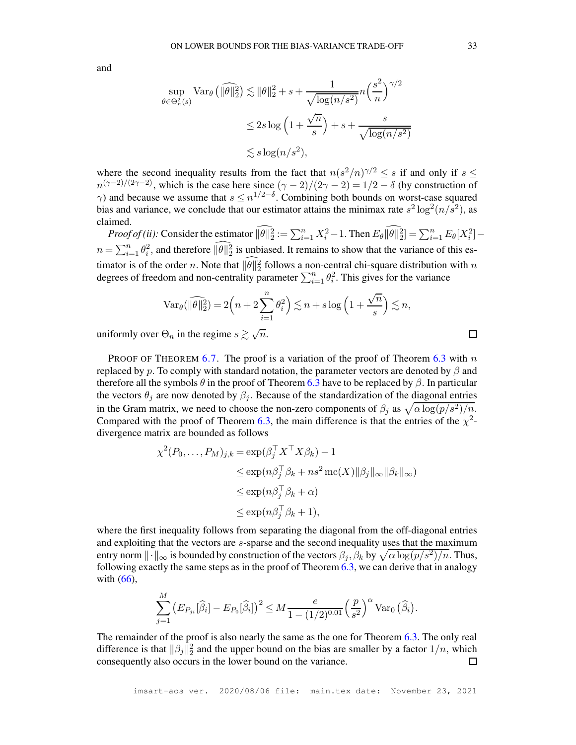and

$$
\sup_{\theta \in \Theta_n^2(s)} \text{Var}_{\theta} \left( \|\widehat{\theta}\|_2^2 \right) \lesssim \|\theta\|_2^2 + s + \frac{1}{\sqrt{\log(n/s^2)}} n \left(\frac{s^2}{n}\right)^{\gamma/2}
$$
  

$$
\leq 2s \log \left(1 + \frac{\sqrt{n}}{s}\right) + s + \frac{s}{\sqrt{\log(n/s^2)}}
$$
  

$$
\lesssim s \log(n/s^2),
$$

where the second inequality results from the fact that  $n(s^2/n)^{\gamma/2} \leq s$  if and only if  $s \leq$  $n^{(\gamma-2)/(2\gamma-2)}$ , which is the case here since  $(\gamma-2)/(2\gamma-2) = 1/2 - \delta$  (by construction of  $\gamma$ ) and because we assume that  $s \leq n^{1/2-\delta}$ . Combining both bounds on worst-case squared bias and variance, we conclude that our estimator attains the minimax rate  $s^2 \log^2(n/\overline{s}^2)$ , as claimed.

*Proof of (ii):* Consider the estimator  $||\theta||_2^2 := \sum_{i=1}^n X_i^2 - 1$ . Then  $E_\theta ||\theta||_2^2 = \sum_{i=1}^n E_\theta[X_i^2]$  $n = \sum_{i=1}^n \theta_i^2$ , and therefore  $\|\theta\|_2^2$  is unbiased. It remains to show that the variance of this estimator is of the order n. Note that  $\|\theta\|_2^2$  follows a non-central chi-square distribution with n degrees of freedom and non-centrality parameter  $\sum_{i=1}^{n} \theta_i^2$ . This gives for the variance

$$
\operatorname{Var}_{\theta}(\widehat{\|\theta\|_2^2}) = 2\left(n + 2\sum_{i=1}^n \theta_i^2\right) \lesssim n + s \log\left(1 + \frac{\sqrt{n}}{s}\right) \lesssim n,
$$

uniformly over  $\Theta_n$  in the regime  $s \gtrsim \sqrt{n}$ .

PROOF OF THEOREM [6.7.](#page-22-1) The proof is a variation of the proof of Theorem [6.3](#page-19-0) with n replaced by p. To comply with standard notation, the parameter vectors are denoted by  $\beta$  and therefore all the symbols  $\theta$  in the proof of Theorem [6.3](#page-19-0) have to be replaced by  $\beta$ . In particular the vectors  $\theta_i$  are now denoted by  $\beta_i$ . Because of the standardization of the diagonal entries in the Gram matrix, we need to choose the non-zero components of  $\beta_j$  as  $\sqrt{\alpha \log(p/s^2)/n}$ . Compared with the proof of Theorem [6.3,](#page-19-0) the main difference is that the entries of the  $\chi^2$ divergence matrix are bounded as follows

$$
\chi^2(P_0, \dots, P_M)_{j,k} = \exp(\beta_j^\top X^\top X \beta_k) - 1
$$
  
\n
$$
\leq \exp(n\beta_j^\top \beta_k + ns^2 \operatorname{mc}(X) \|\beta_j\|_\infty \|\beta_k\|_\infty)
$$
  
\n
$$
\leq \exp(n\beta_j^\top \beta_k + \alpha)
$$
  
\n
$$
\leq \exp(n\beta_j^\top \beta_k + 1),
$$

where the first inequality follows from separating the diagonal from the off-diagonal entries and exploiting that the vectors are s-sparse and the second inequality uses that the maximum entry norm  $\|\cdot\|_{\infty}$  is bounded by construction of the vectors  $\beta_j$ ,  $\beta_k$  by  $\sqrt{\alpha \log(p/s^2)/n}$ . Thus, following exactly the same steps as in the proof of Theorem [6.3,](#page-19-0) we can derive that in analogy with [\(66\)](#page-54-0),

$$
\sum_{j=1}^M \left( E_{P_{ji}}[\widehat{\beta}_i] - E_{P_0}[\widehat{\beta}_i] \right)^2 \leq M \frac{e}{1 - (1/2)^{0.01}} \left( \frac{p}{s^2} \right)^{\alpha} \text{Var}_0 \left( \widehat{\beta}_i \right).
$$

The remainder of the proof is also nearly the same as the one for Theorem [6.3.](#page-19-0) The only real difference is that  $\|\beta_j\|_2^2$  and the upper bound on the bias are smaller by a factor  $1/n$ , which consequently also occurs in the lower bound on the variance.  $\Box$ 

口